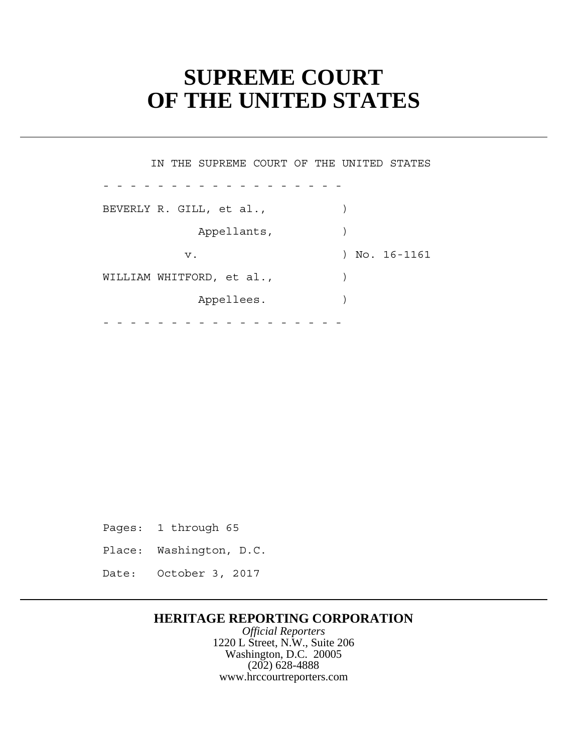# **SUPREME COURT OF THE UNITED STATES**

 Appellants, ) WILLIAM WHITFORD, et al.,  $\qquad \qquad$  Appellees. ) - - - - - - - - - - - - - - - - - - - - - - - - - - - - - - - - - - - - IN THE SUPREME COURT OF THE UNITED STATES BEVERLY R. GILL, et al., (a)  $\rightarrow$ v. 16-1161

Pages: 1 through 65

Place: Washington, D.C.

Date: October 3, 2017

# **HERITAGE REPORTING CORPORATION**

*Official Reporters* 1220 L Street, N.W., Suite 206 Washington, D.C. 20005 (202) 628-4888 www.hrccourtreporters.com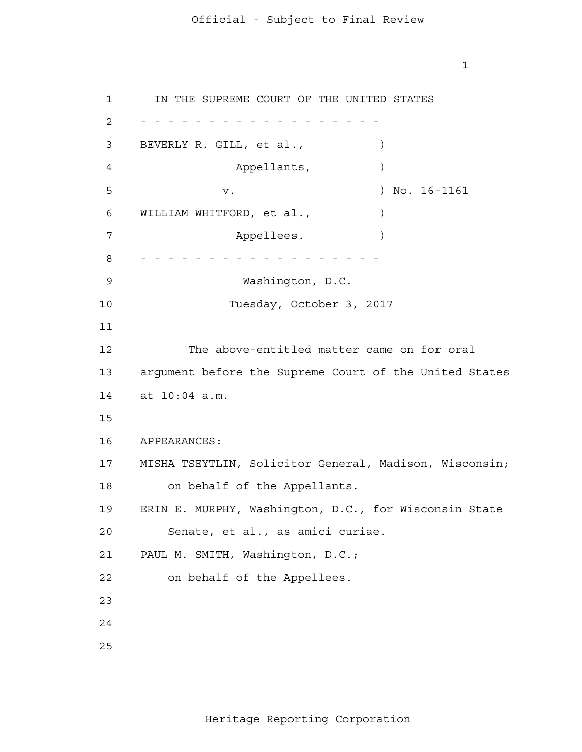1

 at 10:04 a.m. APPEARANCES: MISHA TSEYTLIN, Solicitor General, Madison, Wisconsin; 1 2 - - - - - - - - - - - - - - - - - - 3 4 **5**  6 7 8 - - - - - - - - - - - - - - - - - - 9 10 11 12 13 14 15 16 17 18 19 20 21 22 23 24 25 IN THE SUPREME COURT OF THE UNITED STATES BEVERLY R. GILL, et al.,  $\qquad \qquad$  ) Appellants,  $)$ v. ) No. 16-1161 WILLIAM WHITFORD, et al.,  $\qquad \qquad$ Appellees. Washington, D.C. Tuesday, October 3, 2017 The above-entitled matter came on for oral argument before the Supreme Court of the United States on behalf of the Appellants. ERIN E. MURPHY, Washington, D.C., for Wisconsin State Senate, et al., as amici curiae. PAUL M. SMITH, Washington, D.C.; on behalf of the Appellees.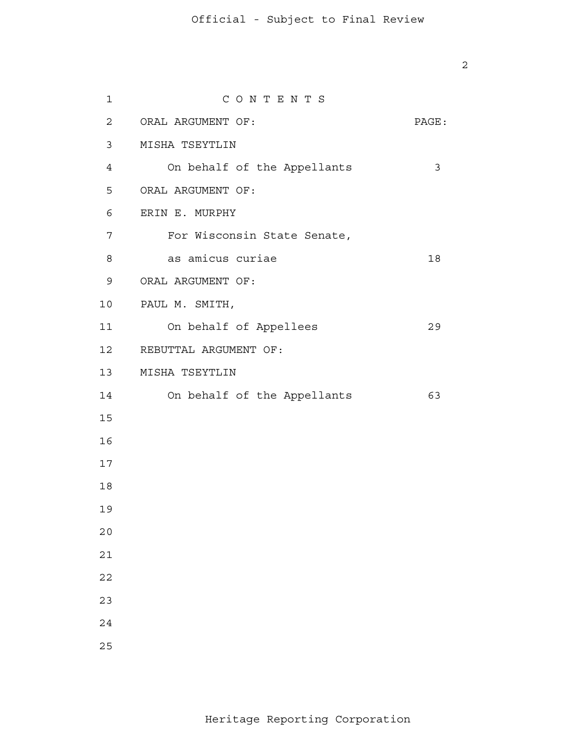| $\mathbf{1}$    | CONTENTS                    |       |
|-----------------|-----------------------------|-------|
| $\overline{2}$  | ORAL ARGUMENT OF:           | PAGE: |
| 3               | MISHA TSEYTLIN              |       |
| $4\overline{ }$ | On behalf of the Appellants | 3     |
| 5               | ORAL ARGUMENT OF:           |       |
| 6               | ERIN E. MURPHY              |       |
| 7               | For Wisconsin State Senate, |       |
| 8               | as amicus curiae            | 18    |
| 9               | ORAL ARGUMENT OF:           |       |
| 10              | PAUL M. SMITH,              |       |
| 11              | On behalf of Appellees      | 29    |
| 12              | REBUTTAL ARGUMENT OF:       |       |
| 13              | MISHA TSEYTLIN              |       |
| 14              | On behalf of the Appellants | 63    |
| 15              |                             |       |
| 16              |                             |       |
| 17              |                             |       |
| 18              |                             |       |
| 19              |                             |       |
| 20              |                             |       |
| 21              |                             |       |
| 22              |                             |       |
| 23              |                             |       |
| 24              |                             |       |
| 25              |                             |       |
|                 |                             |       |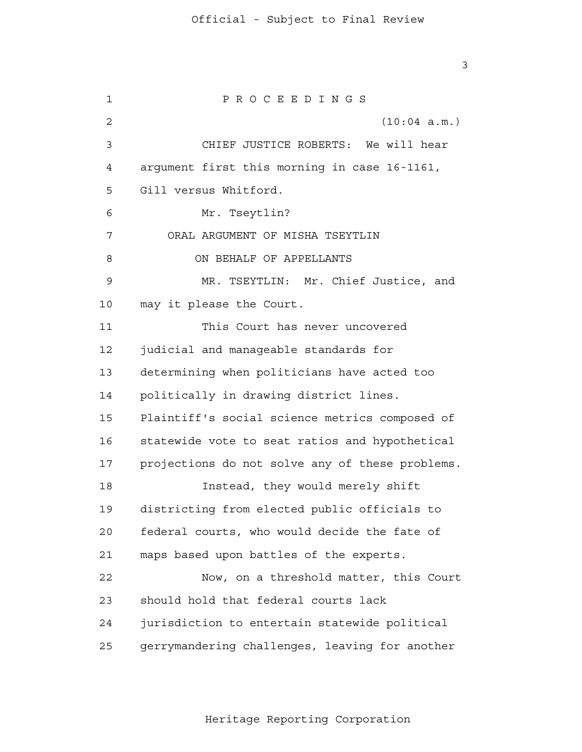1 2 3 4 **5**  6 7 8 9 10 11 12 13 14 15 16 17 18 19  $20$  21 22 23 24 25 P R O C E E D I N G S (10:04 a.m.) CHIEF JUSTICE ROBERTS: We will hear argument first this morning in case 16-1161, Gill versus Whitford. Mr. Tseytlin? ORAL ARGUMENT OF MISHA TSEYTLIN ON BEHALF OF APPELLANTS MR. TSEYTLIN: Mr. Chief Justice, and may it please the Court. This Court has never uncovered judicial and manageable standards for determining when politicians have acted too politically in drawing district lines. Plaintiff's social science metrics composed of statewide vote to seat ratios and hypothetical projections do not solve any of these problems. Instead, they would merely shift districting from elected public officials to federal courts, who would decide the fate of maps based upon battles of the experts. Now, on a threshold matter, this Court should hold that federal courts lack jurisdiction to entertain statewide political gerrymandering challenges, leaving for another

Heritage Reporting Corporation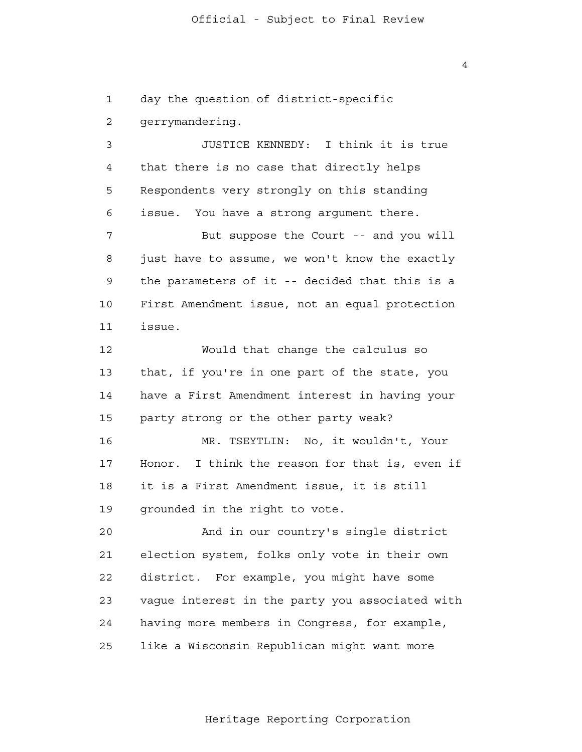1 2 3 4 **5**  6 7 8 9 10 11 12 13 14 15 16 17 18 19  $2.0$  21 22 23 24 25 day the question of district-specific gerrymandering. JUSTICE KENNEDY: I think it is true that there is no case that directly helps Respondents very strongly on this standing issue. You have a strong argument there. But suppose the Court -- and you will just have to assume, we won't know the exactly the parameters of it -- decided that this is a First Amendment issue, not an equal protection issue. Would that change the calculus so that, if you're in one part of the state, you have a First Amendment interest in having your party strong or the other party weak? MR. TSEYTLIN: No, it wouldn't, Your Honor. I think the reason for that is, even if it is a First Amendment issue, it is still grounded in the right to vote. And in our country's single district election system, folks only vote in their own district. For example, you might have some vague interest in the party you associated with having more members in Congress, for example, like a Wisconsin Republican might want more

Heritage Reporting Corporation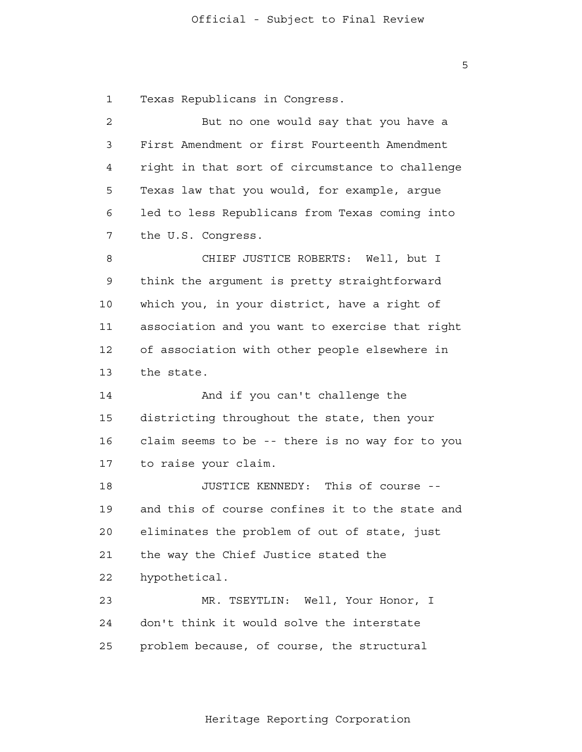1 Texas Republicans in Congress.

| $\overline{c}$ | But no one would say that you have a            |
|----------------|-------------------------------------------------|
| 3              | First Amendment or first Fourteenth Amendment   |
| 4              | right in that sort of circumstance to challenge |
| 5              | Texas law that you would, for example, argue    |
| 6              | led to less Republicans from Texas coming into  |
| 7              | the U.S. Congress.                              |
| 8              | CHIEF JUSTICE ROBERTS: Well, but I              |
| 9              | think the argument is pretty straightforward    |
| 10             | which you, in your district, have a right of    |
| 11             | association and you want to exercise that right |
| 12             | of association with other people elsewhere in   |
| 13             | the state.                                      |
| 14             | And if you can't challenge the                  |
| 15             | districting throughout the state, then your     |
| 16             | claim seems to be -- there is no way for to you |
| 17             | to raise your claim.                            |
| 18             | JUSTICE KENNEDY: This of course --              |
| 19             | and this of course confines it to the state and |
| 20             | eliminates the problem of out of state, just    |
| 21             | the way the Chief Justice stated the            |
| 22             | hypothetical.                                   |
| 23             | MR. TSEYTLIN: Well, Your Honor, I               |
| 24             | don't think it would solve the interstate       |
| 25             | problem because, of course, the structural      |

Heritage Reporting Corporation

 $\overline{5}$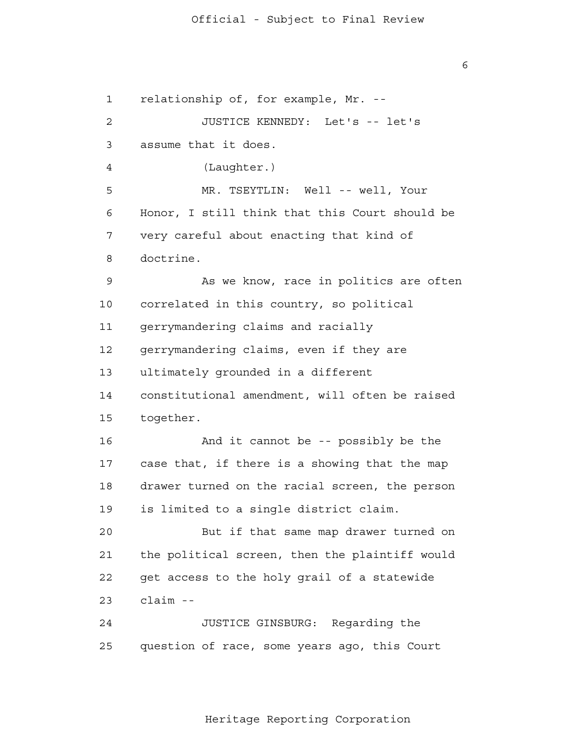1 2 3 4 **5**  6 7 8 9 10 11 12 13 14 15 16 17 18 19  $2.0$  21 22 23 24 25 relationship of, for example, Mr. - JUSTICE KENNEDY: Let's -- let's assume that it does. (Laughter.) MR. TSEYTLIN: Well -- well, Your Honor, I still think that this Court should be very careful about enacting that kind of doctrine. As we know, race in politics are often correlated in this country, so political gerrymandering claims and racially gerrymandering claims, even if they are ultimately grounded in a different constitutional amendment, will often be raised together. And it cannot be -- possibly be the case that, if there is a showing that the map drawer turned on the racial screen, the person is limited to a single district claim. But if that same map drawer turned on the political screen, then the plaintiff would get access to the holy grail of a statewide claim - JUSTICE GINSBURG: Regarding the question of race, some years ago, this Court

Heritage Reporting Corporation

 $\overline{6}$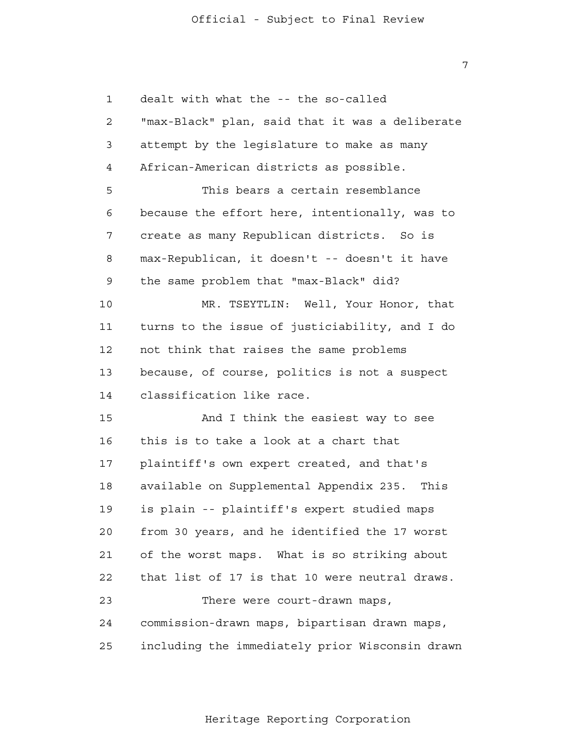1 2 3 4 **5**  6 7 8 9 10 11 12 13 14 15 16 17 18 19 20 21 22 23 24 25 dealt with what the -- the so-called "max-Black" plan, said that it was a deliberate attempt by the legislature to make as many African-American districts as possible. This bears a certain resemblance because the effort here, intentionally, was to create as many Republican districts. So is max-Republican, it doesn't -- doesn't it have the same problem that "max-Black" did? MR. TSEYTLIN: Well, Your Honor, that turns to the issue of justiciability, and I do not think that raises the same problems because, of course, politics is not a suspect classification like race. And I think the easiest way to see this is to take a look at a chart that plaintiff's own expert created, and that's available on Supplemental Appendix 235. This is plain -- plaintiff's expert studied maps from 30 years, and he identified the 17 worst of the worst maps. What is so striking about that list of 17 is that 10 were neutral draws. There were court-drawn maps, commission-drawn maps, bipartisan drawn maps, including the immediately prior Wisconsin drawn

Heritage Reporting Corporation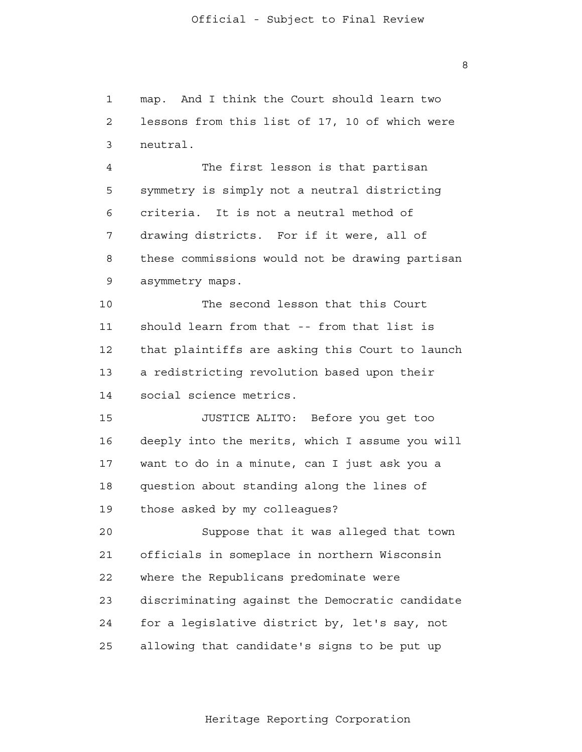1 2 3 4 **5**  6 7 8 9 10 11 12 13 14 15 16 17 18 19  $2.0$  21 22 23 24 25 map. And I think the Court should learn two lessons from this list of 17, 10 of which were neutral. The first lesson is that partisan symmetry is simply not a neutral districting criteria. It is not a neutral method of drawing districts. For if it were, all of these commissions would not be drawing partisan asymmetry maps. The second lesson that this Court should learn from that -- from that list is that plaintiffs are asking this Court to launch a redistricting revolution based upon their social science metrics. JUSTICE ALITO: Before you get too deeply into the merits, which I assume you will want to do in a minute, can I just ask you a question about standing along the lines of those asked by my colleagues? Suppose that it was alleged that town officials in someplace in northern Wisconsin where the Republicans predominate were discriminating against the Democratic candidate for a legislative district by, let's say, not allowing that candidate's signs to be put up

Heritage Reporting Corporation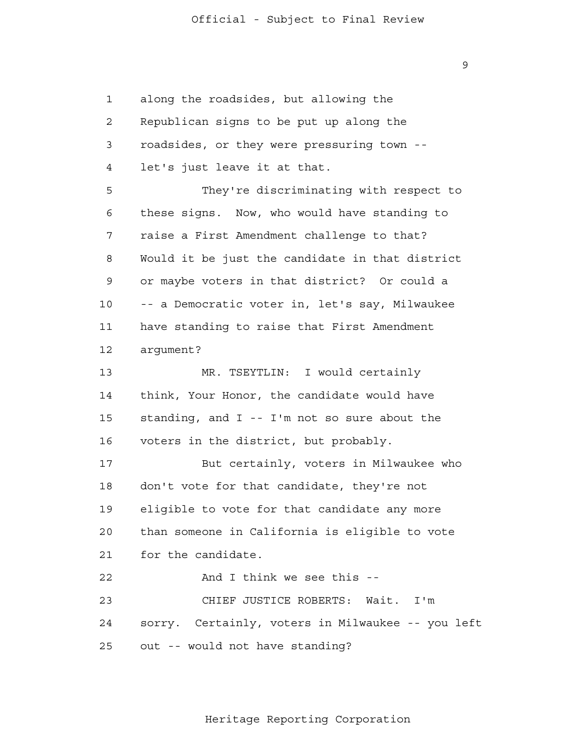1 2 3 4 **5**  6 7 8 9 10 11 12 13 14 15 16 17 18 19 20 21 22 23 24 25 along the roadsides, but allowing the Republican signs to be put up along the roadsides, or they were pressuring town let's just leave it at that. They're discriminating with respect to these signs. Now, who would have standing to raise a First Amendment challenge to that? Would it be just the candidate in that district or maybe voters in that district? Or could a -- a Democratic voter in, let's say, Milwaukee have standing to raise that First Amendment argument? MR. TSEYTLIN: I would certainly think, Your Honor, the candidate would have standing, and I -- I'm not so sure about the voters in the district, but probably. But certainly, voters in Milwaukee who don't vote for that candidate, they're not eligible to vote for that candidate any more than someone in California is eligible to vote for the candidate. And I think we see this - CHIEF JUSTICE ROBERTS: Wait. I'm sorry. Certainly, voters in Milwaukee -- you left out -- would not have standing?

Heritage Reporting Corporation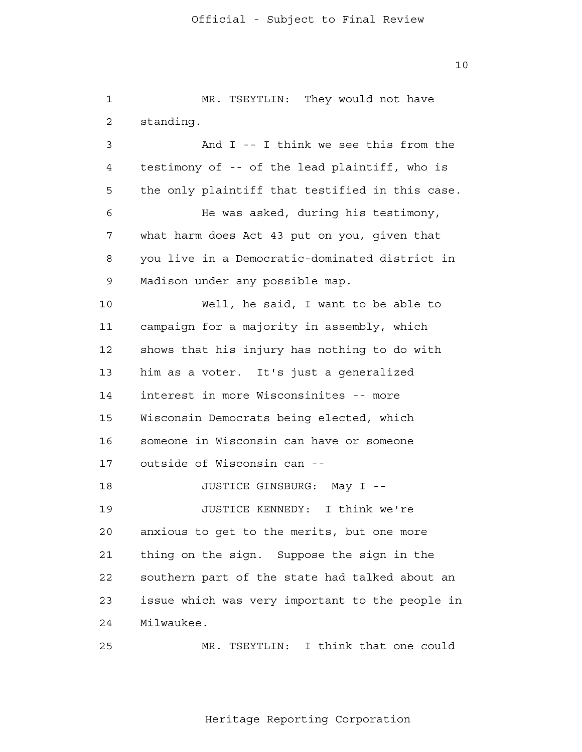1 2 3 4 **5**  6 7 8 9 10 11 12 13 14 15 16 17 18 19 20 21 22 23 24 25 MR. TSEYTLIN: They would not have standing. And I -- I think we see this from the testimony of -- of the lead plaintiff, who is the only plaintiff that testified in this case. He was asked, during his testimony, what harm does Act 43 put on you, given that you live in a Democratic-dominated district in Madison under any possible map. Well, he said, I want to be able to campaign for a majority in assembly, which shows that his injury has nothing to do with him as a voter. It's just a generalized interest in more Wisconsinites -- more Wisconsin Democrats being elected, which someone in Wisconsin can have or someone outside of Wisconsin can - JUSTICE GINSBURG: May I - JUSTICE KENNEDY: I think we're anxious to get to the merits, but one more thing on the sign. Suppose the sign in the southern part of the state had talked about an issue which was very important to the people in Milwaukee. MR. TSEYTLIN: I think that one could

Heritage Reporting Corporation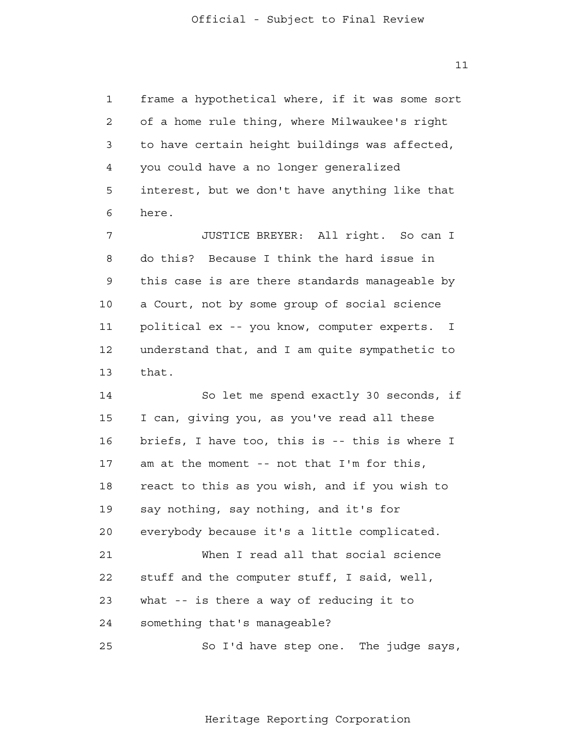1 2 3 4 **5**  6 7 8 9 10 11 12 13 14 15 16 17 18 19 20 21 22 23 24 25 frame a hypothetical where, if it was some sort of a home rule thing, where Milwaukee's right to have certain height buildings was affected, you could have a no longer generalized interest, but we don't have anything like that here. JUSTICE BREYER: All right. So can I do this? Because I think the hard issue in this case is are there standards manageable by a Court, not by some group of social science political ex -- you know, computer experts. I understand that, and I am quite sympathetic to that. So let me spend exactly 30 seconds, if I can, giving you, as you've read all these briefs, I have too, this is -- this is where I am at the moment -- not that I'm for this, react to this as you wish, and if you wish to say nothing, say nothing, and it's for everybody because it's a little complicated. When I read all that social science stuff and the computer stuff, I said, well, what -- is there a way of reducing it to something that's manageable? So I'd have step one. The judge says,

Heritage Reporting Corporation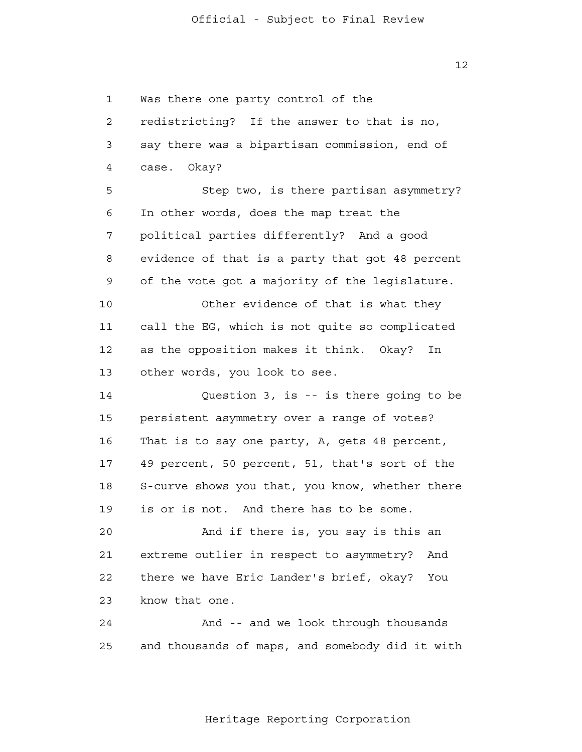1 2 3 4 **5**  6 7 8 9 10 11 12 13 14 15 16 17 18 19 20 21 22 23 24 25 Was there one party control of the redistricting? If the answer to that is no, say there was a bipartisan commission, end of case. Okay? Step two, is there partisan asymmetry? In other words, does the map treat the political parties differently? And a good evidence of that is a party that got 48 percent of the vote got a majority of the legislature. Other evidence of that is what they call the EG, which is not quite so complicated as the opposition makes it think. Okay? In other words, you look to see. Question 3, is -- is there going to be persistent asymmetry over a range of votes? That is to say one party, A, gets 48 percent, 49 percent, 50 percent, 51, that's sort of the S-curve shows you that, you know, whether there is or is not. And there has to be some. And if there is, you say is this an extreme outlier in respect to asymmetry? And there we have Eric Lander's brief, okay? You know that one. And -- and we look through thousands and thousands of maps, and somebody did it with

Heritage Reporting Corporation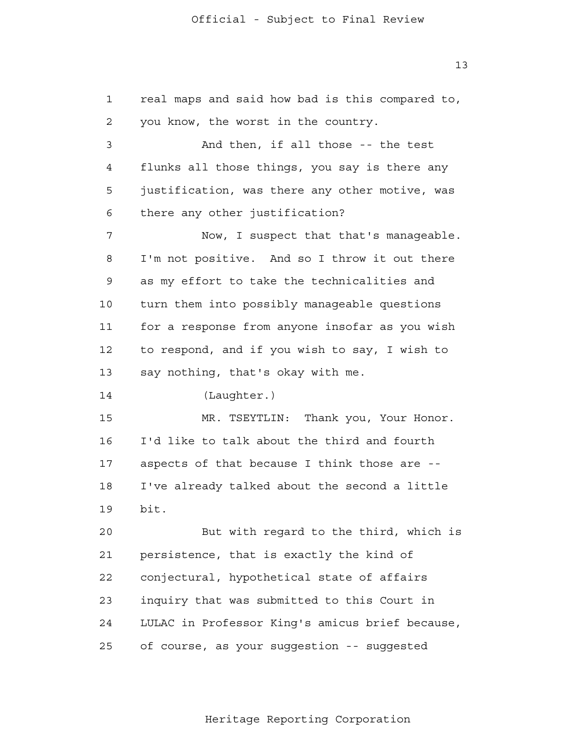1 2 3 4 **5**  6 7 8 9 10 11 12 13 14 15 16 17 18 19 20 21 22 23 24 25 real maps and said how bad is this compared to, you know, the worst in the country. And then, if all those -- the test flunks all those things, you say is there any justification, was there any other motive, was there any other justification? Now, I suspect that that's manageable. I'm not positive. And so I throw it out there as my effort to take the technicalities and turn them into possibly manageable questions for a response from anyone insofar as you wish to respond, and if you wish to say, I wish to say nothing, that's okay with me. (Laughter.) MR. TSEYTLIN: Thank you, Your Honor. I'd like to talk about the third and fourth aspects of that because I think those are - I've already talked about the second a little bit. But with regard to the third, which is persistence, that is exactly the kind of conjectural, hypothetical state of affairs inquiry that was submitted to this Court in LULAC in Professor King's amicus brief because, of course, as your suggestion -- suggested

13

#### Heritage Reporting Corporation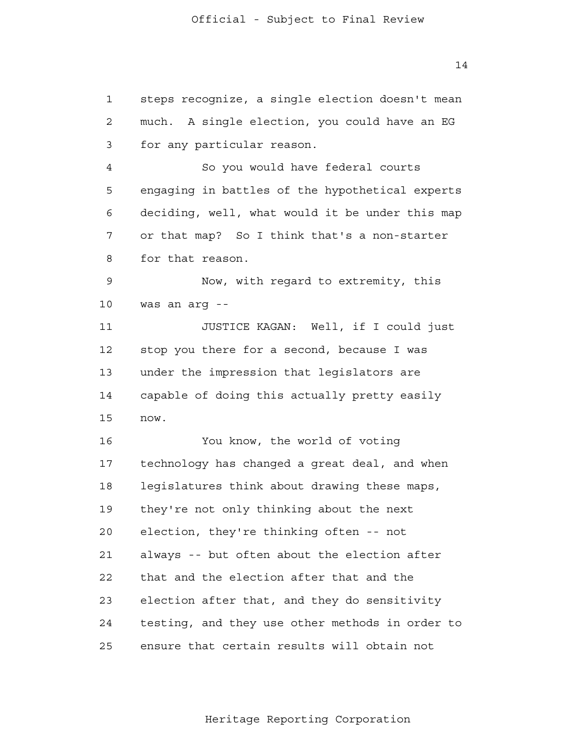1 2 3 4 **5**  6 7 8 9 10 11 12 13 14 15 16 17 18 19 20 21 22 23 24 25 steps recognize, a single election doesn't mean much. A single election, you could have an EG for any particular reason. So you would have federal courts engaging in battles of the hypothetical experts deciding, well, what would it be under this map or that map? So I think that's a non-starter for that reason. Now, with regard to extremity, this was an arg - JUSTICE KAGAN: Well, if I could just stop you there for a second, because I was under the impression that legislators are capable of doing this actually pretty easily now. You know, the world of voting technology has changed a great deal, and when legislatures think about drawing these maps, they're not only thinking about the next election, they're thinking often -- not always -- but often about the election after that and the election after that and the election after that, and they do sensitivity testing, and they use other methods in order to ensure that certain results will obtain not

Heritage Reporting Corporation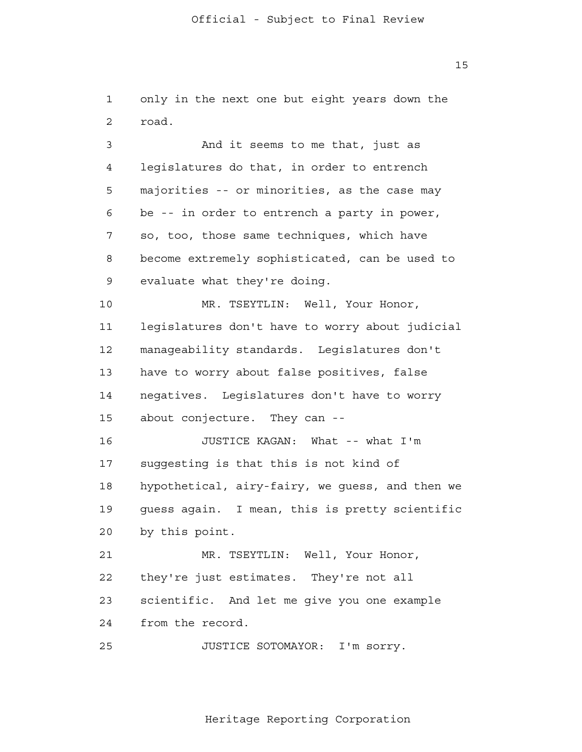1 2 3 4 **5**  6 7 8 9 10 11 12 13 14 15 16 17 18 19 20 21 22 23 24 25 only in the next one but eight years down the road. And it seems to me that, just as legislatures do that, in order to entrench majorities -- or minorities, as the case may be -- in order to entrench a party in power, so, too, those same techniques, which have become extremely sophisticated, can be used to evaluate what they're doing. MR. TSEYTLIN: Well, Your Honor, legislatures don't have to worry about judicial manageability standards. Legislatures don't have to worry about false positives, false negatives. Legislatures don't have to worry about conjecture. They can - JUSTICE KAGAN: What -- what I'm suggesting is that this is not kind of hypothetical, airy-fairy, we guess, and then we guess again. I mean, this is pretty scientific by this point. MR. TSEYTLIN: Well, Your Honor, they're just estimates. They're not all scientific. And let me give you one example from the record. JUSTICE SOTOMAYOR: I'm sorry.

Heritage Reporting Corporation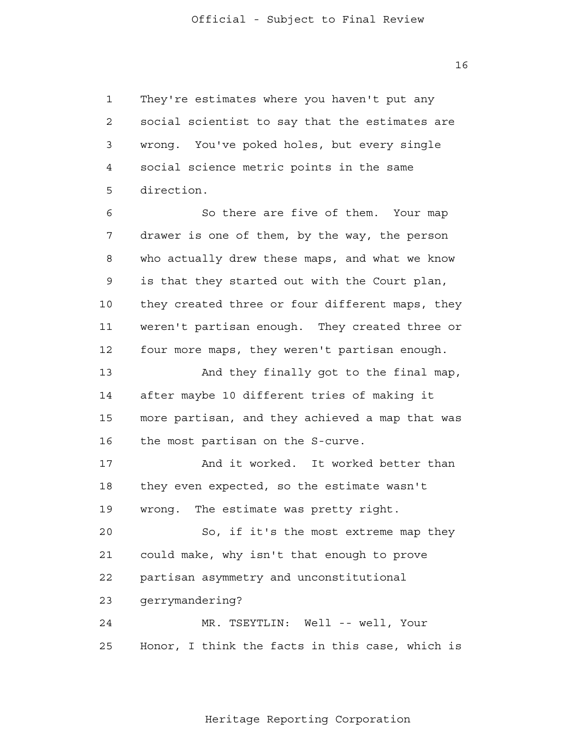1 2 3 4 **5**  6 7 8 9 10 11 12 13 14 15 16 17 18 They're estimates where you haven't put any social scientist to say that the estimates are wrong. You've poked holes, but every single social science metric points in the same direction. So there are five of them. Your map drawer is one of them, by the way, the person who actually drew these maps, and what we know is that they started out with the Court plan, they created three or four different maps, they weren't partisan enough. They created three or four more maps, they weren't partisan enough. And they finally got to the final map, after maybe 10 different tries of making it more partisan, and they achieved a map that was the most partisan on the S-curve. And it worked. It worked better than they even expected, so the estimate wasn't

> 19 wrong. The estimate was pretty right.

 $20$  21 22 23 24 So, if it's the most extreme map they could make, why isn't that enough to prove partisan asymmetry and unconstitutional gerrymandering? MR. TSEYTLIN: Well -- well, Your

 25 Honor, I think the facts in this case, which is

Heritage Reporting Corporation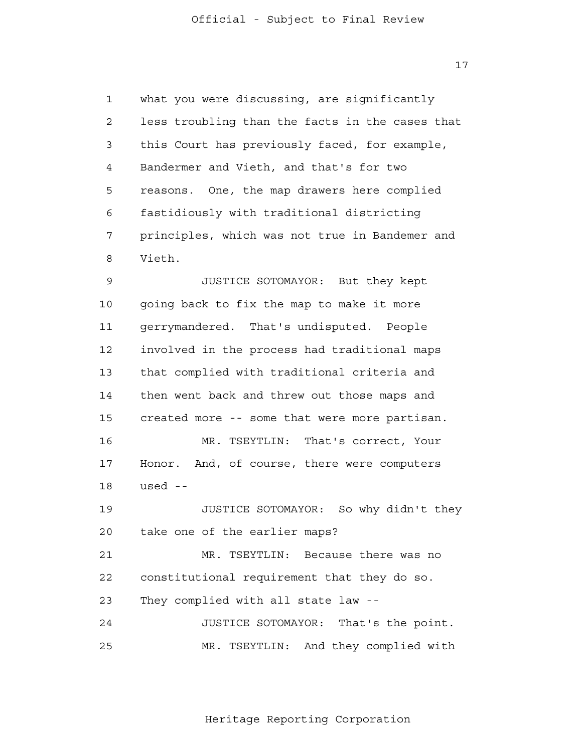1 2 3 4 **5**  6 7 8 what you were discussing, are significantly less troubling than the facts in the cases that this Court has previously faced, for example, Bandermer and Vieth, and that's for two reasons. One, the map drawers here complied fastidiously with traditional districting principles, which was not true in Bandemer and Vieth.

 9 10 11 12 13 14 15 16 17 18 19 20 21 22 23 24 25 JUSTICE SOTOMAYOR: But they kept going back to fix the map to make it more gerrymandered. That's undisputed. People involved in the process had traditional maps that complied with traditional criteria and then went back and threw out those maps and created more -- some that were more partisan. MR. TSEYTLIN: That's correct, Your Honor. And, of course, there were computers used - JUSTICE SOTOMAYOR: So why didn't they take one of the earlier maps? MR. TSEYTLIN: Because there was no constitutional requirement that they do so. They complied with all state law - JUSTICE SOTOMAYOR: That's the point. MR. TSEYTLIN: And they complied with

17

#### Heritage Reporting Corporation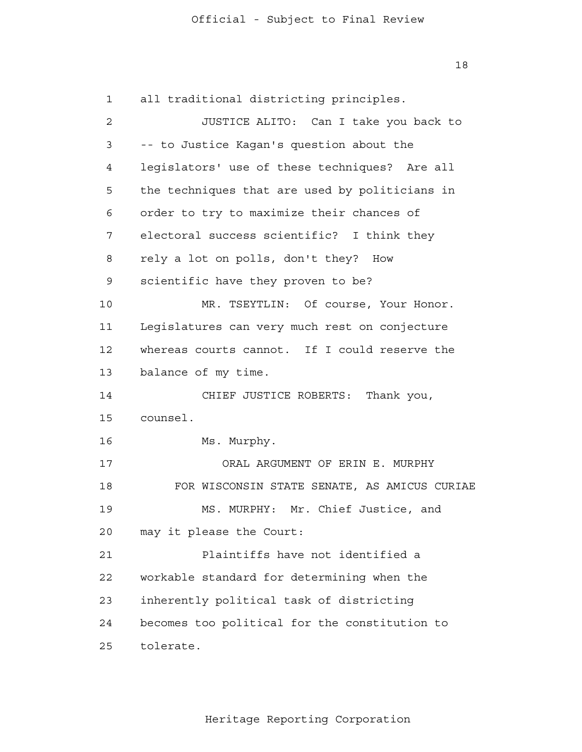1 2 3 4 **5**  6 7 8 9 10 11 12 13 14 15 16 17 18 19 20 21 22 23 24 25 all traditional districting principles. JUSTICE ALITO: Can I take you back to -- to Justice Kagan's question about the legislators' use of these techniques? Are all the techniques that are used by politicians in order to try to maximize their chances of electoral success scientific? I think they rely a lot on polls, don't they? How scientific have they proven to be? MR. TSEYTLIN: Of course, Your Honor. Legislatures can very much rest on conjecture whereas courts cannot. If I could reserve the balance of my time. CHIEF JUSTICE ROBERTS: Thank you, counsel. Ms. Murphy. ORAL ARGUMENT OF ERIN E. MURPHY FOR WISCONSIN STATE SENATE, AS AMICUS CURIAE MS. MURPHY: Mr. Chief Justice, and may it please the Court: Plaintiffs have not identified a workable standard for determining when the inherently political task of districting becomes too political for the constitution to tolerate.

Heritage Reporting Corporation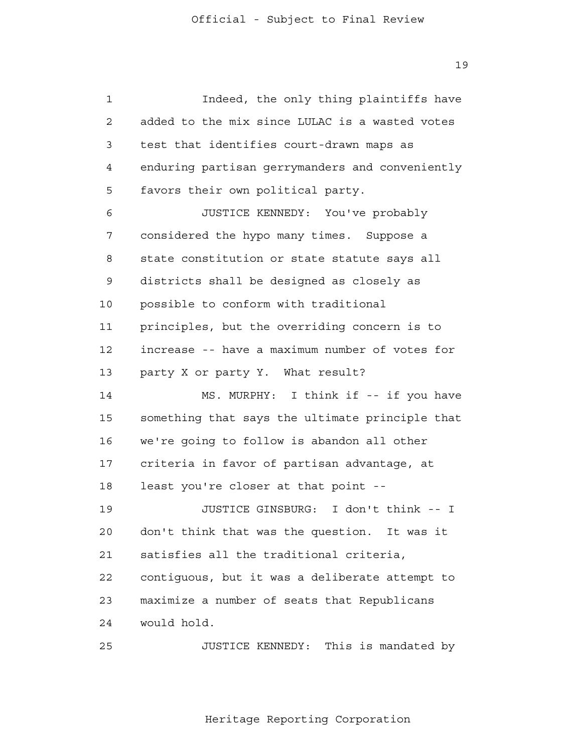1 2 3 4 **5**  6 7 8 9 10 11 12 13 14 15 16 17 18 19  $20$  21 22 23 24 25 Indeed, the only thing plaintiffs have added to the mix since LULAC is a wasted votes test that identifies court-drawn maps as enduring partisan gerrymanders and conveniently favors their own political party. JUSTICE KENNEDY: You've probably considered the hypo many times. Suppose a state constitution or state statute says all districts shall be designed as closely as possible to conform with traditional principles, but the overriding concern is to increase -- have a maximum number of votes for party X or party Y. What result? MS. MURPHY: I think if -- if you have something that says the ultimate principle that we're going to follow is abandon all other criteria in favor of partisan advantage, at least you're closer at that point - JUSTICE GINSBURG: I don't think -- I don't think that was the question. It was it satisfies all the traditional criteria, contiguous, but it was a deliberate attempt to maximize a number of seats that Republicans would hold. JUSTICE KENNEDY: This is mandated by

Heritage Reporting Corporation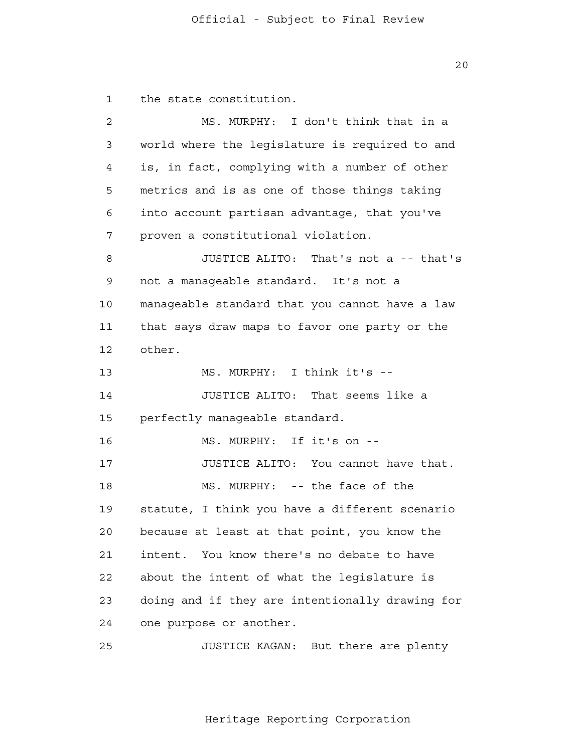1 the state constitution.

 2 3 4 **5**  6 7 8 9 10 11 12 13 14 15 16 17 18 19 20 21 22 23 24 25 MS. MURPHY: I don't think that in a world where the legislature is required to and is, in fact, complying with a number of other metrics and is as one of those things taking into account partisan advantage, that you've proven a constitutional violation. JUSTICE ALITO: That's not a -- that's not a manageable standard. It's not a manageable standard that you cannot have a law that says draw maps to favor one party or the other. MS. MURPHY: I think it's - JUSTICE ALITO: That seems like a perfectly manageable standard. MS. MURPHY: If it's on - JUSTICE ALITO: You cannot have that. MS. MURPHY: -- the face of the statute, I think you have a different scenario because at least at that point, you know the intent. You know there's no debate to have about the intent of what the legislature is doing and if they are intentionally drawing for one purpose or another. JUSTICE KAGAN: But there are plenty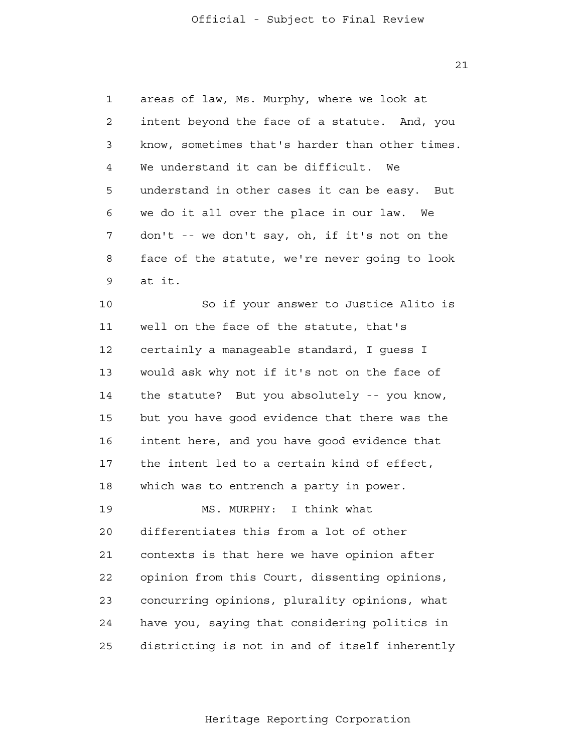1 2 3 4 **5**  6 7 8 9 areas of law, Ms. Murphy, where we look at intent beyond the face of a statute. And, you know, sometimes that's harder than other times. We understand it can be difficult. We understand in other cases it can be easy. But we do it all over the place in our law. We don't -- we don't say, oh, if it's not on the face of the statute, we're never going to look at it.

> 10 11 12 13 14 15 16 17 18 19 20 21 22 23 24 25 So if your answer to Justice Alito is well on the face of the statute, that's certainly a manageable standard, I guess I would ask why not if it's not on the face of the statute? But you absolutely -- you know, but you have good evidence that there was the intent here, and you have good evidence that the intent led to a certain kind of effect, which was to entrench a party in power. MS. MURPHY: I think what differentiates this from a lot of other contexts is that here we have opinion after opinion from this Court, dissenting opinions, concurring opinions, plurality opinions, what have you, saying that considering politics in districting is not in and of itself inherently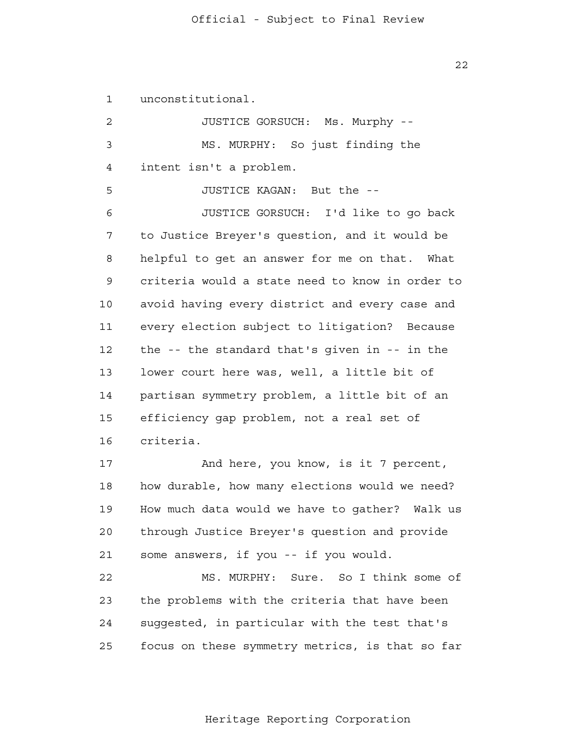1 unconstitutional.

 2 3 4 **5**  6 7 8 9 10 11 12 13 14 15 16 17 18 19 20 21 22 23 24 25 JUSTICE GORSUCH: Ms. Murphy - MS. MURPHY: So just finding the intent isn't a problem. JUSTICE KAGAN: But the - JUSTICE GORSUCH: I'd like to go back to Justice Breyer's question, and it would be helpful to get an answer for me on that. What criteria would a state need to know in order to avoid having every district and every case and every election subject to litigation? Because the -- the standard that's given in -- in the lower court here was, well, a little bit of partisan symmetry problem, a little bit of an efficiency gap problem, not a real set of criteria. And here, you know, is it 7 percent, how durable, how many elections would we need? How much data would we have to gather? Walk us through Justice Breyer's question and provide some answers, if you -- if you would. MS. MURPHY: Sure. So I think some of the problems with the criteria that have been suggested, in particular with the test that's focus on these symmetry metrics, is that so far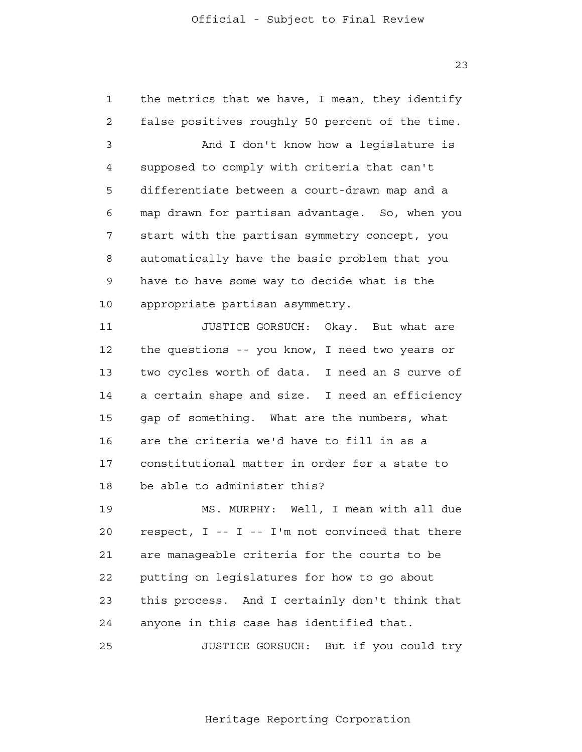1 2 3 4 **5**  6 7 8 9 10 11 12 13 14 15 16 17 18 19 20 21 22 23 24 the metrics that we have, I mean, they identify false positives roughly 50 percent of the time. And I don't know how a legislature is supposed to comply with criteria that can't differentiate between a court-drawn map and a map drawn for partisan advantage. So, when you start with the partisan symmetry concept, you automatically have the basic problem that you have to have some way to decide what is the appropriate partisan asymmetry. JUSTICE GORSUCH: Okay. But what are the questions -- you know, I need two years or two cycles worth of data. I need an S curve of a certain shape and size. I need an efficiency gap of something. What are the numbers, what are the criteria we'd have to fill in as a constitutional matter in order for a state to be able to administer this? MS. MURPHY: Well, I mean with all due respect,  $I - - I - I'm$  not convinced that there are manageable criteria for the courts to be putting on legislatures for how to go about this process. And I certainly don't think that anyone in this case has identified that.

> 25 JUSTICE GORSUCH: But if you could try

> > Heritage Reporting Corporation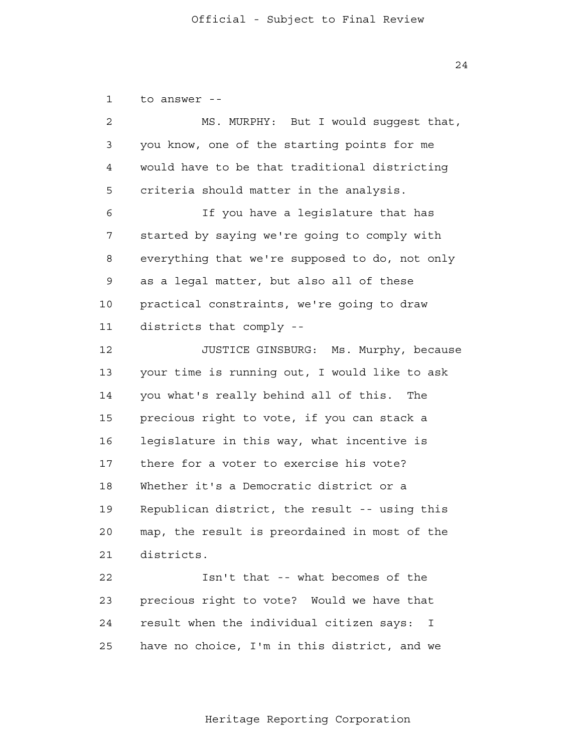1 to answer -

| $\overline{a}$ | MS. MURPHY: But I would suggest that,          |
|----------------|------------------------------------------------|
| 3              | you know, one of the starting points for me    |
| 4              | would have to be that traditional districting  |
| 5              | criteria should matter in the analysis.        |
| 6              | If you have a legislature that has             |
| 7              | started by saying we're going to comply with   |
| 8              | everything that we're supposed to do, not only |
| 9              | as a legal matter, but also all of these       |
| 10             | practical constraints, we're going to draw     |
| 11             | districts that comply --                       |
| 12             | JUSTICE GINSBURG: Ms. Murphy, because          |
| 13             | your time is running out, I would like to ask  |
| 14             | you what's really behind all of this. The      |
| 15             | precious right to vote, if you can stack a     |
| 16             | legislature in this way, what incentive is     |
| 17             | there for a voter to exercise his vote?        |
| 18             | Whether it's a Democratic district or a        |
| 19             | Republican district, the result -- using this  |
| 20             | map, the result is preordained in most of the  |
| 21             | districts.                                     |
| 22             | Isn't that -- what becomes of the              |
| 23             | precious right to vote? Would we have that     |
| 24             | result when the individual citizen says: I     |
|                |                                                |

24

25 have no choice, I'm in this district, and we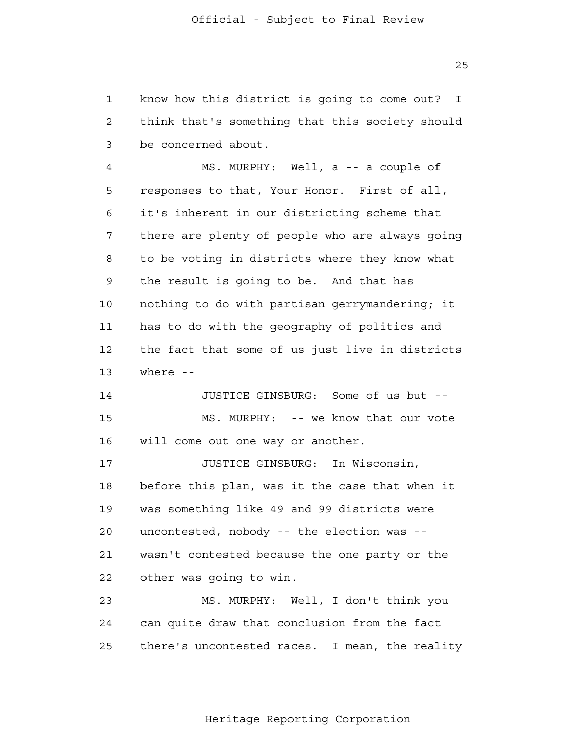1 2 3 know how this district is going to come out? I think that's something that this society should be concerned about.

 4 **5**  6 7 8 9 10 11 12 13 MS. MURPHY: Well, a -- a couple of responses to that, Your Honor. First of all, it's inherent in our districting scheme that there are plenty of people who are always going to be voting in districts where they know what the result is going to be. And that has nothing to do with partisan gerrymandering; it has to do with the geography of politics and the fact that some of us just live in districts where --

> 14 15 16 JUSTICE GINSBURG: Some of us but - MS. MURPHY: -- we know that our vote will come out one way or another.

> 17 18 19 20 21 22 JUSTICE GINSBURG: In Wisconsin, before this plan, was it the case that when it was something like 49 and 99 districts were uncontested, nobody -- the election was wasn't contested because the one party or the other was going to win.

 23 24 25 MS. MURPHY: Well, I don't think you can quite draw that conclusion from the fact there's uncontested races. I mean, the reality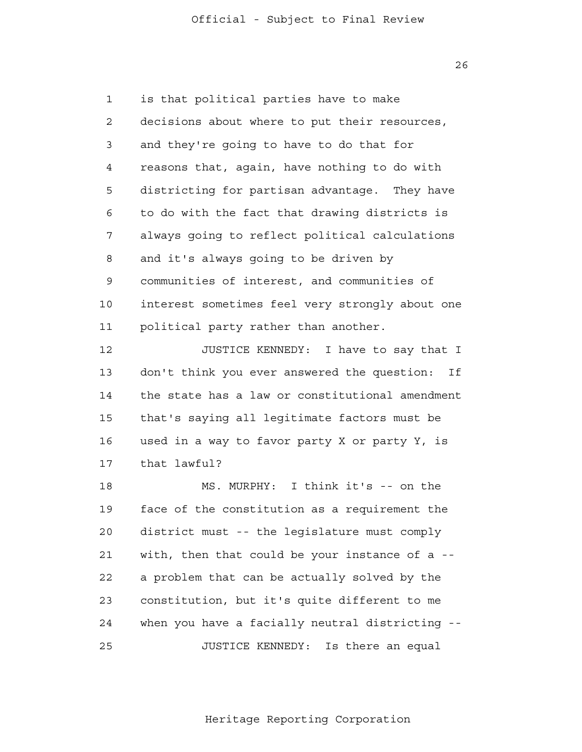1 2 3 4 **5**  6 7 8 9 10 11 is that political parties have to make decisions about where to put their resources, and they're going to have to do that for reasons that, again, have nothing to do with districting for partisan advantage. They have to do with the fact that drawing districts is always going to reflect political calculations and it's always going to be driven by communities of interest, and communities of interest sometimes feel very strongly about one political party rather than another.

> 12 13 14 15 16 17 JUSTICE KENNEDY: I have to say that I don't think you ever answered the question: If the state has a law or constitutional amendment that's saying all legitimate factors must be used in a way to favor party X or party Y, is that lawful?

> 18 19 20 21 22 23 24 25 MS. MURPHY: I think it's -- on the face of the constitution as a requirement the district must -- the legislature must comply with, then that could be your instance of a -a problem that can be actually solved by the constitution, but it's quite different to me when you have a facially neutral districting - JUSTICE KENNEDY: Is there an equal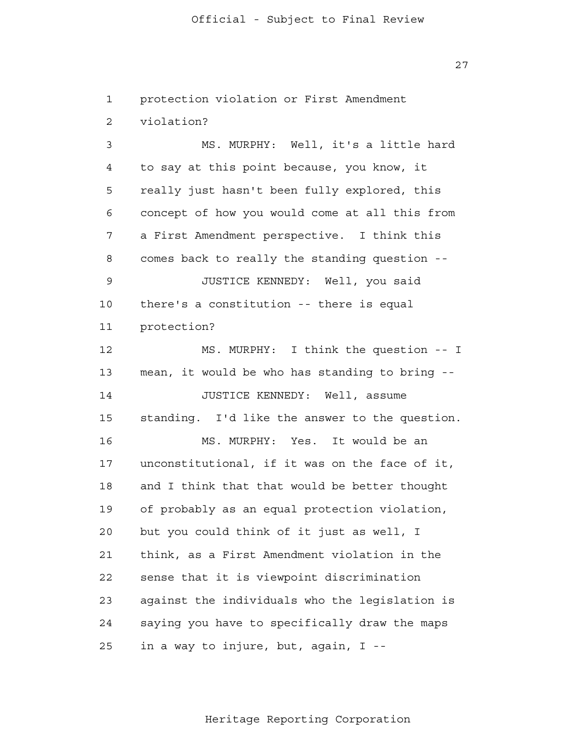1 2 3 4 **5**  6 7 8 9 10 11 12 13 14 15 16 17 18 19 20 21 22 23 24 25 protection violation or First Amendment violation? MS. MURPHY: Well, it's a little hard to say at this point because, you know, it really just hasn't been fully explored, this concept of how you would come at all this from a First Amendment perspective. I think this comes back to really the standing question - JUSTICE KENNEDY: Well, you said there's a constitution -- there is equal protection? MS. MURPHY: I think the question -- I mean, it would be who has standing to bring - JUSTICE KENNEDY: Well, assume standing. I'd like the answer to the question. MS. MURPHY: Yes. It would be an unconstitutional, if it was on the face of it, and I think that that would be better thought of probably as an equal protection violation, but you could think of it just as well, I think, as a First Amendment violation in the sense that it is viewpoint discrimination against the individuals who the legislation is saying you have to specifically draw the maps in a way to injure, but, again, I -

Heritage Reporting Corporation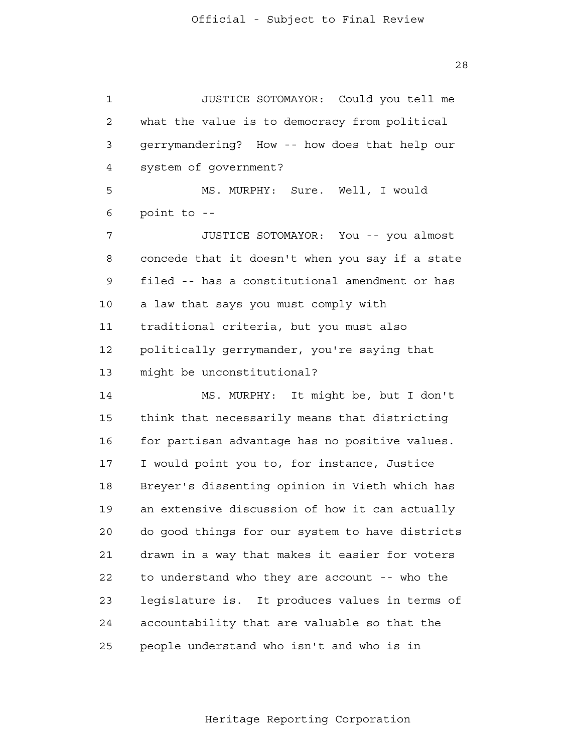1 2 3 4 **5**  6 7 8 9 10 11 12 13 14 15 16 17 18 19 20 21 22 23 24 25 JUSTICE SOTOMAYOR: Could you tell me what the value is to democracy from political gerrymandering? How -- how does that help our system of government? MS. MURPHY: Sure. Well, I would point to - JUSTICE SOTOMAYOR: You -- you almost concede that it doesn't when you say if a state filed -- has a constitutional amendment or has a law that says you must comply with traditional criteria, but you must also politically gerrymander, you're saying that might be unconstitutional? MS. MURPHY: It might be, but I don't think that necessarily means that districting for partisan advantage has no positive values. I would point you to, for instance, Justice Breyer's dissenting opinion in Vieth which has an extensive discussion of how it can actually do good things for our system to have districts drawn in a way that makes it easier for voters to understand who they are account -- who the legislature is. It produces values in terms of accountability that are valuable so that the people understand who isn't and who is in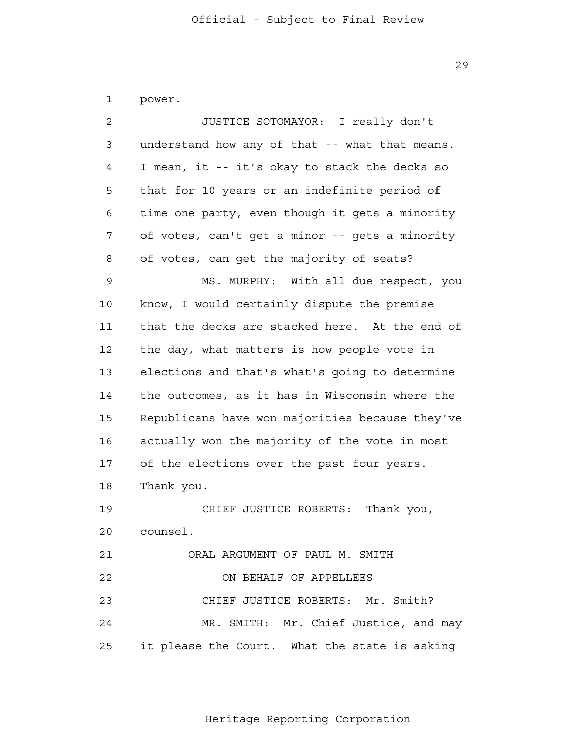1 power.

| 2  | JUSTICE SOTOMAYOR: I really don't               |  |
|----|-------------------------------------------------|--|
| 3  | understand how any of that -- what that means.  |  |
| 4  | I mean, it -- it's okay to stack the decks so   |  |
| 5  | that for 10 years or an indefinite period of    |  |
| 6  | time one party, even though it gets a minority  |  |
| 7  | of votes, can't get a minor -- gets a minority  |  |
| 8  | of votes, can get the majority of seats?        |  |
| 9  | MS. MURPHY: With all due respect, you           |  |
| 10 | know, I would certainly dispute the premise     |  |
| 11 | that the decks are stacked here. At the end of  |  |
| 12 | the day, what matters is how people vote in     |  |
| 13 | elections and that's what's going to determine  |  |
| 14 | the outcomes, as it has in Wisconsin where the  |  |
| 15 | Republicans have won majorities because they've |  |
| 16 | actually won the majority of the vote in most   |  |
| 17 | of the elections over the past four years.      |  |
| 18 | Thank you.                                      |  |
| 19 | CHIEF JUSTICE ROBERTS:<br>Thank you,            |  |
| 20 | counsel.                                        |  |
| 21 | ORAL ARGUMENT OF PAUL M. SMITH                  |  |
| 22 | ON BEHALF OF APPELLEES                          |  |
| 23 | CHIEF JUSTICE ROBERTS: Mr. Smith?               |  |
| 24 | MR. SMITH: Mr. Chief Justice, and may           |  |
| 25 | it please the Court. What the state is asking   |  |

Heritage Reporting Corporation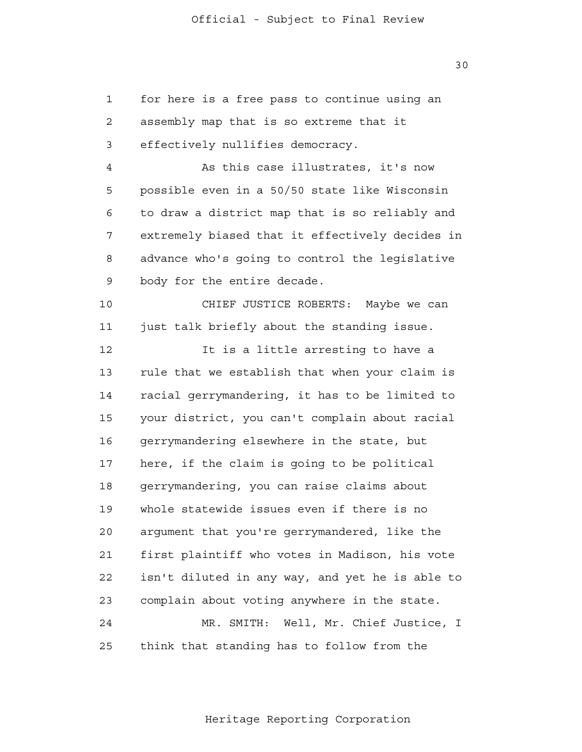1 2 3 4 **5**  6 7 8 9 10 11 12 13 14 15 16 17 18 19 20 21 22 23 24 25 for here is a free pass to continue using an assembly map that is so extreme that it effectively nullifies democracy. As this case illustrates, it's now possible even in a 50/50 state like Wisconsin to draw a district map that is so reliably and extremely biased that it effectively decides in advance who's going to control the legislative body for the entire decade. CHIEF JUSTICE ROBERTS: Maybe we can just talk briefly about the standing issue. It is a little arresting to have a rule that we establish that when your claim is racial gerrymandering, it has to be limited to your district, you can't complain about racial gerrymandering elsewhere in the state, but here, if the claim is going to be political gerrymandering, you can raise claims about whole statewide issues even if there is no argument that you're gerrymandered, like the first plaintiff who votes in Madison, his vote isn't diluted in any way, and yet he is able to complain about voting anywhere in the state. MR. SMITH: Well, Mr. Chief Justice, I think that standing has to follow from the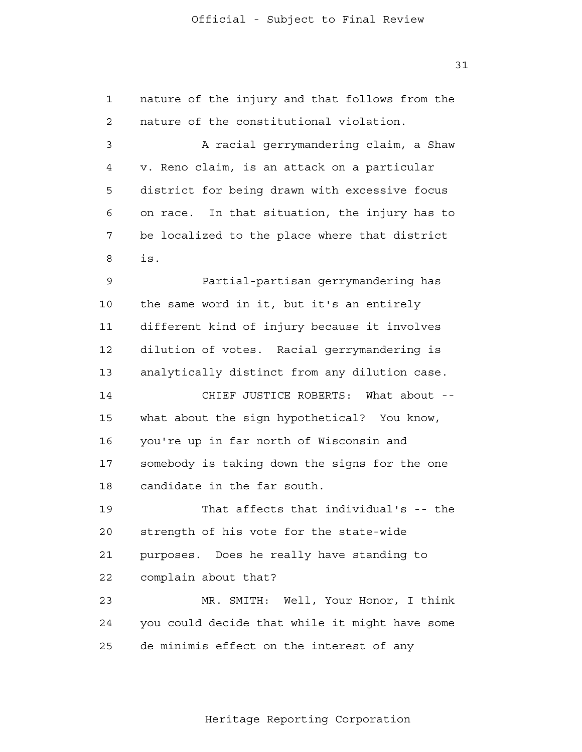1 2 3 4 **5**  6 7 8 9 10 11 12 13 14 15 16 17 18 19 20 21 22 23 24 25 nature of the injury and that follows from the nature of the constitutional violation. A racial gerrymandering claim, a Shaw v. Reno claim, is an attack on a particular district for being drawn with excessive focus on race. In that situation, the injury has to be localized to the place where that district is. Partial-partisan gerrymandering has the same word in it, but it's an entirely different kind of injury because it involves dilution of votes. Racial gerrymandering is analytically distinct from any dilution case. CHIEF JUSTICE ROBERTS: What about what about the sign hypothetical? You know, you're up in far north of Wisconsin and somebody is taking down the signs for the one candidate in the far south. That affects that individual's -- the strength of his vote for the state-wide purposes. Does he really have standing to complain about that? MR. SMITH: Well, Your Honor, I think you could decide that while it might have some de minimis effect on the interest of any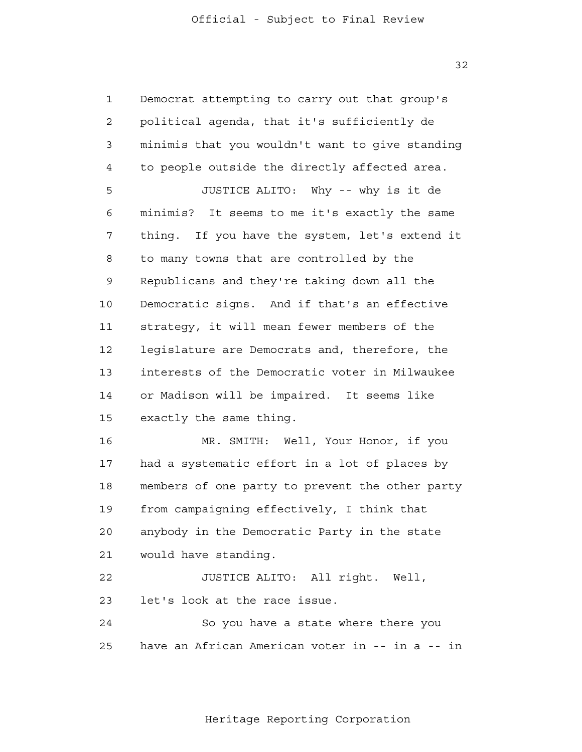32

| $\mathbf{1}$   | Democrat attempting to carry out that group's   |  |
|----------------|-------------------------------------------------|--|
| $\overline{2}$ | political agenda, that it's sufficiently de     |  |
| 3              | minimis that you wouldn't want to give standing |  |
| 4              | to people outside the directly affected area.   |  |
| 5              | JUSTICE ALITO: Why -- why is it de              |  |
| 6              | minimis? It seems to me it's exactly the same   |  |
| 7              | thing. If you have the system, let's extend it  |  |
| 8              | to many towns that are controlled by the        |  |
| 9              | Republicans and they're taking down all the     |  |
| 10             | Democratic signs. And if that's an effective    |  |
| 11             | strategy, it will mean fewer members of the     |  |
| 12             | legislature are Democrats and, therefore, the   |  |
| 13             | interests of the Democratic voter in Milwaukee  |  |
| 14             | or Madison will be impaired. It seems like      |  |
| 15             | exactly the same thing.                         |  |
| 16             | MR. SMITH: Well, Your Honor, if you             |  |
| 17             | had a systematic effort in a lot of places by   |  |
| 18             | members of one party to prevent the other party |  |
| 19             | from campaigning effectively, I think that      |  |
| 20             | anybody in the Democratic Party in the state    |  |
| 21             | would have standing.                            |  |
| 22             | JUSTICE ALITO: All right. Well,                 |  |
| 23             | let's look at the race issue.                   |  |
| 24             | So you have a state where there you             |  |
| 25             | have an African American voter in -- in a -- in |  |

Heritage Reporting Corporation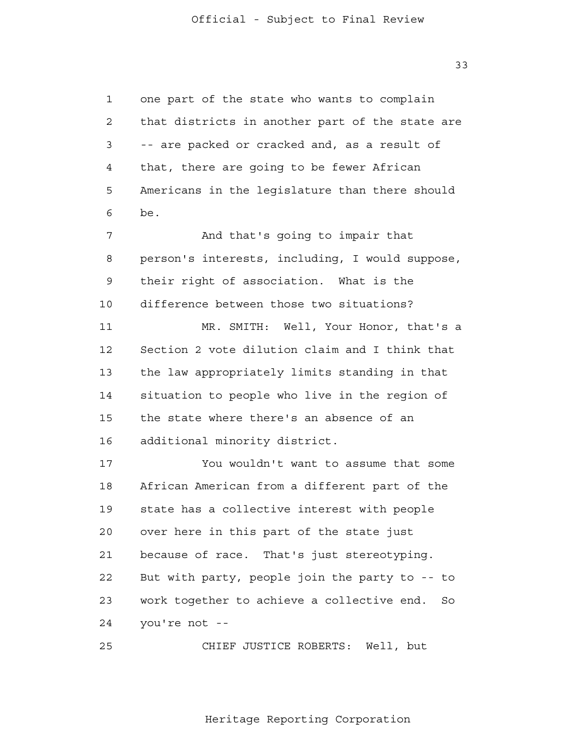33

 1 2 3 4 **5**  6 7 8 9 10 11 12 13 14 15 16 17 18 19 20 21 22 23 24 one part of the state who wants to complain that districts in another part of the state are -- are packed or cracked and, as a result of that, there are going to be fewer African Americans in the legislature than there should be. And that's going to impair that person's interests, including, I would suppose, their right of association. What is the difference between those two situations? MR. SMITH: Well, Your Honor, that's a Section 2 vote dilution claim and I think that the law appropriately limits standing in that situation to people who live in the region of the state where there's an absence of an additional minority district. You wouldn't want to assume that some African American from a different part of the state has a collective interest with people over here in this part of the state just because of race. That's just stereotyping. But with party, people join the party to -- to work together to achieve a collective end. So you're not -

> 25 CHIEF JUSTICE ROBERTS: Well, but

> > Heritage Reporting Corporation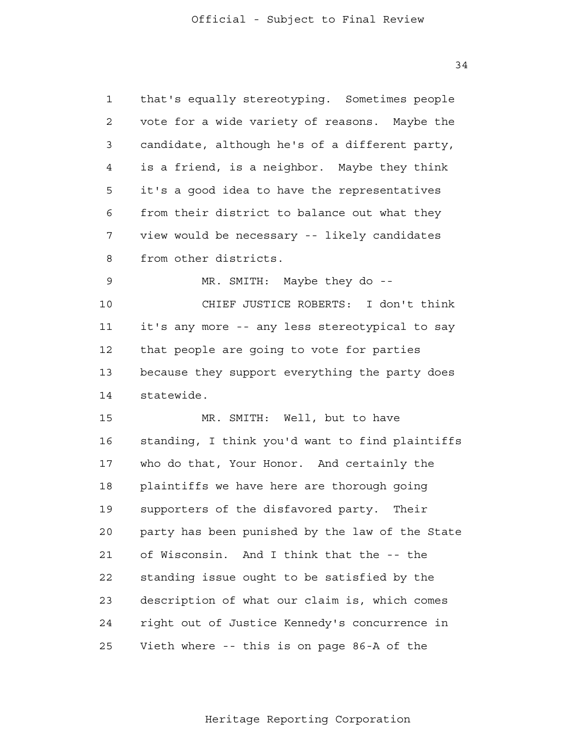1 2 3 4 **5**  6 7 8 9 10 11 12 13 14 15 16 17 18 19 20 21 22 23 24 25 that's equally stereotyping. Sometimes people vote for a wide variety of reasons. Maybe the candidate, although he's of a different party, is a friend, is a neighbor. Maybe they think it's a good idea to have the representatives from their district to balance out what they view would be necessary -- likely candidates from other districts. MR. SMITH: Maybe they do - CHIEF JUSTICE ROBERTS: I don't think it's any more -- any less stereotypical to say that people are going to vote for parties because they support everything the party does statewide. MR. SMITH: Well, but to have standing, I think you'd want to find plaintiffs who do that, Your Honor. And certainly the plaintiffs we have here are thorough going supporters of the disfavored party. Their party has been punished by the law of the State of Wisconsin. And I think that the -- the standing issue ought to be satisfied by the description of what our claim is, which comes right out of Justice Kennedy's concurrence in Vieth where -- this is on page 86-A of the

Heritage Reporting Corporation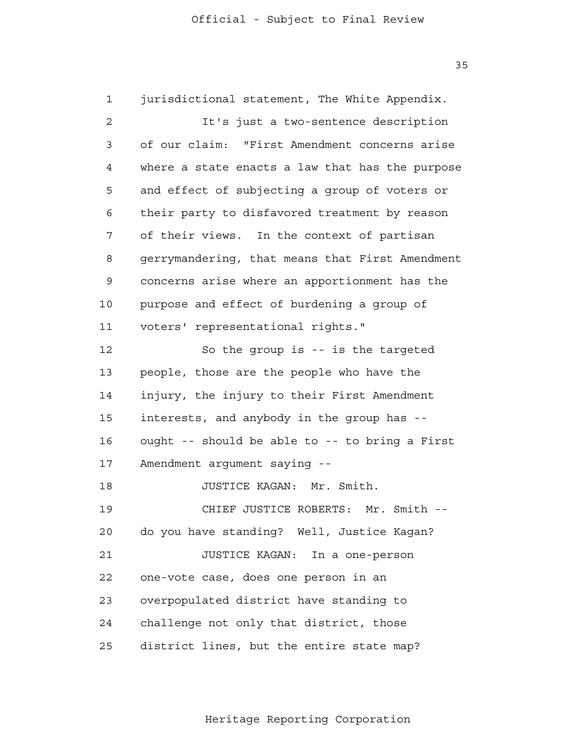1 2 3 4 **5**  6 7 8 9 10 11 12 13 14 15 16 17 18 19 20 21 22 23 24 25 jurisdictional statement, The White Appendix. It's just a two-sentence description of our claim: "First Amendment concerns arise where a state enacts a law that has the purpose and effect of subjecting a group of voters or their party to disfavored treatment by reason of their views. In the context of partisan gerrymandering, that means that First Amendment concerns arise where an apportionment has the purpose and effect of burdening a group of voters' representational rights." So the group is -- is the targeted people, those are the people who have the injury, the injury to their First Amendment interests, and anybody in the group has ought -- should be able to -- to bring a First Amendment argument saying - JUSTICE KAGAN: Mr. Smith. CHIEF JUSTICE ROBERTS: Mr. Smith do you have standing? Well, Justice Kagan? JUSTICE KAGAN: In a one-person one-vote case, does one person in an overpopulated district have standing to challenge not only that district, those district lines, but the entire state map?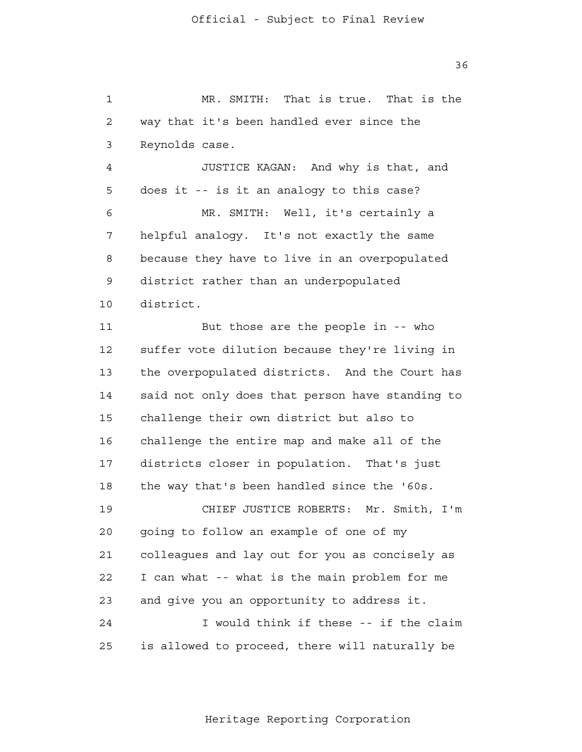1 2 3 4 **5**  6 7 8 9 10 MR. SMITH: That is true. That is the way that it's been handled ever since the Reynolds case. JUSTICE KAGAN: And why is that, and does it -- is it an analogy to this case? MR. SMITH: Well, it's certainly a helpful analogy. It's not exactly the same because they have to live in an overpopulated district rather than an underpopulated district.

> 11 12 13 14 15 16 17 18 19 20 21 22 23 24 25 But those are the people in -- who suffer vote dilution because they're living in the overpopulated districts. And the Court has said not only does that person have standing to challenge their own district but also to challenge the entire map and make all of the districts closer in population. That's just the way that's been handled since the '60s. CHIEF JUSTICE ROBERTS: Mr. Smith, I'm going to follow an example of one of my colleagues and lay out for you as concisely as I can what -- what is the main problem for me and give you an opportunity to address it. I would think if these -- if the claim is allowed to proceed, there will naturally be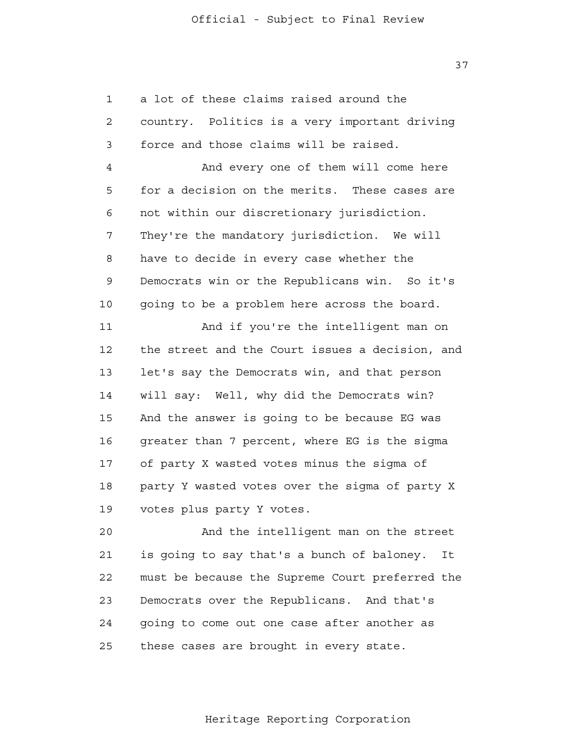1 2 3 4 **5**  6 7 8 9 10 11 12 13 14 15 16 17 18 19 20 a lot of these claims raised around the country. Politics is a very important driving force and those claims will be raised. And every one of them will come here for a decision on the merits. These cases are not within our discretionary jurisdiction. They're the mandatory jurisdiction. We will have to decide in every case whether the Democrats win or the Republicans win. So it's going to be a problem here across the board. And if you're the intelligent man on the street and the Court issues a decision, and let's say the Democrats win, and that person will say: Well, why did the Democrats win? And the answer is going to be because EG was greater than 7 percent, where EG is the sigma of party X wasted votes minus the sigma of party Y wasted votes over the sigma of party X votes plus party Y votes. And the intelligent man on the street

 21 22 23 24 25 is going to say that's a bunch of baloney. It must be because the Supreme Court preferred the Democrats over the Republicans. And that's going to come out one case after another as these cases are brought in every state.

Heritage Reporting Corporation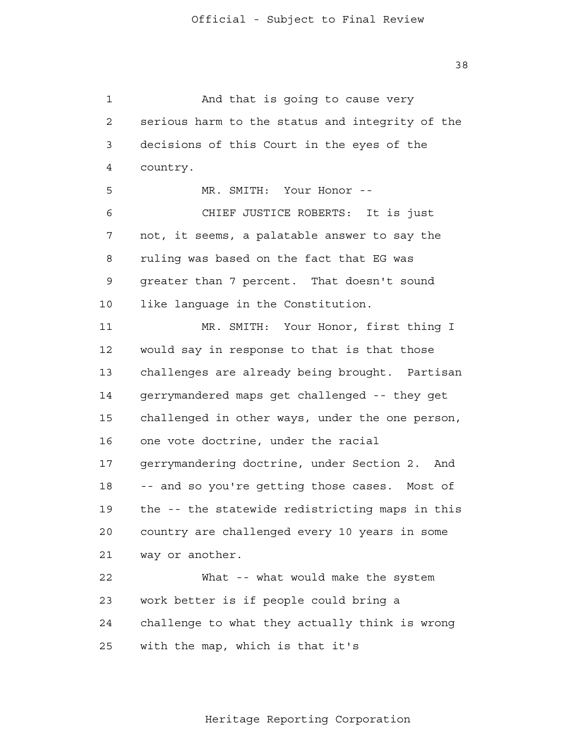1 2 3 4 **5**  6 7 8 9 10 11 12 13 14 15 16 17 18 19 20 21 22 23 24 25 And that is going to cause very serious harm to the status and integrity of the decisions of this Court in the eyes of the country. MR. SMITH: Your Honor --CHIEF JUSTICE ROBERTS: It is just not, it seems, a palatable answer to say the ruling was based on the fact that EG was greater than 7 percent. That doesn't sound like language in the Constitution. MR. SMITH: Your Honor, first thing I would say in response to that is that those challenges are already being brought. Partisan gerrymandered maps get challenged -- they get challenged in other ways, under the one person, one vote doctrine, under the racial gerrymandering doctrine, under Section 2. And -- and so you're getting those cases. Most of the -- the statewide redistricting maps in this country are challenged every 10 years in some way or another. What -- what would make the system work better is if people could bring a challenge to what they actually think is wrong with the map, which is that it's

Heritage Reporting Corporation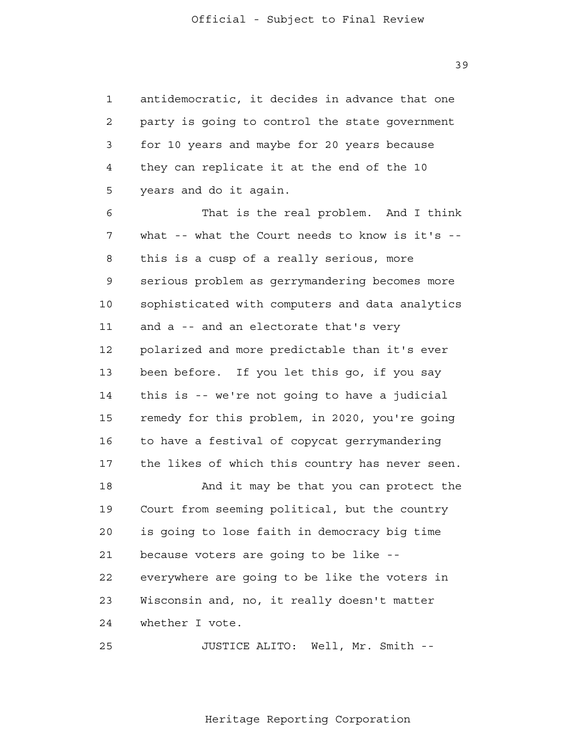1 2 3 4 **5** antidemocratic, it decides in advance that one party is going to control the state government for 10 years and maybe for 20 years because they can replicate it at the end of the 10 years and do it again.

 6 7 8 9 10 11 12 13 14 15 16 17 18 19 20 21 22 23 24 That is the real problem. And I think what -- what the Court needs to know is it's -this is a cusp of a really serious, more serious problem as gerrymandering becomes more sophisticated with computers and data analytics and a -- and an electorate that's very polarized and more predictable than it's ever been before. If you let this go, if you say this is -- we're not going to have a judicial remedy for this problem, in 2020, you're going to have a festival of copycat gerrymandering the likes of which this country has never seen. And it may be that you can protect the Court from seeming political, but the country is going to lose faith in democracy big time because voters are going to be like everywhere are going to be like the voters in Wisconsin and, no, it really doesn't matter whether I vote.

 25 JUSTICE ALITO: Well, Mr. Smith -

Heritage Reporting Corporation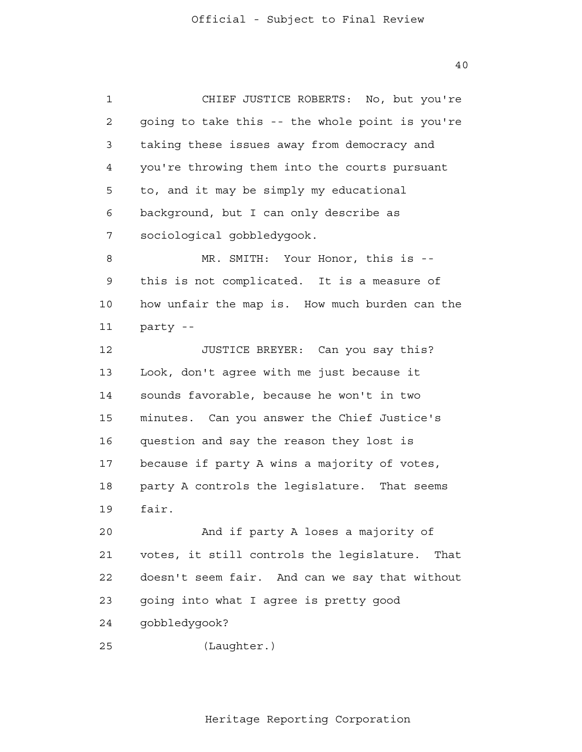1 2 3 4 **5**  6 7 8 9 10 11 12 13 14 15 16 17 18 19 20 21 22 23 24 25 CHIEF JUSTICE ROBERTS: No, but you're going to take this -- the whole point is you're taking these issues away from democracy and you're throwing them into the courts pursuant to, and it may be simply my educational background, but I can only describe as sociological gobbledygook. MR. SMITH: Your Honor, this is -this is not complicated. It is a measure of how unfair the map is. How much burden can the party - JUSTICE BREYER: Can you say this? Look, don't agree with me just because it sounds favorable, because he won't in two minutes. Can you answer the Chief Justice's question and say the reason they lost is because if party A wins a majority of votes, party A controls the legislature. That seems fair. And if party A loses a majority of votes, it still controls the legislature. That doesn't seem fair. And can we say that without going into what I agree is pretty good gobbledygook? (Laughter.)

Heritage Reporting Corporation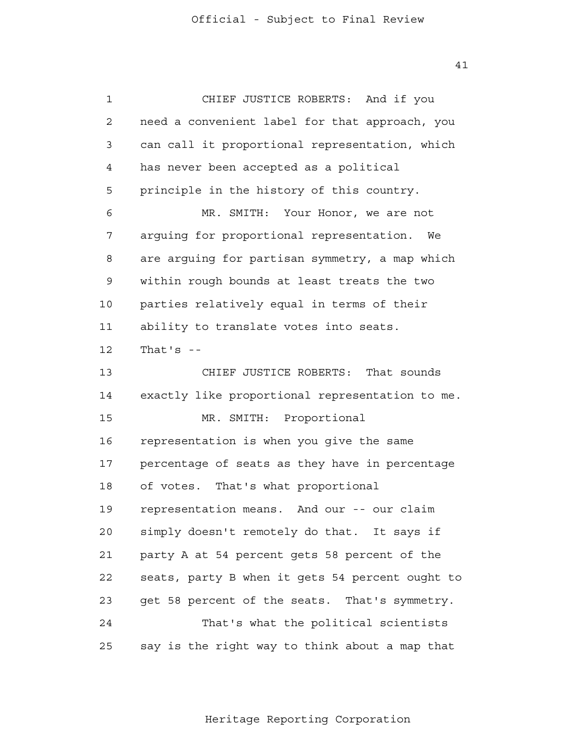41

| 1  | CHIEF JUSTICE ROBERTS: And if you               |
|----|-------------------------------------------------|
| 2  | need a convenient label for that approach, you  |
| 3  | can call it proportional representation, which  |
| 4  | has never been accepted as a political          |
| 5  | principle in the history of this country.       |
| 6  | Your Honor, we are not<br>MR. SMITH:            |
| 7  | arguing for proportional representation.<br>We  |
| 8  | are arguing for partisan symmetry, a map which  |
| 9  | within rough bounds at least treats the two     |
| 10 | parties relatively equal in terms of their      |
| 11 | ability to translate votes into seats.          |
| 12 | That's $-$                                      |
| 13 | CHIEF JUSTICE ROBERTS:<br>That sounds           |
| 14 | exactly like proportional representation to me. |
| 15 | MR. SMITH:<br>Proportional                      |
| 16 | representation is when you give the same        |
| 17 | percentage of seats as they have in percentage  |
| 18 | of votes. That's what proportional              |
| 19 | representation means. And our -- our claim      |
| 20 | simply doesn't remotely do that. It says if     |
| 21 | party A at 54 percent gets 58 percent of the    |
| 22 | seats, party B when it gets 54 percent ought to |
| 23 | get 58 percent of the seats. That's symmetry.   |
| 24 | That's what the political scientists            |
| 25 | say is the right way to think about a map that  |

Heritage Reporting Corporation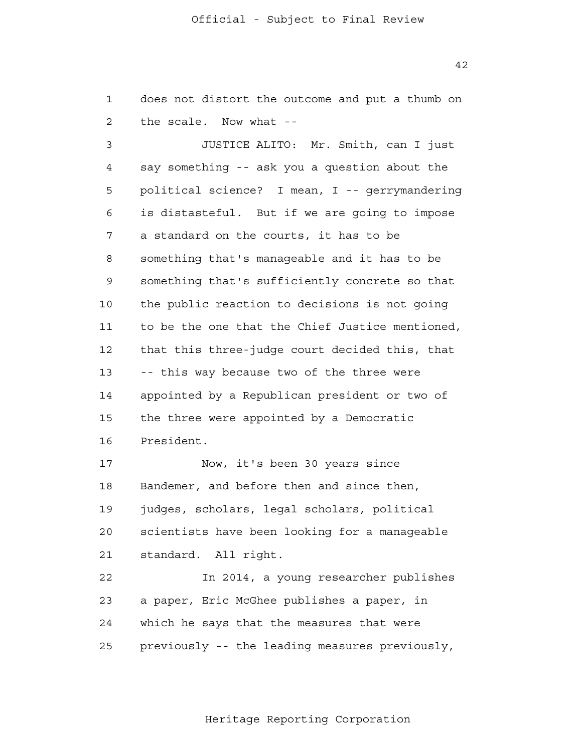1 2 does not distort the outcome and put a thumb on the scale. Now what -

 3 4 **5**  6 7 8 9 10 11 12 13 14 15 16 17 18 19 JUSTICE ALITO: Mr. Smith, can I just say something -- ask you a question about the political science? I mean, I -- gerrymandering is distasteful. But if we are going to impose a standard on the courts, it has to be something that's manageable and it has to be something that's sufficiently concrete so that the public reaction to decisions is not going to be the one that the Chief Justice mentioned, that this three-judge court decided this, that -- this way because two of the three were appointed by a Republican president or two of the three were appointed by a Democratic President. Now, it's been 30 years since Bandemer, and before then and since then, judges, scholars, legal scholars, political

> 20 21 scientists have been looking for a manageable standard. All right.

 22 23 24 25 In 2014, a young researcher publishes a paper, Eric McGhee publishes a paper, in which he says that the measures that were previously -- the leading measures previously,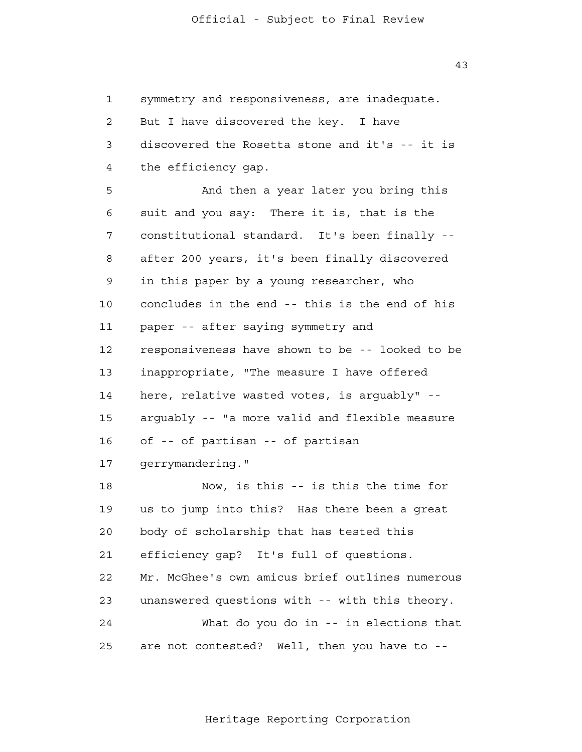1 2 3 4 **5**  6 7 8 9 10 11 12 13 14 15 16 17 18 19 20 21 22 23 24 25 symmetry and responsiveness, are inadequate. But I have discovered the key. I have discovered the Rosetta stone and it's -- it is the efficiency gap. And then a year later you bring this suit and you say: There it is, that is the constitutional standard. It's been finally after 200 years, it's been finally discovered in this paper by a young researcher, who concludes in the end -- this is the end of his paper -- after saying symmetry and responsiveness have shown to be -- looked to be inappropriate, "The measure I have offered here, relative wasted votes, is arguably" arguably -- "a more valid and flexible measure of -- of partisan -- of partisan gerrymandering." Now, is this -- is this the time for us to jump into this? Has there been a great body of scholarship that has tested this efficiency gap? It's full of questions. Mr. McGhee's own amicus brief outlines numerous unanswered questions with -- with this theory. What do you do in -- in elections that are not contested? Well, then you have to -

Heritage Reporting Corporation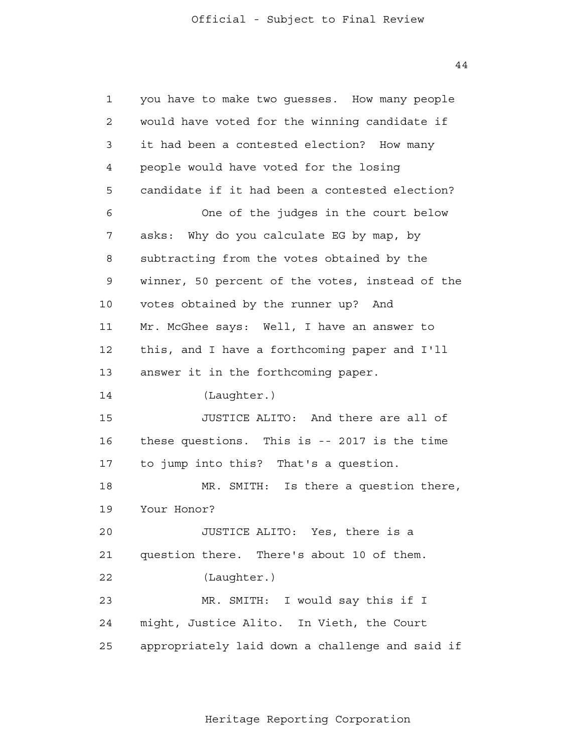1 2 3 4 **5**  6 7 8 9 10 11 12 13 14 15 16 17 18 19  $20$  21 22 23 24 25 you have to make two guesses. How many people would have voted for the winning candidate if it had been a contested election? How many people would have voted for the losing candidate if it had been a contested election? One of the judges in the court below asks: Why do you calculate EG by map, by subtracting from the votes obtained by the winner, 50 percent of the votes, instead of the votes obtained by the runner up? And Mr. McGhee says: Well, I have an answer to this, and I have a forthcoming paper and I'll answer it in the forthcoming paper. (Laughter.) JUSTICE ALITO: And there are all of these questions. This is -- 2017 is the time to jump into this? That's a question. MR. SMITH: Is there a question there, Your Honor? JUSTICE ALITO: Yes, there is a question there. There's about 10 of them. (Laughter.) MR. SMITH: I would say this if I might, Justice Alito. In Vieth, the Court appropriately laid down a challenge and said if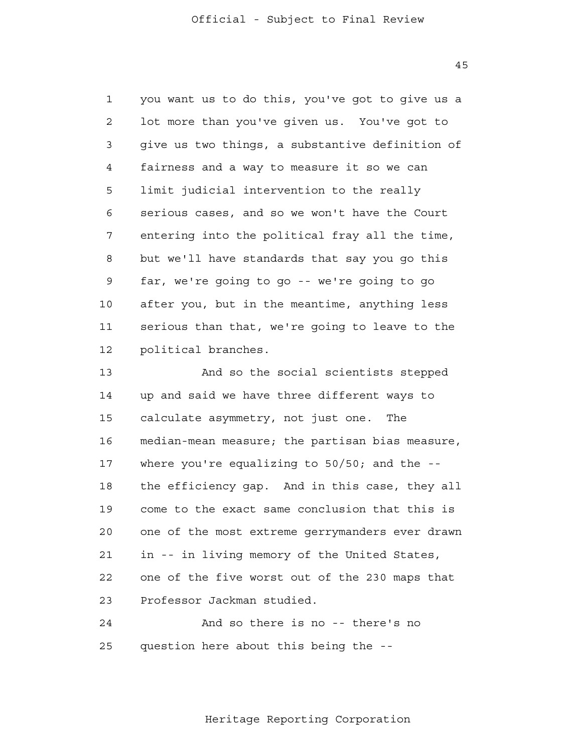1 2 3 4 **5**  6 7 8 9 10 11 12 you want us to do this, you've got to give us a lot more than you've given us. You've got to give us two things, a substantive definition of fairness and a way to measure it so we can limit judicial intervention to the really serious cases, and so we won't have the Court entering into the political fray all the time, but we'll have standards that say you go this far, we're going to go -- we're going to go after you, but in the meantime, anything less serious than that, we're going to leave to the political branches.

> 13 14 15 16 17 18 19 20 21 22 23 And so the social scientists stepped up and said we have three different ways to calculate asymmetry, not just one. The median-mean measure; the partisan bias measure, where you're equalizing to  $50/50$ ; and the  $-$ the efficiency gap. And in this case, they all come to the exact same conclusion that this is one of the most extreme gerrymanders ever drawn in -- in living memory of the United States, one of the five worst out of the 230 maps that Professor Jackman studied.

 24 25 And so there is no -- there's no question here about this being the -

Heritage Reporting Corporation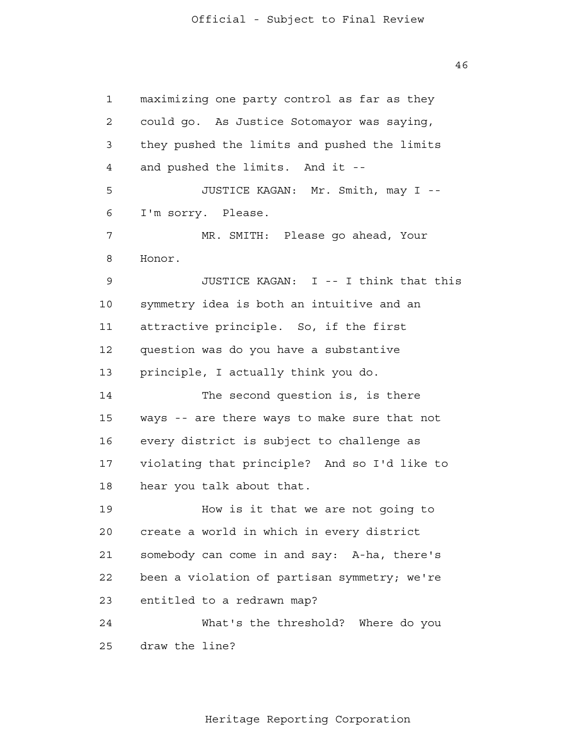1 2 3 4 **5**  6 7 8 9 10 11 12 13 14 15 16 17 18 19 20 21 22 23 24 25 maximizing one party control as far as they could go. As Justice Sotomayor was saying, they pushed the limits and pushed the limits and pushed the limits. And it - JUSTICE KAGAN: Mr. Smith, may I - I'm sorry. Please. MR. SMITH: Please go ahead, Your Honor. JUSTICE KAGAN: I -- I think that this symmetry idea is both an intuitive and an attractive principle. So, if the first question was do you have a substantive principle, I actually think you do. The second question is, is there ways -- are there ways to make sure that not every district is subject to challenge as violating that principle? And so I'd like to hear you talk about that. How is it that we are not going to create a world in which in every district somebody can come in and say: A-ha, there's been a violation of partisan symmetry; we're entitled to a redrawn map? What's the threshold? Where do you draw the line?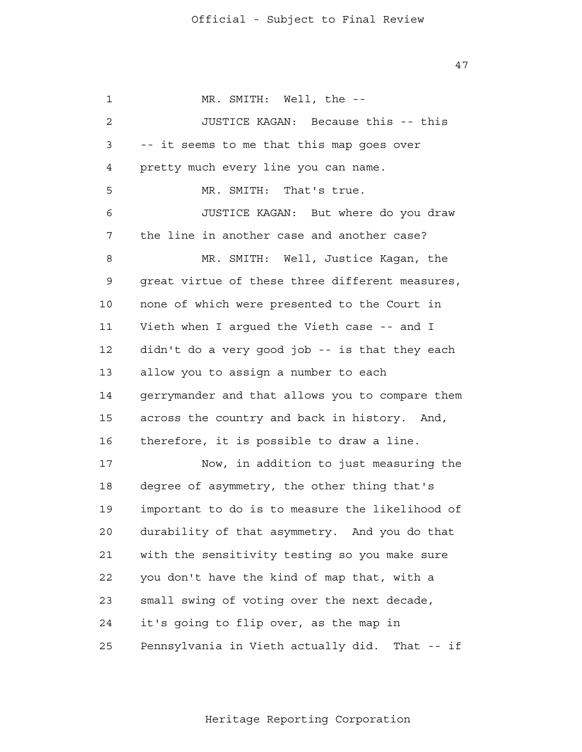47

 1 2 3 4 **5**  6 7 8 9 10 11 12 13 14 15 16 17 18 19 20 21 22 23 24 25 MR. SMITH: Well, the --JUSTICE KAGAN: Because this -- this -- it seems to me that this map goes over pretty much every line you can name. MR. SMITH: That's true. JUSTICE KAGAN: But where do you draw the line in another case and another case? MR. SMITH: Well, Justice Kagan, the great virtue of these three different measures, none of which were presented to the Court in Vieth when I argued the Vieth case -- and I didn't do a very good job -- is that they each allow you to assign a number to each gerrymander and that allows you to compare them across the country and back in history. And, therefore, it is possible to draw a line. Now, in addition to just measuring the degree of asymmetry, the other thing that's important to do is to measure the likelihood of durability of that asymmetry. And you do that with the sensitivity testing so you make sure you don't have the kind of map that, with a small swing of voting over the next decade, it's going to flip over, as the map in Pennsylvania in Vieth actually did. That -- if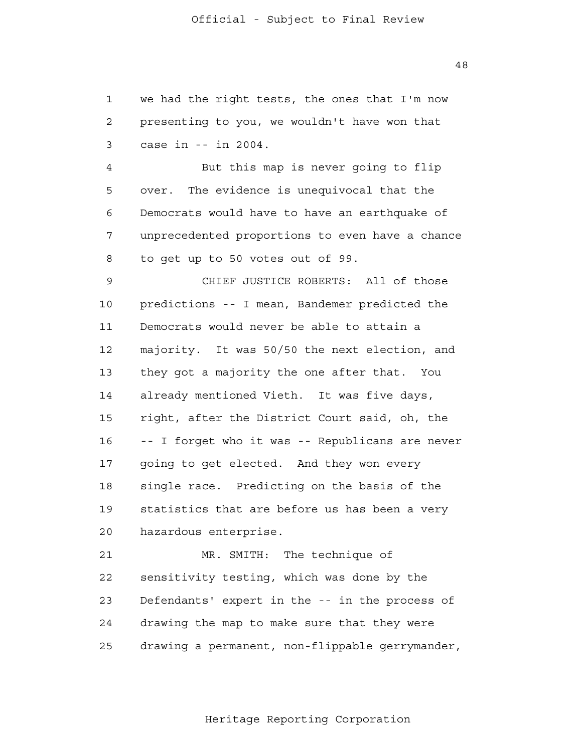1 2 3 we had the right tests, the ones that I'm now presenting to you, we wouldn't have won that case in -- in 2004.

 4 **5**  6 7 8 But this map is never going to flip over. The evidence is unequivocal that the Democrats would have to have an earthquake of unprecedented proportions to even have a chance to get up to 50 votes out of 99.

 9 10 11 12 13 14 15 16 17 18 19 20 CHIEF JUSTICE ROBERTS: All of those predictions -- I mean, Bandemer predicted the Democrats would never be able to attain a majority. It was 50/50 the next election, and they got a majority the one after that. You already mentioned Vieth. It was five days, right, after the District Court said, oh, the -- I forget who it was -- Republicans are never going to get elected. And they won every single race. Predicting on the basis of the statistics that are before us has been a very hazardous enterprise.

> 21 22 23 24 25 MR. SMITH: The technique of sensitivity testing, which was done by the Defendants' expert in the -- in the process of drawing the map to make sure that they were drawing a permanent, non-flippable gerrymander,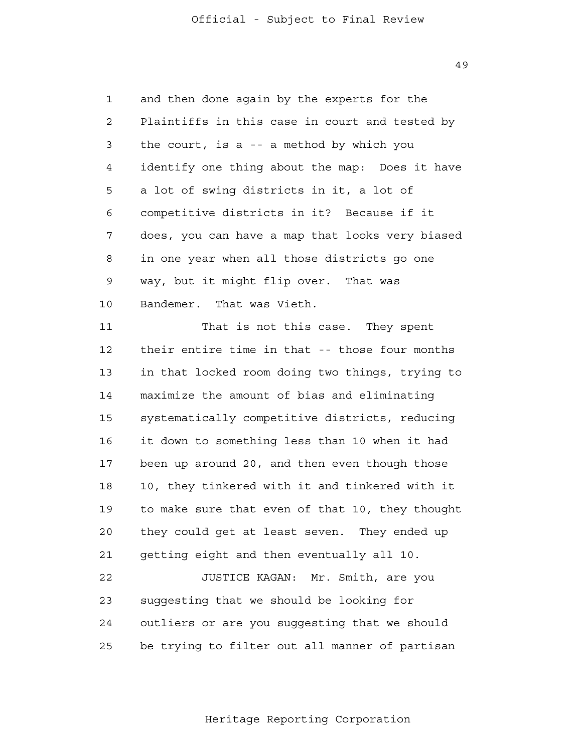1 2 3 4 **5**  6 7 8 9 10 and then done again by the experts for the Plaintiffs in this case in court and tested by the court, is a -- a method by which you identify one thing about the map: Does it have a lot of swing districts in it, a lot of competitive districts in it? Because if it does, you can have a map that looks very biased in one year when all those districts go one way, but it might flip over. That was Bandemer. That was Vieth.

> 11 12 13 14 15 16 17 18 19 20 21 22 That is not this case. They spent their entire time in that -- those four months in that locked room doing two things, trying to maximize the amount of bias and eliminating systematically competitive districts, reducing it down to something less than 10 when it had been up around 20, and then even though those 10, they tinkered with it and tinkered with it to make sure that even of that 10, they thought they could get at least seven. They ended up getting eight and then eventually all 10. JUSTICE KAGAN: Mr. Smith, are you

 23 24 25 suggesting that we should be looking for outliers or are you suggesting that we should be trying to filter out all manner of partisan

Heritage Reporting Corporation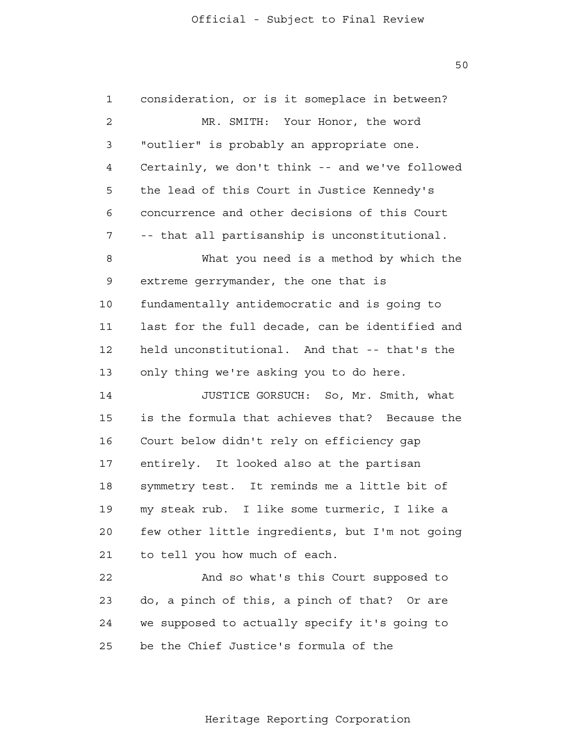1 2 3 4 **5**  6 7 8 9 10 11 12 13 14 15 16 17 18 19 20 21 22 23 24 25 consideration, or is it someplace in between? MR. SMITH: Your Honor, the word "outlier" is probably an appropriate one. Certainly, we don't think -- and we've followed the lead of this Court in Justice Kennedy's concurrence and other decisions of this Court -- that all partisanship is unconstitutional. What you need is a method by which the extreme gerrymander, the one that is fundamentally antidemocratic and is going to last for the full decade, can be identified and held unconstitutional. And that -- that's the only thing we're asking you to do here. JUSTICE GORSUCH: So, Mr. Smith, what is the formula that achieves that? Because the Court below didn't rely on efficiency gap entirely. It looked also at the partisan symmetry test. It reminds me a little bit of my steak rub. I like some turmeric, I like a few other little ingredients, but I'm not going to tell you how much of each. And so what's this Court supposed to do, a pinch of this, a pinch of that? Or are we supposed to actually specify it's going to be the Chief Justice's formula of the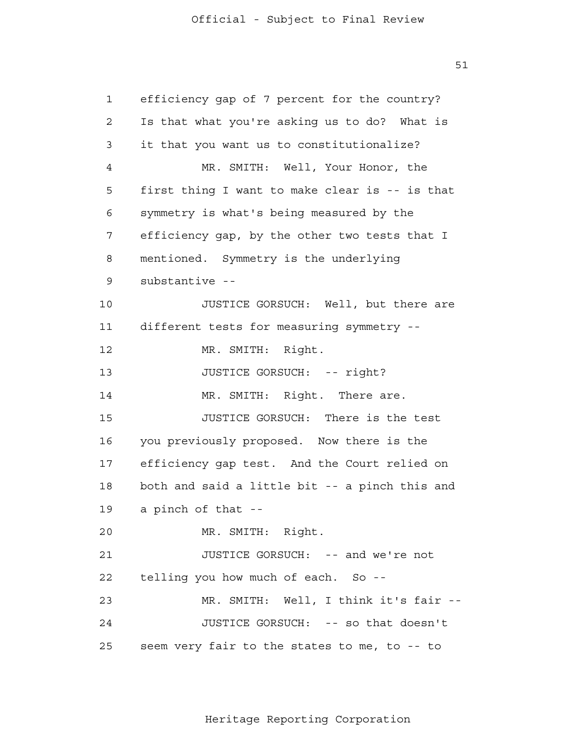1 2 3 4 **5**  6 7 8 9 10 11 12 13 14 15 16 17 18 19 20 21 22 23 24 25 efficiency gap of 7 percent for the country? Is that what you're asking us to do? What is it that you want us to constitutionalize? MR. SMITH: Well, Your Honor, the first thing I want to make clear is -- is that symmetry is what's being measured by the efficiency gap, by the other two tests that I mentioned. Symmetry is the underlying substantive - JUSTICE GORSUCH: Well, but there are different tests for measuring symmetry - MR. SMITH: Right. JUSTICE GORSUCH: -- right? MR. SMITH: Right. There are. JUSTICE GORSUCH: There is the test you previously proposed. Now there is the efficiency gap test. And the Court relied on both and said a little bit -- a pinch this and a pinch of that - MR. SMITH: Right. JUSTICE GORSUCH: -- and we're not telling you how much of each. So - MR. SMITH: Well, I think it's fair - JUSTICE GORSUCH: -- so that doesn't seem very fair to the states to me, to -- to

Heritage Reporting Corporation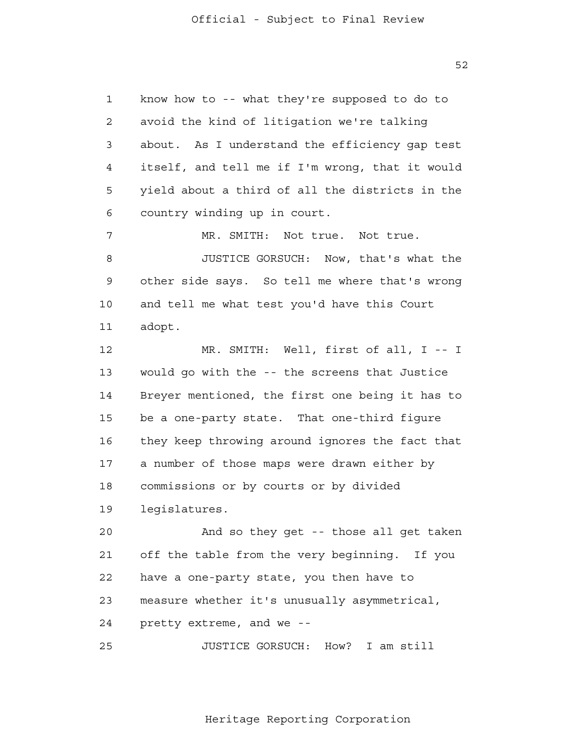1 2 3 4 **5**  6 7 8 9 10 11 12 13 14 15 16 17 18 19 20 21 22 23 24 25 know how to -- what they're supposed to do to avoid the kind of litigation we're talking about. As I understand the efficiency gap test itself, and tell me if I'm wrong, that it would yield about a third of all the districts in the country winding up in court. MR. SMITH: Not true. Not true. JUSTICE GORSUCH: Now, that's what the other side says. So tell me where that's wrong and tell me what test you'd have this Court adopt. MR. SMITH: Well, first of all, I -- I would go with the -- the screens that Justice Breyer mentioned, the first one being it has to be a one-party state. That one-third figure they keep throwing around ignores the fact that a number of those maps were drawn either by commissions or by courts or by divided legislatures. And so they get -- those all get taken off the table from the very beginning. If you have a one-party state, you then have to measure whether it's unusually asymmetrical, pretty extreme, and we - JUSTICE GORSUCH: How? I am still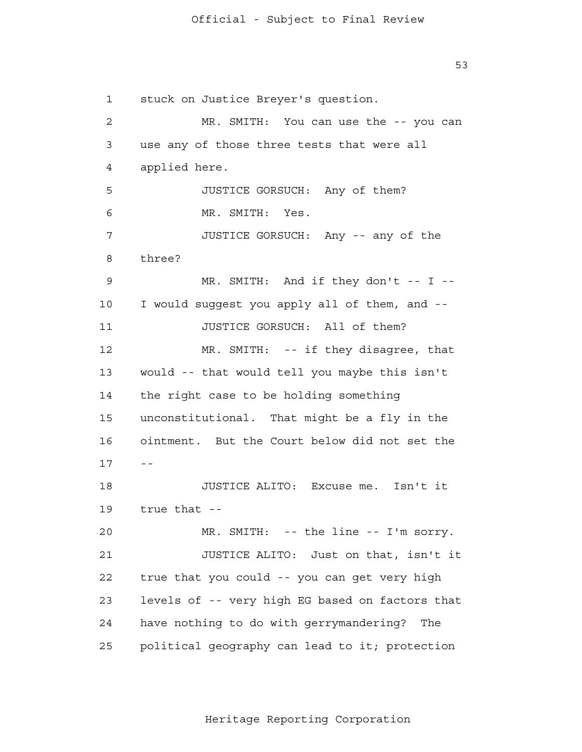1 2 3 4 **5**  6 7 8 9 10 11 12 13 14 15 16 17 -- 18 19 20 21 22 23 24 25 stuck on Justice Breyer's question. MR. SMITH: You can use the -- you can use any of those three tests that were all applied here. JUSTICE GORSUCH: Any of them? MR. SMITH: Yes. JUSTICE GORSUCH: Any -- any of the three? MR. SMITH: And if they don't -- I --I would suggest you apply all of them, and - JUSTICE GORSUCH: All of them? MR. SMITH: -- if they disagree, that would -- that would tell you maybe this isn't the right case to be holding something unconstitutional. That might be a fly in the ointment. But the Court below did not set the JUSTICE ALITO: Excuse me. Isn't it true that - MR. SMITH: -- the line -- I'm sorry. JUSTICE ALITO: Just on that, isn't it true that you could -- you can get very high levels of -- very high EG based on factors that have nothing to do with gerrymandering? The political geography can lead to it; protection

Heritage Reporting Corporation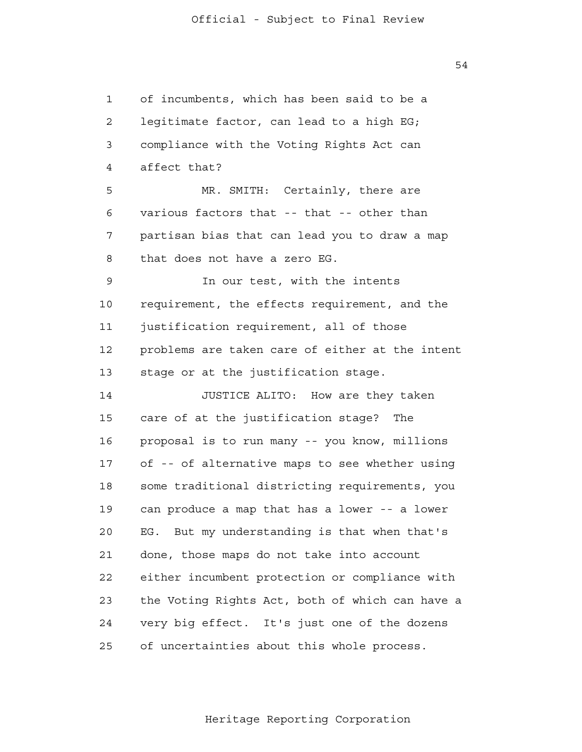1 2 3 4 **5**  6 7 8 9 10 11 12 13 14 15 16 17 18 19 20 21 22 23 24 25 of incumbents, which has been said to be a legitimate factor, can lead to a high EG; compliance with the Voting Rights Act can affect that? MR. SMITH: Certainly, there are various factors that -- that -- other than partisan bias that can lead you to draw a map that does not have a zero EG. In our test, with the intents requirement, the effects requirement, and the justification requirement, all of those problems are taken care of either at the intent stage or at the justification stage. JUSTICE ALITO: How are they taken care of at the justification stage? The proposal is to run many -- you know, millions of -- of alternative maps to see whether using some traditional districting requirements, you can produce a map that has a lower -- a lower EG. But my understanding is that when that's done, those maps do not take into account either incumbent protection or compliance with the Voting Rights Act, both of which can have a very big effect. It's just one of the dozens of uncertainties about this whole process.

Heritage Reporting Corporation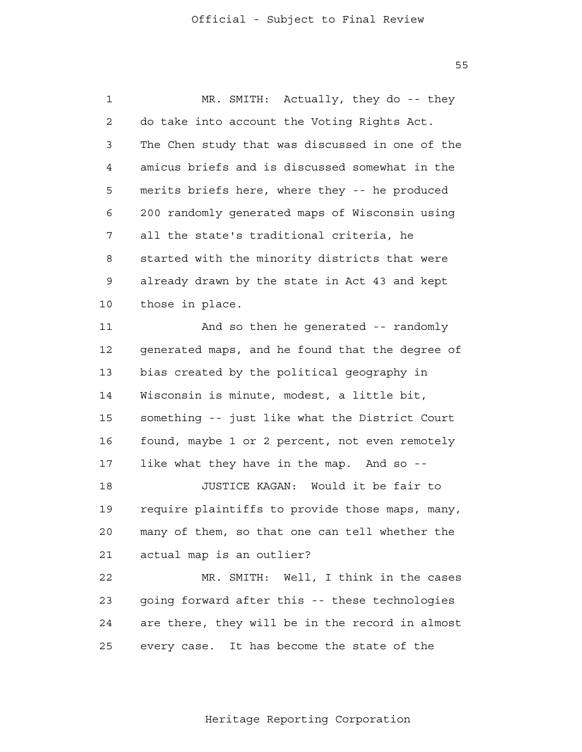1 2 3 4 **5**  6 7 8 9 10 11 12 13 14 15 16 17 18 19 20 21 22 23 24 MR. SMITH: Actually, they do -- they do take into account the Voting Rights Act. The Chen study that was discussed in one of the amicus briefs and is discussed somewhat in the merits briefs here, where they -- he produced 200 randomly generated maps of Wisconsin using all the state's traditional criteria, he started with the minority districts that were already drawn by the state in Act 43 and kept those in place. And so then he generated -- randomly generated maps, and he found that the degree of bias created by the political geography in Wisconsin is minute, modest, a little bit, something -- just like what the District Court found, maybe 1 or 2 percent, not even remotely like what they have in the map. And so --JUSTICE KAGAN: Would it be fair to require plaintiffs to provide those maps, many, many of them, so that one can tell whether the actual map is an outlier? MR. SMITH: Well, I think in the cases going forward after this -- these technologies are there, they will be in the record in almost

> 25 every case. It has become the state of the

> > Heritage Reporting Corporation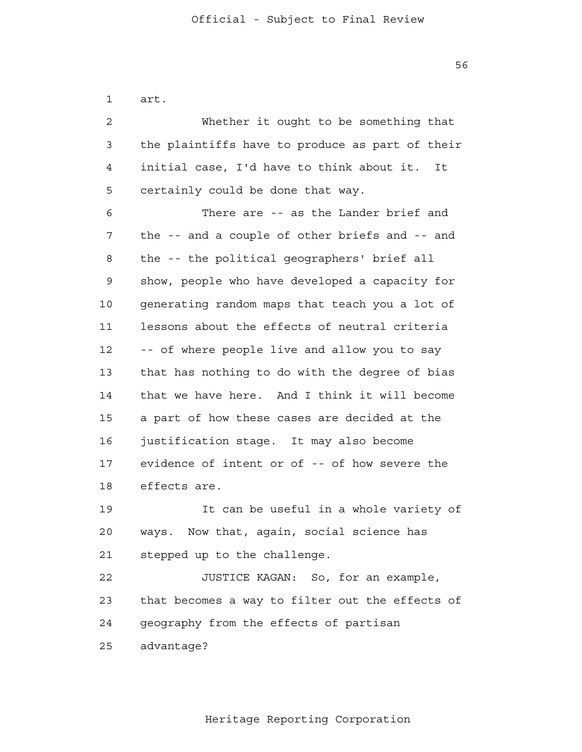1 2 3 4 **5**  6 7 8 9 10 11 12 13 14 15 16 17 18 19 20 21 22 23 art. Whether it ought to be something that the plaintiffs have to produce as part of their initial case, I'd have to think about it. It certainly could be done that way. There are -- as the Lander brief and the -- and a couple of other briefs and -- and the -- the political geographers' brief all show, people who have developed a capacity for generating random maps that teach you a lot of lessons about the effects of neutral criteria -- of where people live and allow you to say that has nothing to do with the degree of bias that we have here. And I think it will become a part of how these cases are decided at the justification stage. It may also become evidence of intent or of -- of how severe the effects are. It can be useful in a whole variety of ways. Now that, again, social science has stepped up to the challenge. JUSTICE KAGAN: So, for an example, that becomes a way to filter out the effects of

> 24 geography from the effects of partisan

 25 advantage?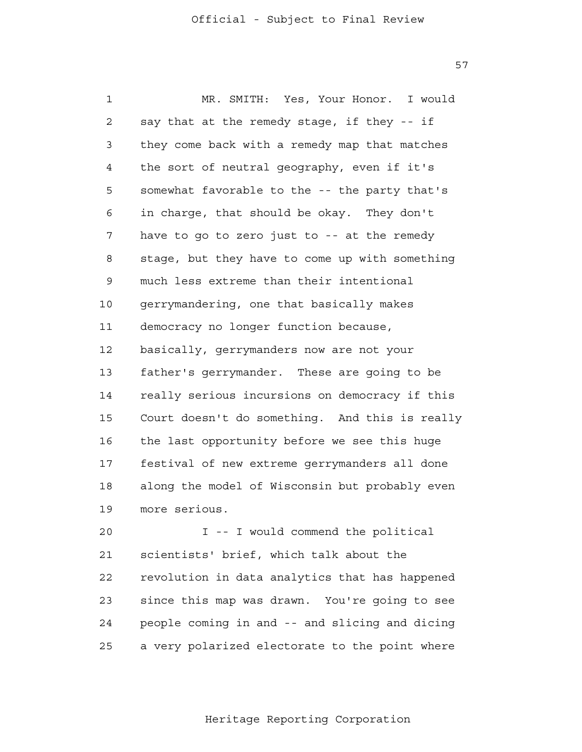57

 1 2 3 4 **5**  6 7 8 9 10 11 12 13 14 15 16 17 18 19 MR. SMITH: Yes, Your Honor. I would say that at the remedy stage, if they -- if they come back with a remedy map that matches the sort of neutral geography, even if it's somewhat favorable to the -- the party that's in charge, that should be okay. They don't have to go to zero just to -- at the remedy stage, but they have to come up with something much less extreme than their intentional gerrymandering, one that basically makes democracy no longer function because, basically, gerrymanders now are not your father's gerrymander. These are going to be really serious incursions on democracy if this Court doesn't do something. And this is really the last opportunity before we see this huge festival of new extreme gerrymanders all done along the model of Wisconsin but probably even more serious.

> 20 21 22 23 24 25 I -- I would commend the political scientists' brief, which talk about the revolution in data analytics that has happened since this map was drawn. You're going to see people coming in and -- and slicing and dicing a very polarized electorate to the point where

> > Heritage Reporting Corporation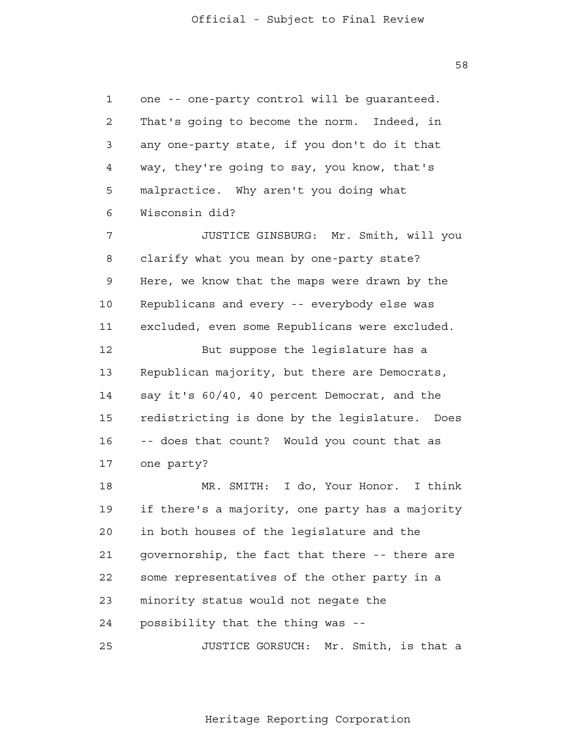1 2 3 4 **5**  6 7 8 9 10 11 12 13 14 15 16 17 18 19 20 21 22 23 24 25 one -- one-party control will be guaranteed. That's going to become the norm. Indeed, in any one-party state, if you don't do it that way, they're going to say, you know, that's malpractice. Why aren't you doing what Wisconsin did? JUSTICE GINSBURG: Mr. Smith, will you clarify what you mean by one-party state? Here, we know that the maps were drawn by the Republicans and every -- everybody else was excluded, even some Republicans were excluded. But suppose the legislature has a Republican majority, but there are Democrats, say it's 60/40, 40 percent Democrat, and the redistricting is done by the legislature. Does -- does that count? Would you count that as one party? MR. SMITH: I do, Your Honor. I think if there's a majority, one party has a majority in both houses of the legislature and the governorship, the fact that there -- there are some representatives of the other party in a minority status would not negate the possibility that the thing was - JUSTICE GORSUCH: Mr. Smith, is that a

58

#### Heritage Reporting Corporation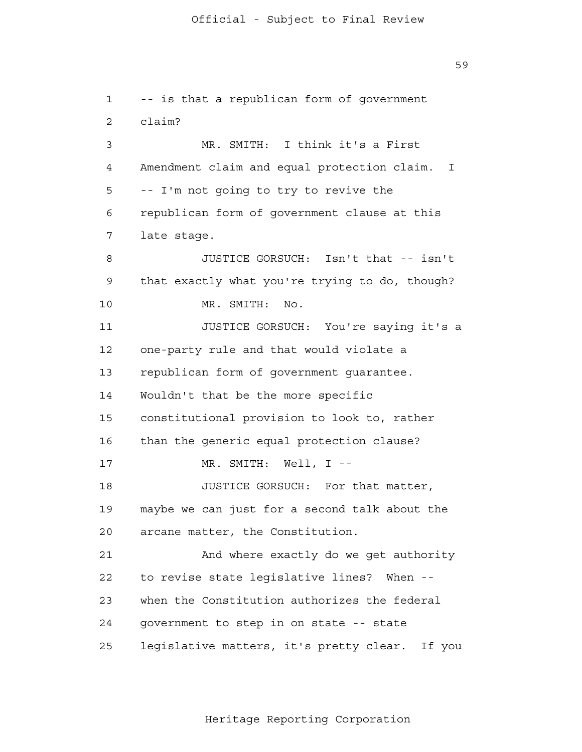1 2 3 4 **5**  6 7 8 9 10 11 12 13 14 15 16 17 18 19 20 21 22 23 24 25 -- is that a republican form of government claim? MR. SMITH: I think it's a First Amendment claim and equal protection claim. I -- I'm not going to try to revive the republican form of government clause at this late stage. JUSTICE GORSUCH: Isn't that -- isn't that exactly what you're trying to do, though? MR. SMITH: No. JUSTICE GORSUCH: You're saying it's a one-party rule and that would violate a republican form of government guarantee. Wouldn't that be the more specific constitutional provision to look to, rather than the generic equal protection clause? MR. SMITH: Well, I --JUSTICE GORSUCH: For that matter, maybe we can just for a second talk about the arcane matter, the Constitution. And where exactly do we get authority to revise state legislative lines? When when the Constitution authorizes the federal government to step in on state -- state legislative matters, it's pretty clear. If you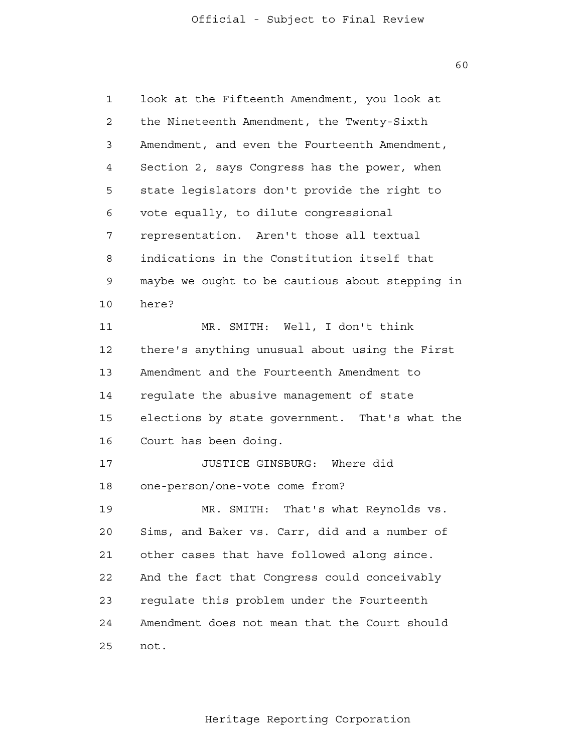1 2 3 4 **5**  6 7 8 9 10 11 12 13 14 15 16 17 18 19  $20$  21 22 23 24 25 look at the Fifteenth Amendment, you look at the Nineteenth Amendment, the Twenty-Sixth Amendment, and even the Fourteenth Amendment, Section 2, says Congress has the power, when state legislators don't provide the right to vote equally, to dilute congressional representation. Aren't those all textual indications in the Constitution itself that maybe we ought to be cautious about stepping in here? MR. SMITH: Well, I don't think there's anything unusual about using the First Amendment and the Fourteenth Amendment to regulate the abusive management of state elections by state government. That's what the Court has been doing. JUSTICE GINSBURG: Where did one-person/one-vote come from? MR. SMITH: That's what Reynolds vs. Sims, and Baker vs. Carr, did and a number of other cases that have followed along since. And the fact that Congress could conceivably regulate this problem under the Fourteenth Amendment does not mean that the Court should not.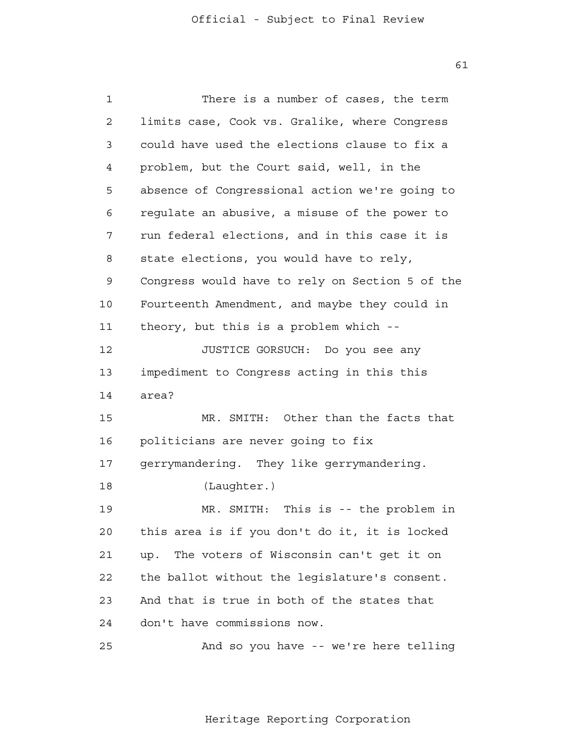1 2 3 4 **5**  6 7 8 9 10 11 12 13 14 15 16 17 18 19 20 21 22 23 24 25 There is a number of cases, the term limits case, Cook vs. Gralike, where Congress could have used the elections clause to fix a problem, but the Court said, well, in the absence of Congressional action we're going to regulate an abusive, a misuse of the power to run federal elections, and in this case it is state elections, you would have to rely, Congress would have to rely on Section 5 of the Fourteenth Amendment, and maybe they could in theory, but this is a problem which - JUSTICE GORSUCH: Do you see any impediment to Congress acting in this this area? MR. SMITH: Other than the facts that politicians are never going to fix gerrymandering. They like gerrymandering. (Laughter.) MR. SMITH: This is -- the problem in this area is if you don't do it, it is locked up. The voters of Wisconsin can't get it on the ballot without the legislature's consent. And that is true in both of the states that don't have commissions now. And so you have -- we're here telling

Heritage Reporting Corporation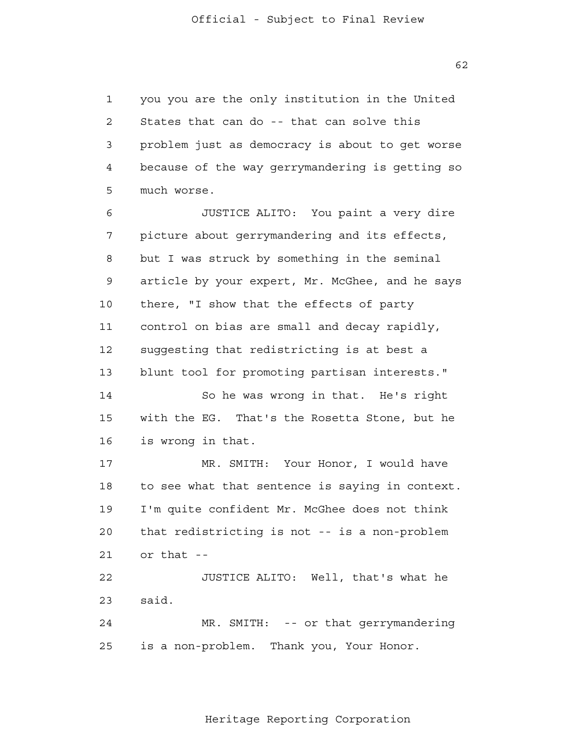1 2 3 4 **5** you you are the only institution in the United States that can do -- that can solve this problem just as democracy is about to get worse because of the way gerrymandering is getting so much worse.

 6 7 8 9 10 11 12 13 14 15 16 17 18 19 20 21 22 23 24 25 JUSTICE ALITO: You paint a very dire picture about gerrymandering and its effects, but I was struck by something in the seminal article by your expert, Mr. McGhee, and he says there, "I show that the effects of party control on bias are small and decay rapidly, suggesting that redistricting is at best a blunt tool for promoting partisan interests." So he was wrong in that. He's right with the EG. That's the Rosetta Stone, but he is wrong in that. MR. SMITH: Your Honor, I would have to see what that sentence is saying in context. I'm quite confident Mr. McGhee does not think that redistricting is not -- is a non-problem or that - JUSTICE ALITO: Well, that's what he said. MR. SMITH: -- or that gerrymandering is a non-problem. Thank you, Your Honor.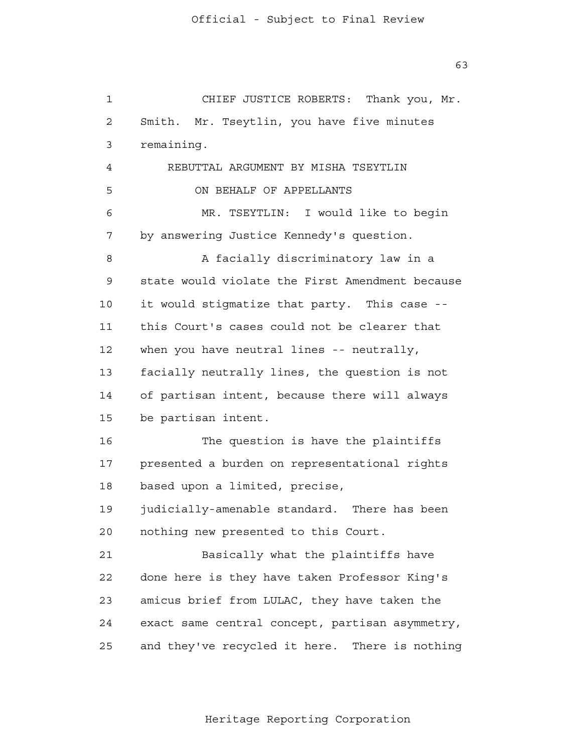1 2 3 4 **5**  6 7 8 9 10 11 12 13 14 15 16 17 18 19  $20$  21 22 23 24 25 CHIEF JUSTICE ROBERTS: Thank you, Mr. Smith. Mr. Tseytlin, you have five minutes remaining. REBUTTAL ARGUMENT BY MISHA TSEYTLIN ON BEHALF OF APPELLANTS MR. TSEYTLIN: I would like to begin by answering Justice Kennedy's question. A facially discriminatory law in a state would violate the First Amendment because it would stigmatize that party. This case this Court's cases could not be clearer that when you have neutral lines -- neutrally, facially neutrally lines, the question is not of partisan intent, because there will always be partisan intent. The question is have the plaintiffs presented a burden on representational rights based upon a limited, precise, judicially-amenable standard. There has been nothing new presented to this Court. Basically what the plaintiffs have done here is they have taken Professor King's amicus brief from LULAC, they have taken the exact same central concept, partisan asymmetry, and they've recycled it here. There is nothing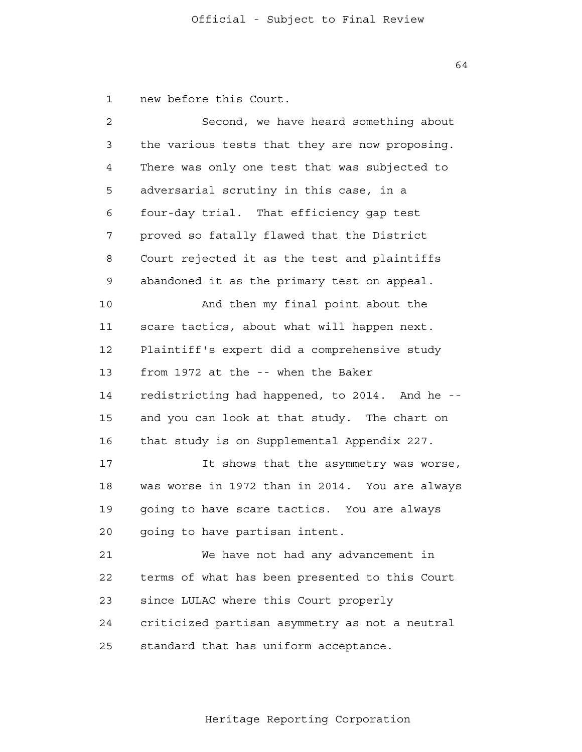1 new before this Court.

| $\overline{a}$ | Second, we have heard something about          |
|----------------|------------------------------------------------|
| 3              | the various tests that they are now proposing. |
| 4              | There was only one test that was subjected to  |
| 5              | adversarial scrutiny in this case, in a        |
| 6              | four-day trial. That efficiency gap test       |
| 7              | proved so fatally flawed that the District     |
| 8              | Court rejected it as the test and plaintiffs   |
| 9              | abandoned it as the primary test on appeal.    |
| 10             | And then my final point about the              |
| 11             | scare tactics, about what will happen next.    |
| 12             | Plaintiff's expert did a comprehensive study   |
| 13             | from 1972 at the -- when the Baker             |
| 14             | redistricting had happened, to 2014. And he -- |
| 15             | and you can look at that study. The chart on   |
| 16             | that study is on Supplemental Appendix 227.    |
| 17             | It shows that the asymmetry was worse,         |
| 18             | was worse in 1972 than in 2014. You are always |
| 19             | going to have scare tactics. You are always    |
| 20             | going to have partisan intent.                 |
| 21             | We have not had any advancement in             |
| 22             | terms of what has been presented to this Court |
| 23             | since LULAC where this Court properly          |
| 24             | criticized partisan asymmetry as not a neutral |
| 25             | standard that has uniform acceptance.          |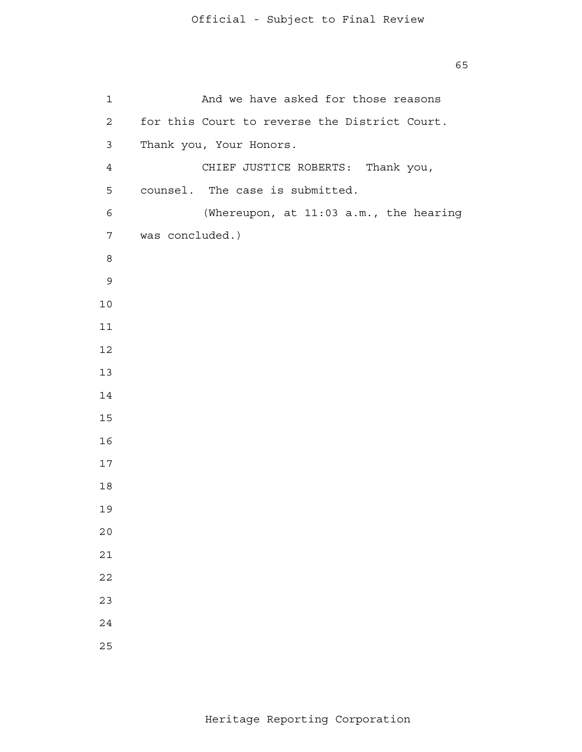8 and 3 and 3 and 3 and 3 and 3 and 3 and 3 and 3 and 3 and 3 and 3 and 3 and 3 and 3 and 3 and 3 and 3 and 3 And we have asked for those reasons for this Court to reverse the District Court. Thank you, Your Honors. CHIEF JUSTICE ROBERTS: Thank you, counsel. The case is submitted. (Whereupon, at 11:03 a.m., the hearing was concluded.)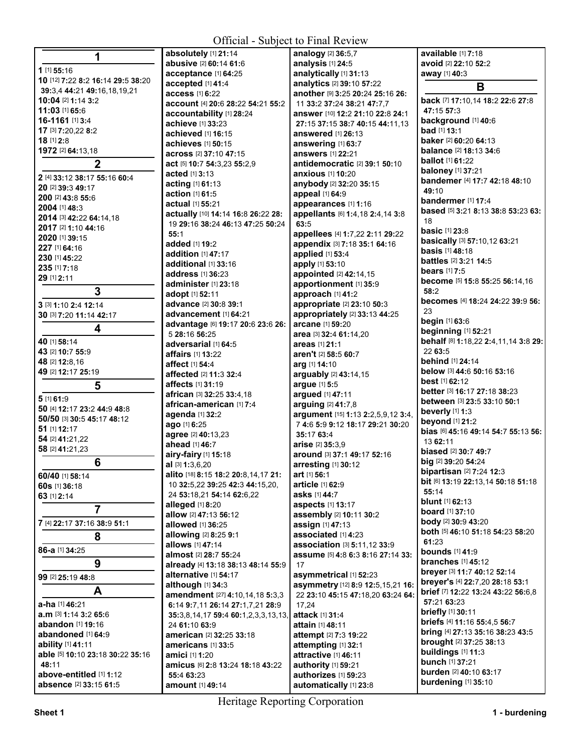| Official - Subject to Final Review |                                             |                                        |                                                                |
|------------------------------------|---------------------------------------------|----------------------------------------|----------------------------------------------------------------|
| 1                                  | absolutely [1] 21:14                        | analogy [2] 36:5,7                     | available [1] 7:18                                             |
|                                    | abusive [2] 60:14 61:6                      | analysis [1] 24:5                      | avoid [2] 22:10 52:2                                           |
| 1 [1] 55:16                        | acceptance [1] 64:25                        | analytically [1] 31:13                 | away [1] 40:3                                                  |
| 10 [12] 7:22 8:2 16:14 29:5 38:20  | accepted [1] 41:4                           | analytics [2] 39:10 57:22              | B                                                              |
| 39:3,4 44:21 49:16,18,19,21        | access [1] 6:22                             | another [9] 3:25 20:24 25:16 26:       |                                                                |
| 10:04 [2] 1:14 3:2                 | account [4] 20:6 28:22 54:21 55:2           | 11 33:2 37:24 38:21 47:7,7             | back [7] 17:10,14 18:2 22:6 27:8                               |
| 11:03 [1] 65:6                     | accountability [1] 28:24                    | answer [10] 12:2 21:10 22:8 24:1       | 47:15 57:3                                                     |
| 16-1161 [1] 3:4                    | achieve [1] 33:23                           | 27:15 37:15 38:7 40:15 44:11,13        | background [1] 40:6                                            |
| 17 [3] 7:20,22 8:2                 | achieved [1] 16:15                          | answered [1] 26:13                     | <b>bad</b> [1] <b>13:1</b>                                     |
| 18 [1] 2:8                         | achieves [1] 50:15                          | answering [1] 63:7                     | baker [2] 60:20 64:13                                          |
| 1972 [2] 64:13,18                  | across [2] 37:10 47:15                      | answers [1] 22:21                      | balance [2] 18:13 34:6                                         |
| $\overline{2}$                     | act [5] 10:7 54:3,23 55:2,9                 | antidemocratic [2] 39:1 50:10          | <b>ballot</b> [1] <b>61:22</b>                                 |
| 2 [4] 33:12 38:17 55:16 60:4       | acted [1] 3:13                              | anxious [1] 10:20                      | <b>baloney</b> [1] 37:21                                       |
| 20 [2] 39:3 49:17                  | acting [1] 61:13                            | anybody [2] 32:20 35:15                | bandemer [4] 17:7 42:18 48:10                                  |
| 200 [2] 43:8 55:6                  | action [1] 61:5                             | appeal [1] 64:9                        | 49:10                                                          |
| 2004 [1] 48:3                      | actual [1] 55:21                            | appearances [1] 1:16                   | bandermer [1] 17:4                                             |
| 2014 [3] 42:22 64:14,18            | actually [10] 14:14 16:8 26:22 28:          | appellants [6] 1:4,18 2:4,14 3:8       | based [5] 3:21 8:13 38:8 53:23 63:                             |
| 2017 [2] 1:10 44:16                | 19 29:16 38:24 46:13 47:25 50:24            | 63:5                                   | 18                                                             |
| 2020 [1] 39:15                     | 55:1                                        | appellees [4] 1:7,22 2:11 29:22        | <b>basic</b> [1] 23:8                                          |
| 227 [1] 64:16                      | added [1] 19:2                              | appendix [3] 7:18 35:1 64:16           | basically [3] 57:10,12 63:21                                   |
| 230 [1] 45:22                      | addition [1] 47:17                          | applied [1] 53:4                       | <b>basis</b> [1] <b>48:18</b>                                  |
| 235 [1] 7:18                       | additional [1] 33:16                        | apply [1] 53:10                        | <b>battles</b> [2] 3:21 14:5                                   |
| 29 [1] 2:11                        | address [1] 36:23                           | appointed [2] 42:14,15                 | <b>bears</b> [1] <b>7:5</b>                                    |
| 3                                  | administer [1] 23:18                        | apportionment [1] 35:9                 | become [5] 15:8 55:25 56:14,16<br>58:2                         |
|                                    | adopt [1] 52:11                             | approach [1] 41:2                      | becomes [4] 18:24 24:22 39:9 56:                               |
| 3 [3] 1:10 2:4 12:14               | advance [2] 30:8 39:1                       | appropriate [2] 23:10 50:3             | 23                                                             |
| 30 [3] 7:20 11:14 42:17            | advancement [1] 64:21                       | appropriately [2] 33:13 44:25          | begin [1] 63:6                                                 |
| 4                                  | advantage [6] 19:17 20:6 23:6 26:           | arcane [1] 59:20                       | beginning [1] 52:21                                            |
| 40 [1] 58:14                       | 5 28:16 56:25                               | area [3] 32:4 61:14,20                 | behalf [8] 1:18,22 2:4,11,14 3:8 29:                           |
| 43 [2] 10:7 55:9                   | adversarial [1] 64:5                        | areas [1] 21:1                         | 22 63:5                                                        |
| 48 [2] 12:8,16                     | affairs [1] 13:22                           | aren't [2] 58:5 60:7                   | behind [1] 24:14                                               |
| 49 [2] 12:17 25:19                 | affect [1] 54:4                             | arg [1] 14:10                          | below [3] 44:6 50:16 53:16                                     |
|                                    | affected [2] 11:3 32:4<br>affects [1] 31:19 | arguably [2] 43:14,15                  | <b>best</b> [1] 62:12                                          |
| 5                                  | african [3] 32:25 33:4,18                   | argue [1] 5:5                          | better [3] 16:17 27:18 38:23                                   |
| 5 [1] 61:9                         | african-american [1] 7:4                    | argued [1] 47:11<br>arguing [2] 41:7,8 | between [3] 23:5 33:10 50:1                                    |
| 50 [4] 12:17 23:2 44:9 48:8        | agenda [1] 32:2                             | argument [15] 1:13 2:2,5,9,12 3:4,     | beverly $[1]$ 1:3                                              |
| 50/50 [3] 30:5 45:17 48:12         | ago [1] 6:25                                | 7 4:6 5:9 9:12 18:17 29:21 30:20       | beyond [1] 21:2                                                |
| 51 [1] 12:17                       | agree [2] 40:13,23                          | 35:17 63:4                             | bias [6] 45:16 49:14 54:7 55:13 56:                            |
| 54 [2] 41:21,22                    | ahead [1] 46:7                              | <b>arise</b> [2] <b>35:</b> 3.9        | 13 62:11                                                       |
| 58 [2] 41:21,23                    | airy-fairy [1] 15:18                        | around [3] 37:1 49:17 52:16            | <b>biased</b> [2] 30:7 49:7                                    |
| 6                                  | <b>al</b> [3] <b>1:</b> 3,6,20              | arresting $[1]$ 30:12                  | big [2] 39:20 54:24                                            |
| 60/40 [1] 58:14                    | alito [18] 8:15 18:2 20:8,14,17 21:         | art [1] 56:1                           | bipartisan [2] 7:24 12:3                                       |
| 60s [1] 36:18                      | 10 32:5,22 39:25 42:3 44:15,20,             | article [1] 62:9                       | bit [6] 13:19 22:13,14 50:18 51:18                             |
| 63 [1] 2:14                        | 24 53:18,21 54:14 62:6,22                   | <b>asks</b> [1] <b>44:7</b>            | 55:14                                                          |
|                                    | alleged [1] 8:20                            | aspects [1] 13:17                      | <b>blunt</b> [1] <b>62:</b> 13                                 |
| $\overline{7}$                     | allow [2] 47:13 56:12                       | assembly [2] 10:11 30:2                | <b>board</b> [1] <b>37:10</b>                                  |
| 7 [4] 22:17 37:16 38:9 51:1        | allowed [1] 36:25                           | assign [1] 47:13                       | <b>body</b> [2] 30:9 43:20                                     |
| 8                                  | <b>allowing</b> [2] 8:25 9:1                | associated [1] 4:23                    | both [5] 46:10 51:18 54:23 58:20                               |
|                                    | allows [1] 47:14                            | association [3] 5:11,12 33:9           | 61:23                                                          |
| 86-a [1] 34:25                     | almost [2] 28:7 55:24                       | assume [5] 4:8 6:3 8:16 27:14 33:      | <b>bounds</b> [1] 41:9                                         |
| 9                                  | already [4] 13:18 38:13 48:14 55:9          | 17                                     | <b>branches</b> [1] 45:12                                      |
| 99 [2] 25:19 48:8                  | alternative [1] 54:17                       | asymmetrical [1] 52:23                 | brever [3] 11:7 40:12 52:14<br>breyer's [4] 22:7,20 28:18 53:1 |
| A                                  | although [1] 34:3                           | asymmetry [12] 8:9 12:5,15,21 16:      | brief [7] 12:22 13:24 43:22 56:6,8                             |
|                                    | amendment [27] 4:10,14,18 5:3,3             | 22 23:10 45:15 47:18,20 63:24 64:      | 57:21 63:23                                                    |
| a-ha [1] 46:21                     | 6:14 9:7,11 26:14 27:1,7,21 28:9            | 17,24                                  | <b>briefly</b> [1] 30:11                                       |
| a.m [3] 1:14 3:2 65:6              | 35:3,8,14,17 59:4 60:1,2,3,3,13,13,         | attack [1] 31:4                        | briefs [4] 11:16 55:4,5 56:7                                   |
| abandon [1] 19:16                  | 24 61:10 63:9                               | attain [1] 48:11                       | <b>bring</b> [4] 27:13 35:16 38:23 43:5                        |
| abandoned [1] 64:9                 | american [2] 32:25 33:18                    | attempt [2] 7:3 19:22                  | brought [2] 37:25 38:13                                        |
| ability [1] 41:11                  | americans [1] 33:5                          | attempting [1] 32:1                    | buildings [1] 11:3                                             |
| able [5] 10:10 23:18 30:22 35:16   | amici [1] 1:20                              | attractive [1] 46:11                   | bunch [1] 37:21                                                |
| 48:11<br>above-entitled [1] 1:12   | amicus [6] 2:8 13:24 18:18 43:22            | authority [1] 59:21                    | burden [2] 40:10 63:17                                         |
|                                    | 55:4 63:23                                  | authorizes [1] 59:23                   | burdening [1] 35:10                                            |
| absence [2] 33:15 61:5             | <b>amount</b> [1] 49:14                     | automatically [1] 23:8                 |                                                                |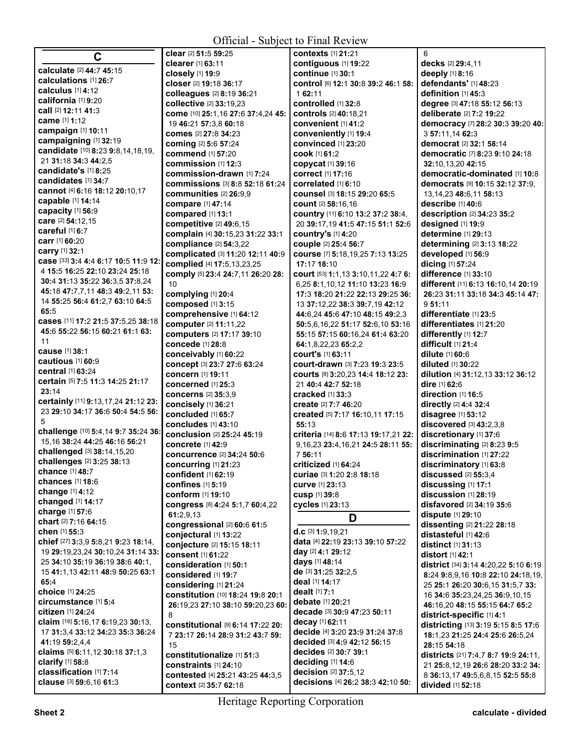**All Contracts** 

| C                                                                      | clear [2] 51:5 59:25                                | contexts [1] 21:21                                                  | 6                                                                          |
|------------------------------------------------------------------------|-----------------------------------------------------|---------------------------------------------------------------------|----------------------------------------------------------------------------|
|                                                                        | clearer [1] 63:11                                   | contiguous [1] 19:22                                                | decks [2] 29:4,11                                                          |
| calculate [2] 44:7 45:15<br>calculations [1] 26:7                      | closely [1] 19:9                                    | continue [1] 30:1                                                   | deeply [1] 8:16                                                            |
| calculus [1] 4:12                                                      | closer [2] 19:18 36:17                              | control [6] 12:1 30:8 39:2 46:1 58:                                 | defendants' [1] 48:23                                                      |
| california [1] 9:20                                                    | colleagues [2] 8:19 36:21                           | 1 62:11                                                             | definition [1] 45:3                                                        |
| call [2] 12:11 41:3                                                    | collective [2] 33:19,23                             | controlled [1] 32:8                                                 | degree [3] 47:18 55:12 56:13                                               |
| came [1] 1:12                                                          | come [10] 25:1,16 27:6 37:4,24 45:                  | <b>controls</b> [2] 40:18.21                                        | deliberate [2] 7:2 19:22                                                   |
| campaign [1] 10:11                                                     | 19 46:21 57:3,8 60:18                               | convenient [1] 41:2                                                 | democracy [7] 28:2 30:3 39:20 40:                                          |
| campaigning [1] 32:19                                                  | comes [2] 27:8 34:23                                | conveniently [1] 19:4<br>convinced [1] 23:20                        | 3 57:11,14 62:3<br>democrat <sup>[2]</sup> 32:1 58:14                      |
| candidate [10] 8:23 9:8,14,18,19,                                      | <b>coming [2] 5:6 57:24</b><br>commend [1] 57:20    | <b>cook</b> [1] 61:2                                                | democratic [7] 8:23 9:10 24:18                                             |
| 21 31:18 34:3 44:2,5                                                   | commission [1] 12:3                                 | copycat [1] 39:16                                                   | 32:10,13,20 42:15                                                          |
| candidate's [1] 8:25                                                   | commission-drawn [1] 7:24                           | correct [1] 17:16                                                   | democratic-dominated [1] 10:8                                              |
| candidates [1] 34:7                                                    | <b>commissions</b> [3] 8:8 52:18 61:24              | correlated [1] 6:10                                                 | democrats [9] 10:15 32:12 37:9.                                            |
| cannot [4] 6:16 18:12 20:10,17                                         | communities [2] 26:9,9                              | counsel [3] 18:15 29:20 65:5                                        | 13, 14, 23 48: 6, 11 58: 13                                                |
| capable [1] 14:14                                                      | compare [1] 47:14                                   | count [2] 58:16.16                                                  | describe [1] 40:6                                                          |
| capacity [1] 56:9                                                      | compared [1] 13:1                                   | country [11] 6:10 13:2 37:2 38:4,                                   | description [2] 34:23 35:2                                                 |
| care [2] 54:12,15                                                      | competitive [2] 49:6,15                             | 20 39:17,19 41:5 47:15 51:1 52:6                                    | designed [1] 19:9                                                          |
| careful [1] 6:7                                                        | complain [4] 30:15,23 31:22 33:1                    | <b>country's [1] 4:20</b>                                           | determine [1] 29:13                                                        |
| carr [1] 60:20                                                         | compliance [2] 54:3,22                              | couple [2] 25:4 56:7                                                | determining [2] 3:13 18:22                                                 |
| carry [1] 32:1                                                         | complicated [3] 11:20 12:11 40:9                    | course [7] 5:18,19,25 7:13 13:25                                    | developed [1] 56:9                                                         |
| case [33] 3:4 4:4 6:17 10:5 11:9 12:<br>4 15:5 16:25 22:10 23:24 25:18 | complied [4] 17:5,13,23,25                          | 17:17 18:10                                                         | dicing [1] 57:24                                                           |
| 30:4 31:13 35:22 36:3,5 37:8,24                                        | comply [5] 23:4 24:7,11 26:20 28:                   | court [53] 1:1,13 3:10,11,22 4:7 6:                                 | difference [1] 33:10                                                       |
| 45:18 47:7,7,11 48:3 49:2,11 53:                                       | 10                                                  | 6,25 8:1,10,12 11:10 13:23 16:9                                     | different [11] 6:13 16:10,14 20:19                                         |
| 14 55:25 56:4 61:2.7 63:10 64:5                                        | complying [1] 20:4                                  | 17:3 18:20 21:22 22:13 29:25 36:                                    | 26:23 31:11 33:18 34:3 45:14 47:                                           |
| 65:5                                                                   | composed [1] 3:15<br>comprehensive [1] 64:12        | 13 37:12,22 38:3 39:7,19 42:12                                      | 9.51:11<br>differentiate [1] 23:5                                          |
| cases [11] 17:2 21:5 37:5,25 38:18                                     | computer [2] 11:11,22                               | 44:6,24 45:6 47:10 48:15 49:2,3<br>50:5.6.16.22 51:17 52:6.10 53:16 | differentiates [1] 21:20                                                   |
| 45:6 55:22 56:15 60:21 61:1 63:                                        | computers [2] 17:17 39:10                           | 55:15 57:15 60:16,24 61:4 63:20                                     | differently [1] 12:7                                                       |
| 11                                                                     | concede [1] 28:8                                    | 64:1,8,22,23 65:2,2                                                 | difficult [1] 21:4                                                         |
| cause [1] 38:1                                                         | conceivably [1] 60:22                               | <b>court's [1] 63:11</b>                                            | dilute [1] 60:6                                                            |
| cautious [1] 60:9                                                      | concept [3] 23:7 27:6 63:24                         | Court-drawn [3] 7:23 19:3 23:5                                      | <b>diluted</b> [1] <b>30:22</b>                                            |
| <b>central</b> [1] <b>63:24</b>                                        | concern [1] 19:11                                   | courts [8] 3:20,23 14:4 18:12 23:                                   | dilution [4] 31:12,13 33:12 36:12                                          |
| certain [5] 7:5 11:3 14:25 21:17                                       | concerned [1] 25:3                                  | 21 40:4 42:7 52:18                                                  | dire [1] 62:6                                                              |
| 23:14<br>certainly [11] 9:13,17,24 21:12 23:                           | concerns [2] 35:3,9                                 | <b>cracked</b> [1] 33:3                                             | direction [1] 16:5                                                         |
| 23 29:10 34:17 36:6 50:4 54:5 56:                                      | concisely [1] 36:21                                 | <b>create</b> [2] 7:7 46:20                                         | directly $[2]$ 4:4 32:4                                                    |
| 5                                                                      | concluded [1] 65:7<br><b>concludes</b> [1] 43:10    | created [5] 7:17 16:10,11 17:15<br>55:13                            | disagree [1] 53:12                                                         |
| challenge [10] 5:4,14 9:7 35:24 36:                                    | conclusion [2] 25:24 45:19                          | criteria [14] 8:6 17:13 19:17,21 22:                                | discovered [3] 43:2,3,8<br>discretionary [1] 37:6                          |
| 15,16 38:24 44:25 46:16 56:21                                          | concrete [1] 42:9                                   | 9, 16, 23 23: 4, 16, 21 24: 5 28: 11 55:                            | discriminating [2] 8:23 9:5                                                |
| challenged [3] 38:14,15,20                                             | <b>concurrence</b> [2] 34:24 50:6                   | 7 56:11                                                             | discrimination [1] 27:22                                                   |
| challenges [2] 3:25 38:13                                              | concurring [1] 21:23                                | criticized [1] 64:24                                                | discriminatory [1] 63:8                                                    |
| chance [1] 48:7                                                        | confident [1] 62:19                                 | curiae [3] 1:20 2:8 18:18                                           | discussed [2] 55:3,4                                                       |
| chances [1] 18:6                                                       | <b>confines</b> [1] 5:19                            | curve [1] 23:13                                                     | discussing [1] 17:1                                                        |
| change [1] 4:12                                                        | conform [1] 19:10                                   | <b>cusp</b> [1] 39:8                                                | discussion [1] 28:19                                                       |
| changed [1] 14:17<br>charge [1] 57:6                                   | congress [8] 4:24 5:1,7 60:4,22                     | cycles [1] 23:13                                                    | disfavored [2] 34:19 35:6                                                  |
| chart [2] 7:16 64:15                                                   | 61:2.9.13                                           | D                                                                   | dispute [1] 29:10                                                          |
| chen [1] 55:3                                                          | congressional [2] 60:6 61:5                         | $d.c$ [3] 1:9,19,21                                                 | dissenting [2] 21:22 28:18<br>distasteful [1] 42:6                         |
| chief [27] 3:3,9 5:8,21 9:23 18:14,                                    | conjectural [1] 13:22<br>conjecture [2] 15:15 18:11 | data [4] 22:19 23:13 39:10 57:22                                    | distinct [1] 31:13                                                         |
| 19 29:19,23,24 30:10,24 31:14 33:                                      | <b>consent</b> [1] 61:22                            | day [2] 4:1 29:12                                                   | distort [1] 42:1                                                           |
| 25 34:10 35:19 36:19 38:6 40:1.                                        | consideration [1] 50:1                              | days [1] 48:14                                                      | district [34] 3:14 4:20,22 5:10 6:19                                       |
| 15 41:1,13 42:11 48:9 50:25 63:1                                       | considered [1] 19:7                                 | de [3] 31:25 32:2,5                                                 | 8:24 9:8.9.16 10:8 22:10 24:18.19.                                         |
| 65:4                                                                   | considering [1] 21:24                               | deal [1] 14:17                                                      | 25 25:1 26:20 30:6,15 31:5,7 33:                                           |
| choice [1] 24:25                                                       | constitution [10] 18:24 19:8 20:1                   | dealt [1] 7:1                                                       | 16 34:6 35:23,24,25 36:9,10,15                                             |
| circumstance [1] 5:4                                                   | 26:19,23 27:10 38:10 59:20,23 60:                   | debate [1] 20:21                                                    | 46:16,20 48:15 55:15 64:7 65:2                                             |
| <b>citizen</b> [1] 24:24<br>claim [16] 5:16,17 6:19,23 30:13,          | 8                                                   | decade [3] 30:9 47:23 50:11<br>decay [1] 62:11                      | district-specific [1] 4:1                                                  |
| 17 31:3,4 33:12 34:23 35:3 36:24                                       | constitutional [9] 6:14 17:22 20:                   | decide [4] 3:20 23:9 31:24 37:8                                     | districting [13] 3:19 5:15 8:5 17:6                                        |
| 41:19 59:2,4,4                                                         | 7 23:17 26:14 28:9 31:2 43:7 59:                    | decided [3] 4:9 42:12 56:15                                         | 18:1,23 21:25 24:4 25:6 26:5,24                                            |
| claims [5] 6:11,12 30:18 37:1,3                                        | 15<br>constitutionalize [1] 51:3                    | decides [2] 30:7 39:1                                               | 28:15 54:18<br><b>districts</b> [21] <b>7:</b> 4,7 <b>8:7 19:9 24:</b> 11, |
| clarify [1] 58:8                                                       | constraints [1] 24:10                               | deciding [1] 14:6                                                   | 21 25:8,12,19 26:6 28:20 33:2 34:                                          |
| classification [1] 7:14                                                | contested [4] 25:21 43:25 44:3,5                    | decision [2] 37:5,12                                                | 8 36:13,17 49:5,6,8,15 52:5 55:8                                           |
| clause [3] 59:6,16 61:3                                                | context [2] 35:7 62:18                              | decisions [4] 26:2 38:3 42:10 50:                                   | divided [1] 52:18                                                          |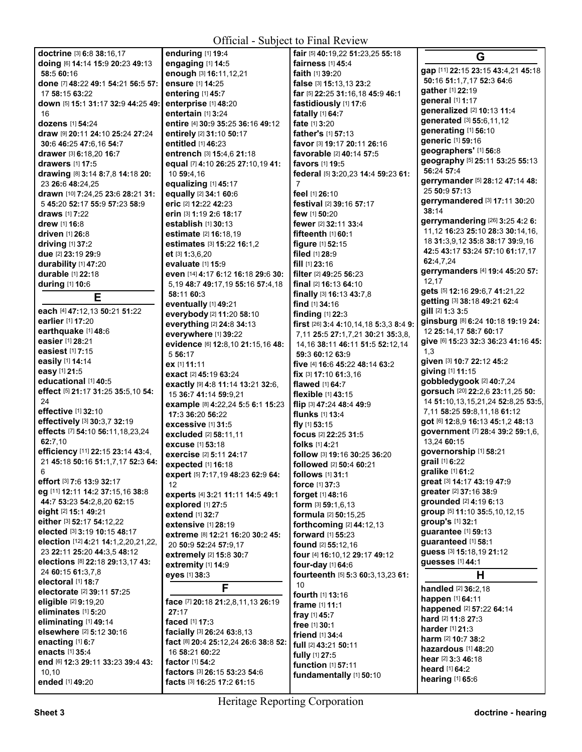**All Contracts** 

**doctrine** [3] **6:**8 **38:**16,17 **doing** [6] **14:**14 **15:**9 **20:**23 **49:**13 **58:**5 **60:**16 **done** [7] **48:**22 **49:**1 **54:**21 **56:**5 **57:**  17 **58:**15 **63:**22 **down** [5] **15:**1 **31:**17 **32:**9 **44:**25 **49:**  16 **dozens** [1] **54:**24 **draw** [9] **20:**11 **24:**10 **25:**24 **27:**24 **30:**6 **46:**25 **47:**6,16 **54:**7 **drawer** [3] **6:**18,20 **16:**7 **drawers** [1] **17:**5 **drawing** [8] **3:**14 **8:**7,8 **14:**18 **20:**  23 **26:**6 **48:**24,25 **drawn** [10] **7:**24,25 **23:**6 **28:**21 **31:**  5 **45:**20 **52:**17 **55:**9 **57:**23 **58:**9 **draws** [1] **7:**22 **drew** [1] **16:**8 **driven** [1] **26:**8 **driving** [1] **37:**2 **due** [2] **23:**19 **29:**9 **durability** [1] **47:**20 **durable** [1] **22:**18 **during** [1] **10:**6 **E each** [4] **47:**12,13 **50:**21 **51:**22 **earlier** [1] **17:**20 **earthquake** [1] **48:**6 **easier** [1] **28:**21 **easiest** [1] **7:**15 **easily** [1] **14:**14 **easy** [1] **21:**5 **educational** [1] **40:**5 **effect** [5] **21:**17 **31:**25 **35:**5,10 **54:**  24 **effective** [1] **32:**10 **effectively** [3] **30:**3,7 **32:**19 **effects** [7] **54:**10 **56:**11,18,23,24 **62:**7,10 **efficiency** [11] **22:**15 **23:**14 **43:**4, 21 **45:**18 **50:**16 **51:**1,7,17 **52:**3 **64:**  6 **effort** [3] **7:**6 **13:**9 **32:**17 **eg** [11] **12:**11 **14:**2 **37:**15,16 **38:**8 **44:**7 **53:**23 **54:**2,8,20 **62:**15 **eight** [2] **15:**1 **49:**21 **either** [3] **52:**17 **54:**12,22 **elected** [3] **3:**19 **10:**15 **48:**17 **election** [12] **4:**21 **14:**1,2,20,21,22, 23 **22:**11 **25:**20 **44:**3,5 **48:**12 **elections** [8] **22:**18 **29:**13,17 **43:**  24 **60:**15 **61:**3,7,8 **electoral** [1] **18:**7 **electorate** [2] **39:**11 **57:**25 **eligible** [2] **9:**19,20 **eliminates** [1] **5:**20 **eliminating** [1] **49:**14 **elsewhere** [2] **5:**12 **30:**16 **enacting** [1] **6:**7 **enacts** [1] **35:**4 **end** [6] **12:**3 **29:**11 **33:**23 **39:**4 **43:**  10,10 **ended** [1] **49:**20 10 **59:**4,16 **et** [3] **1:**3,6,20 **58:**11 **60:**3 5 **56:**17 **ex** [1] **11:**11 12 **eyes** [1] **38:**3 **27:**17 **facts** [3] **16:**25 **17:**2 **61:**15

**enduring** [1] **19:**4 **engaging** [1] **14:**5 **enough** [3] **16:**11,12,21 **ensure** [1] **14:**25 **entering** [1] **45:**7 **enterprise** [1] **48:**20 **entertain** [1] **3:**24 **entire** [4] **30:**9 **35:**25 **36:**16 **49:**12 **entirely** [2] **31:**10 **50:**17 **entitled** [1] **46:**23 **entrench** [3] **15:**4,6 **21:**18 **equal** [7] **4:**10 **26:**25 **27:**10,19 **41: equalizing** [1] **45:**17 **equally** [2] **34:**1 **60:**6 **eric** [2] **12:**22 **42:**23 **erin** [3] **1:**19 **2:**6 **18:**17 **establish** [1] **30:**13 **estimate** [2] **16:**18,19 **estimates** [3] **15:**22 **16:**1,2 **evaluate** [1] **15:**9 **even** [14] **4:**17 **6:**12 **16:**18 **29:**6 **30:**  5,19 **48:**7 **49:**17,19 **55:**16 **57:**4,18 **eventually** [1] **49:**21 **everybody** [2] **11:**20 **58:**10 **everything** [2] **24:**8 **34:**13 **everywhere** [1] **39:**22 **evidence** [6] **12:**8,10 **21:**15,16 **48: exact** [2] **45:**19 **63:**24 **exactly** [9] **4:**8 **11:**14 **13:**21 **32:**6, 15 **36:**7 **41:**14 **59:**9,21 **example** [8] **4:**22,24 **5:**5 **6:**1 **15:**23 **17:**3 **36:**20 **56:**22 **excessive** [1] **31:**5 **excluded** [2] **58:**11,11 **excuse** [1] **53:**18 **exercise** [2] **5:**11 **24:**17 **expected** [1] **16:**18 **expert** [5] **7:**17,19 **48:**23 **62:**9 **64: experts** [4] **3:**21 **11:**11 **14:**5 **49:**1 **explored** [1] **27:**5 **extend** [1] **32:**7 **extensive** [1] **28:**19 **extreme** [8] **12:**21 **16:**20 **30:**2 **45:**  20 **50:**9 **52:**24 **57:**9,17 **extremely** [2] **15:**8 **30:**7 **extremity** [1] **14:**9 **F face** [7] **20:**18 **21:**2,8,11,13 **26:**19 **faced** [1] **17:**3 **facially** [3] **26:**24 **63:**8,13 **fact** [8] **20:**4 **25:**12,24 **26:**6 **38:**8 **52:**  16 **58:**21 **60:**22 **factor** [1] **54:**2 **factors** [3] **26:**15 **53:**23 **54:**6

**fair** [5] **40:**19,22 **51:**23,25 **55:**18 **fairness** [1] **45:**4 **faith** [1] **39:**20 **false** [3] **15:**13,13 **23:**2 **far** [5] **22:**25 **31:**16,18 **45:**9 **46:**1 **fastidiously** [1] **17:**6 **fatally** [1] **64:**7 **fate** [1] **3:**20 **father's** [1] **57:**13 **favor** [3] **19:**17 **20:**11 **26:**16 **favorable** [2] **40:**14 **57:**5 **favors** [1] **19:**5 **federal** [5] **3:**20,23 **14:**4 **59:**23 **61:**  7 **feel** [1] **26:**10 **festival** [2] **39:**16 **57:**17 **few** [1] **50:**20 **fewer** [2] **32:**11 **33:**4 **fifteenth** [1] **60:**1 **figure** [1] **52:**15 **filed** [1] **28:**9 **fill** [1] **23:**16 **filter** [2] **49:**25 **56:**23 **final** [2] **16:**13 **64:**10 **finally** [3] **16:**13 **43:**7,8 **find** [1] **34:**16 **finding** [1] **22:**3 **first** [26] **3:**4 **4:**10,14,18 **5:**3,3 **8:**4 **9:**  7,11 **25:**5 **27:**1,7,21 **30:**21 **35:**3,8, 14,16 **38:**11 **46:**11 **51:**5 **52:**12,14 **59:**3 **60:**12 **63:**9 **five** [4] **16:**6 **45:**22 **48:**14 **63:**2 **fix** [3] **17:**10 **61:**3,16 **flawed** [1] **64:**7 **flexible** [1] **43:**15 **flip** [3] **47:**24 **48:**4 **49:**9 **flunks** [1] **13:**4 **fly** [1] **53:**15 **focus** [2] **22:**25 **31:**5 **folks** [1] **4:**21 **follow** [3] **19:**16 **30:**25 **36:**20 **followed** [2] **50:**4 **60:**21 **follows** [1] **31:**1 **force** [1] **37:**3 **forget** [1] **48:**16 **form** [3] **59:**1,6,13 **formula** [2] **50:**15,25 **forthcoming** [2] **44:**12,13 **forward** [1] **55:**23 **found** [2] **55:**12,16 **four** [4] **16:**10,12 **29:**17 **49:**12 **four-day** [1] **64:**6 **fourteenth** [5] **5:**3 **60:**3,13,23 **61:**  10 **fourth** [1] **13:**16 **frame** [1] **11:**1 **fray** [1] **45:**7 **free** [1] **30:**1 **friend** [1] **34:**4 **full** [2] **43:**21 **50:**11 **fully** [1] **27:**5 **function** [1] **57:**11 **fundamentally** [1] **50:**10

**G gap** [11] **22:**15 **23:**15 **43:**4,21 **45:**18 **50:**16 **51:**1,7,17 **52:**3 **64:**6 **gather** [1] **22:**19 **general** [1] **1:**17 **generalized** [2] **10:**13 **11:**4 **generated** [3] **55:**6,11,12 **generating** [1] **56:**10 **generic** [1] **59:**16 **geographers'** [1] **56:**8 **geography** [5] **25:**11 **53:**25 **55:**13 **56:**24 **57:**4 **gerrymander** [5] **28:**12 **47:**14 **48:**  25 **50:**9 **57:**13 **gerrymandered** [3] **17:**11 **30:**20 **38:**14 **gerrymandering** [26] **3:**25 **4:**2 **6:**  11,12 **16:**23 **25:**10 **28:**3 **30:**14,16, 18 **31:**3,9,12 **35:**8 **38:**17 **39:**9,16 **42:**5 **43:**17 **53:**24 **57:**10 **61:**17,17 **62:**4,7,24 **gerrymanders** [4] **19:**4 **45:**20 **57:**  12,17 **gets** [5] **12:**16 **29:**6,7 **41:**21,22 **getting** [3] **38:**18 **49:**21 **62:**4 **gill** [2] **1:**3 **3:**5 **ginsburg** [8] **6:**24 **10:**18 **19:**19 **24:**  12 **25:**14,17 **58:**7 **60:**17 **give** [6] **15:**23 **32:**3 **36:**23 **41:**16 **45:**  1,3 **given** [3] **10:**7 **22:**12 **45:**2 **giving** [1] **11:**15 **gobbledygook** [2] **40:**7,24 **gorsuch** [20] **22:**2,6 **23:**11,25 **50:**  14 **51:**10,13,15,21,24 **52:**8,25 **53:**5, 7,11 **58:**25 **59:**8,11,18 **61:**12 **got** [6] **12:**8,9 **16:**13 **45:**1,2 **48:**13 **government** [7] **28:**4 **39:**2 **59:**1,6, 13,24 **60:**15 **governorship** [1] **58:**21 **grail** [1] **6:**22 **gralike** [1] **61:**2 **great** [3] **14:**17 **43:**19 **47:**9 **greater** [2] **37:**16 **38:**9 **grounded** [2] **4:**19 **6:**13 **group** [5] **11:**10 **35:**5,10,12,15 **group's** [1] **32:**1 **guarantee** [1] **59:**13 **guaranteed** [1] **58:**1 **guess** [3] **15:**18,19 **21:**12 **guesses** [1] **44:**1 **H handled** [2] **36:**2,18 **happen** [1] **64:**11 **happened** [2] **57:**22 **64:**14 **hard** [2] **11:**8 **27:**3 **harder** [1] **21:**3 **harm** [2] **10:**7 **38:**2 **hazardous** [1] **48:**20 **hear** [2] **3:**3 **46:**18 **heard** [1] **64:**2

**hearing** [1] **65:**6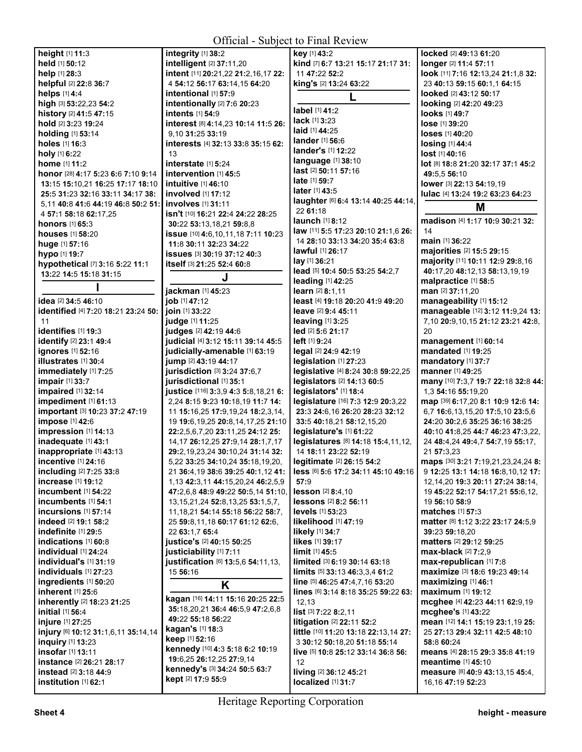| height [1] 11:3                               | <b>OTHURE</b>                |
|-----------------------------------------------|------------------------------|
|                                               | integrity [1] 38:2           |
| held [1] 50:12                                |                              |
|                                               | intelligent [2] 37:11,20     |
| help [1] 28:3                                 | intent [11] 20:21.22 21:2    |
| helpful [2] 22:8 36:7                         | 4 54:12 56:17 63:14,15       |
| helps [1] 4:4                                 | intentional [1] 57:9         |
|                                               |                              |
| high [3] 53:22,23 54:2                        | intentionally [2] 7:6 20:    |
| history [2] 41:5 47:15                        | intents [1] 54:9             |
| hold [2] 3:23 19:24                           | interest [8] 4:14,23 10:1    |
| holding [1] 53:14                             | 9,10 31:25 33:19             |
|                                               |                              |
| holes [1] 16:3                                | interests [4] 32:13 33:8     |
| holy [1] 6:22                                 | 13                           |
| <b>home</b> [1] 11:2                          | interstate [1] 5:24          |
| honor [28] 4:17 5:23 6:6 7:10 9:14            | intervention [1] 45:5        |
|                                               | intuitive [1] 46:10          |
| 13:15 15:10,21 16:25 17:17 18:10              |                              |
| 25:5 31:23 32:16 33:11 34:17 38:              | involved [1] 17:12           |
| 5.11 40:8 41:6 44:19 46:8 50:2 51:            | <b>involves</b> [1] 31:11    |
| 4 57:1 58:18 62:17,25                         | isn't [10] 16:21 22:4 24:2   |
|                                               |                              |
| honors [1] 65:3                               | 30:22 53:13,18,21 59:8,      |
| <b>houses</b> [1] <b>58:</b> 20               | issue [10] 4:6,10,11,187     |
| huge [1] 57:16                                | 11:8 30:11 32:23 34:22       |
| hypo [1] 19:7                                 | issues [3] 30:19 37:12 4     |
|                                               | itself [3] 21:25 52:4 60:8   |
| hypothetical [7] 3:16 5:22 11:1               |                              |
| 13:22 14:5 15:18 31:15                        | J                            |
| ı                                             |                              |
|                                               | jackman [1] 45:23            |
| <b>idea</b> [2] <b>34:5 46:</b> 10            | job [1] 47:12                |
| identified [4] 7:20 18:21 23:24 50:           | ioin [1] 33:22               |
| 11                                            | judge [1] 11:25              |
|                                               |                              |
| identifies [1] 19:3                           | judges [2] 42:19 44:6        |
| identify [2] 23:1 49:4                        | judicial [4] 3:12 15:11 3    |
| ignores [1] 52:16                             | judicially-amenable li       |
| illustrates [1] 30:4                          | jump [2] 43:19 44:17         |
|                                               |                              |
| immediately [1] 7:25                          | jurisdiction [3] 3:24 37:    |
| impair [1] 33:7                               | jurisdictional [1] 35:1      |
| impaired [1] 32:14                            | justice [116] 3:3,9 4:3 5:   |
| impediment [1] 61:13                          | 2,24 8:15 9:23 10:18,19      |
|                                               | 11 15:16,25 17:9,19,24       |
|                                               |                              |
| important [3] 10:23 37:2 47:19                |                              |
| impose [1] 42:6                               | 19 19:6, 19, 25 20:8, 14, 1  |
| impression [1] 14:13                          | 22:2,5,6,7,20 23:11,25 2     |
|                                               |                              |
| inadequate [1] 43:1                           | 14, 17 26: 12, 25 27: 9, 14  |
| inappropriate [1] 43:13                       | 29:2, 19, 23, 24 30: 10, 24  |
| incentive [1] 24:16                           | 5,22 33:25 34:10,24 35:      |
| including [2] 7:25 33:8                       | 21 36:4,19 38:6 39:25 4      |
| increase [1] 19:12                            | 1,13 42:3,11 44:15,20,2      |
|                                               |                              |
| <b>incumbent</b> [1] 54:22                    | 47:2,6,8 48:9 49:22 50:      |
| incumbents [1] 54:1                           | 13, 15, 21, 24 52: 8, 13, 25 |
| incursions $[1]$ 57:14                        | 11, 18, 21 54: 14 55: 18 56  |
| indeed [2] 19:1 58:2                          | 25 59:8,11,18 60:17 61:      |
| indefinite [1] 29:5                           |                              |
|                                               | 22 63:1,7 65:4               |
| indications [1] 60:8                          | justice's [2] 40:15 50:25    |
| individual [1] 24:24                          | justiciability [1] 7:11      |
| <b>individual's</b> [1] <b>31:19</b>          | justification [6] 13:5,6 5   |
| individuals [1] 27:23                         | 15 56:16                     |
| ingredients [1] 50:20                         |                              |
| inherent [1] 25:6                             | Κ                            |
|                                               | kagan [16] 14:11 15:16 2     |
| inherently [2] 18:23 21:25                    | 35:18,20,21 36:4 46:5,9      |
| <b>initial</b> [1] <b>56:</b> 4               | 49:22 55:18 56:22            |
| injure [1] 27:25                              |                              |
| injury [6] 10:12 31:1,6,11 35:14,14           | kagan's [1] 18:3             |
| inquiry [1] 13:23                             | keep [1] 52:16               |
| insofar [1] 13:11                             | kennedy [10] 4:3 5:18 6:     |
|                                               | 19:6,25 26:12,25 27:9,1      |
| instance [2] 26:21 28:17                      | kennedy's [3] 34:24 50:      |
| instead [2] 3:18 44:9<br>institution [1] 62:1 | kept [2] 17:9 55:9           |

|                                              | Official - Subject to Final Review                      |                                           |
|----------------------------------------------|---------------------------------------------------------|-------------------------------------------|
| rity [1] 38:2                                | key [1] 43:2                                            | locked [2] 49:13 61:20                    |
| ligent [2] 37:11,20                          | kind [7] 6:7 13:21 15:17 21:17 31:                      | longer [2] 11:4 57:11                     |
| it [11] 20:21,22 21:2,16,17 22:              | 11 47:22 52:2                                           | look [11] 7:16 12:13,24                   |
| 12 56:17 63:14,15 64:20                      | king's [2] 13:24 63:22                                  | 23 40:13 59:15 60:1,1                     |
| i <b>tional</b> [1] 57:9                     | L                                                       | looked [2] 43:12 50:17                    |
| <b>tionally</b> [2] 7:6 20:23                |                                                         | looking [2] 42:20 49:23                   |
| <b>its</b> [1] <b>54:</b> 9                  | label [1] 41:2                                          | looks [1] 49:7                            |
| est [8] 4:14,23 10:14 11:5 26:               | <b>lack</b> [1] <b>3:23</b>                             | lose [1] 39:20                            |
| 31:25 33:19                                  | laid [1] 44:25                                          | loses [1] 40:20                           |
| ests [4] 32:13 33:8 35:15 62:                | lander [1] 56:6                                         | losing [1] 44:4                           |
|                                              | lander's [1] 12:22                                      | lost [1] 40:16                            |
| <b>state</b> [1] <b>5</b> :24                | language [1] 38:10                                      | lot [8] 18:8 21:20 32:17                  |
| vention [1] 45:5                             | last [2] 50:11 57:16                                    | 49:5,5 56:10                              |
| tive [1] 46:10                               | late [1] 59:7                                           | lower [3] 22:13 54:19,1                   |
| ved [1] 17:12                                | later [1] 43:5                                          | lulac [4] 13:24 19:2 63:                  |
| <b>ves</b> [1] 31:11                         | laughter [6] 6:4 13:14 40:25 44:14,                     | Μ                                         |
| [10] 16:21 22:4 24:22 28:25                  | 22 61:18                                                |                                           |
| 2 53:13,18,21 59:8,8                         | launch [1] 8:12                                         | madison [4] 1:17 10:9                     |
| 9 [10] 4:6, 10, 11, 18 7: 11 10: 23          | law [11] 5:5 17:23 20:10 21:1,6 26:                     | 14                                        |
| 30:11 32:23 34:22                            | 14 28:10 33:13 34:20 35:4 63:8                          | main [1] 36:22                            |
| <b>es</b> [3] 30:19 37:12 40:3               | <b>lawful</b> [1] 26:17                                 | majorities [2] 15:5 29:                   |
| [3] 21:25 52:4 60:8                          | $lay$ [1] 36:21                                         | majority [11] 10:11 12:                   |
| J                                            | lead [5] 10:4 50:5 53:25 54:2,7                         | 40:17,20 48:12,13 58:                     |
|                                              | leading [1] 42:25                                       | malpractice [1] 58:5                      |
| <b>nan</b> [1] <b>45:</b> 23<br>147:12       | learn [2] 8:1,11                                        | man [2] 37:11,20<br>manageability [1] 15: |
| $11$ 33:22                                   | least [4] 19:18 20:20 41:9 49:20<br>leave [2] 9:4 45:11 | manageable [12] 3:12                      |
| e [1] <b>11:</b> 25                          | leaving [1] 3:25                                        | 7,10 20:9,10,15 21:12                     |
| es [2] 42:19 44:6                            | led [2] 5:6 21:17                                       | 20                                        |
| ial [4] 3:12 15:11 39:14 45:5                | left [1] 9:24                                           | management [1] 60:1                       |
| ially-amenable [1] 63:19                     | legal [2] 24:9 42:19                                    | mandated [1] 19:25                        |
| (2) 43:19 44:17                              | legislation [1] 27:23                                   | mandatory [1] 37:7                        |
| diction [3] 3:24 37:6.7                      | legislative [4] 8:24 30:8 59:22,25                      | manner [1] 49:25                          |
| dictional [1] 35:1                           | legislators [2] 14:13 60:5                              | many [10] 7:3,7 19:7 22                   |
| Ce [116] 3:3,9 4:3 5:8,18,21 6:              | legislators' [1] 18:4                                   | 1,3 54:16 55:19,20                        |
| 8:15 9:23 10:18,19 11:7 14:                  | legislature [16] 7:3 12:9 20:3,22                       | map [39] 6:17,20 8:1 10                   |
| 5:16,25 17:9,19,24 18:2,3,14,                | 23:3 24:6,16 26:20 28:23 32:12                          | 6,7 16:6,13,15,20 17:5                    |
| 9:6,19,25 20:8,14,17,25 21:10                | 33:5 40:18,21 58:12,15,20                               | 24:20 30:2,6 35:25 36                     |
| ,5,6,7,20 23:11,25 24:12 25:                 | legislature's [1] 61:22                                 | 40:10 41:8,25 44:7 46                     |
| 7 26:12,25 27:9,14 28:1,7,17                 | legislatures [8] 14:18 15:4,11,12,                      | 24 48:4,24 49:4,7 54:7                    |
| 19,23,24 30:10,24 31:14 32:                  | 14 18:11 23:22 52:19                                    | 21 57:3,23                                |
| 33:25 34:10,24 35:18,19,20,                  | legitimate [2] 26:15 54:2                               | maps [30] 3:21 7:19,21                    |
|                                              | less [6] 5:6 17:2 34:11 45:10 49:16                     | 9 12:25 13:1 14:18 16                     |
| 42:3,11 44:15,20,24 46:2,5,9                 | 57:9                                                    | 12,14,20 19:3 20:11 2                     |
| ,6,8 48:9 49:22 50:5,14 51:10,               | <b>lesson</b> [2] 8:4,10                                | 19 45:22 52:17 54:17,                     |
| 5,21,24 52:8,13,25 53:1,5,7,                 | lessons [2] 8:2 56:11                                   | 19 56:10 58:9                             |
| 8,21 54:14 55:18 56:22 58:7,                 | <b>levels</b> [1] <b>53:</b> 23                         | <b>matches</b> [1] <b>57:3</b>            |
| 9:8,11,18 60:17 61:12 62:6,                  | likelihood [1] 47:19                                    | matter [8] 1:12 3:22 23                   |
| 3:1,7 65:4                                   | <b>likely</b> [1] 34:7                                  | 39:23 59:18,20                            |
| ce's [2] 40:15 50:25                         | likes [1] 39:17                                         | matters [2] 29:12 59:2                    |
| ciability [1] 7:11                           | limit [1] 45:5                                          | max-black [2] 7:2,9                       |
| fication [6] 13:5,6 54:11,13,                | limited [3] 6:19 30:14 63:18                            | max-republican [1] 7:                     |
| 6:16                                         | limits [5] 33:13 46:3,3,4 61:2                          | maximize [3] 18:6 19:2                    |
| Κ                                            | line [5] 46:25 47:4,7,16 53:20                          | maximizing [1] 46:1                       |
|                                              | lines [6] 3:14 8:18 35:25 59:22 63:                     | <b>maximum</b> [1] <b>19:12</b>           |
| n [16] 14:11 15:16 20:25 22:5                | 12,13                                                   | mcghee [4] 42:23 44:1                     |
| 8,20,21 <b>36:4 46:</b> 5,9 <b>47:</b> 2,6,8 | list [3] 7:22 8:2,11                                    | mcghee's [1] 43:22                        |
| 2 55:18 56:22<br>n's [1] 18:3                | litigation [2] 22:11 52:2                               | mean [12] 14:1 15:19 2                    |
| $[1]$ 52:16                                  | little [10] 11:20 13:18 22:13,14 27:                    | 25 27:13 29:4 32:11 4                     |
| edy [10] 4:3 5:18 6:2 10:19                  | 3 30:12 50:18,20 51:18 55:14                            | 58:8 60:24                                |
| 25 26:12,25 27:9,14                          | live [5] 10:8 25:12 33:14 36:8 56:                      | means [4] 28:15 29:3 3                    |
| edy's [3] 34:24 50:5 63:7                    | 12 <sup>2</sup>                                         | meantime [1] 45:10                        |
| [2] 17:9 55:9                                | living [2] 36:12 45:21                                  | measure [8] 40:9 43:1                     |
|                                              | localized [1] 31:7                                      | 16,16 47:19 52:23                         |

**look** [11] **7:**16 **12:**13,24 **21:**1,8 **32:**  23 **40:**13 **59:**15 **60:**1,1 **64:**15 **looked** [2] **43:**12 **50:**17 **looking** [2] **42:**20 **49:**23 **looks** [1] **49:**7 **lose** [1] **39:**20 **loses** [1] **40:**20 **losing** [1] **44:**4 **lost** [1] **40:**16 **lot** [8] **18:**8 **21:**20 **32:**17 **37:**1 **45:**2 **49:**5,5 **56:**10 **lower** [3] **22:**13 **54:**19,19 **lulac** [4] **13:**24 **19:**2 **63:**23 **64:**23 **M madison** [4] **1:**17 **10:**9 **30:**21 **32: main** [1] **36:**22 **majorities** [2] **15:**5 **29:**15 **majority** [11] **10:**11 **12:**9 **29:**8,16 **40:**17,20 **48:**12,13 **58:**13,19,19 **malpractice** [1] **58:**5 **man** [2] **37:**11,20 **manageability** [1] **15:**12 **manageable** [12] **3:**12 **11:**9,24 **13:**  7,10 **20:**9,10,15 **21:**12 **23:**21 **42:**8, **management** [1] **60:**14 **mandated** [1] **19:**25 **mandatory** [1] **37:**7 **manner** [1] **49:**25 **many** [10] **7:**3,7 **19:**7 **22:**18 **32:**8 **44:**  1,3 **54:**16 **55:**19,20 **map** [39] **6:**17,20 **8:**1 **10:**9 **12:**6 **14:**  6,7 **16:**6,13,15,20 **17:**5,10 **23:**5,6 **24:**20 **30:**2,6 **35:**25 **36:**16 **38:**25 **40:**10 **41:**8,25 **44:**7 **46:**23 **47:**3,22, 24 **48:**4,24 **49:**4,7 **54:**7,19 **55:**17, 21 **57:**3,23 **maps** [30] **3:**21 **7:**19,21,23,24,24 **8:**  9 **12:**25 **13:**1 **14:**18 **16:**8,10,12 **17:**  12,14,20 **19:**3 **20:**11 **27:**24 **38:**14, 19 **45:**22 **52:**17 **54:**17,21 **55:**6,12, 19 **56:**10 **58:**9 **matches** [1] **57:**3 **matter** [8] **1:**12 **3:**22 **23:**17 **24:**5,9 **39:**23 **59:**18,20 **matters** [2] **29:**12 **59:**25 **max-black** [2] **7:**2,9 **max-republican** [1] **7:**8 **maximize** [3] **18:**6 **19:**23 **49:**14 **maximizing** [1] **46:**1 **maximum** [1] **19:**12 **mcghee** [4] **42:**23 **44:**11 **62:**9,19 **mcghee's** [1] **43:**22 **mean** [12] **14:**1 **15:**19 **23:**1,19 **25:**  25 **27:**13 **29:**4 **32:**11 **42:**5 **48:**10 **58:**8 **60:**24 **means** [4] **28:**15 **29:**3 **35:**8 **41:**19 **ntime** [1] **45:10 measure** [8] **40:**9 **43:**13,15 **45:**4,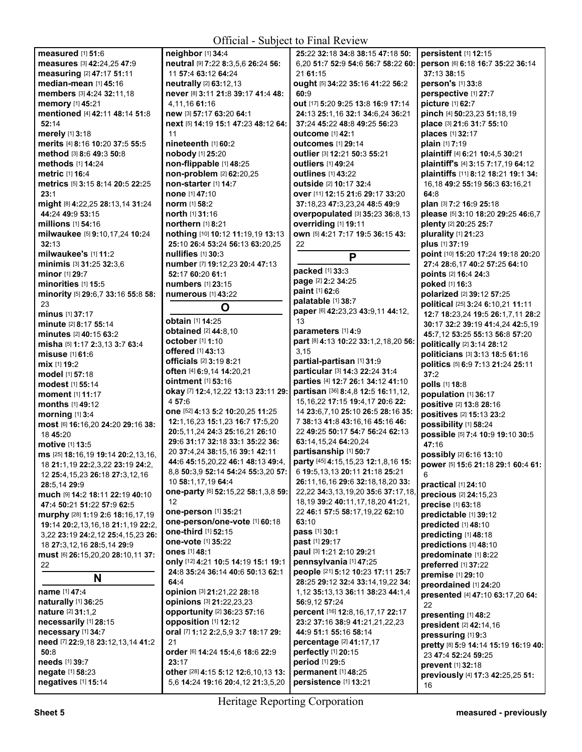## $\Omega_{\text{total}}$  - Subject to Final R

| <b>Official - Subject to Final Review</b>                        |                                                               |                                                   |                                           |
|------------------------------------------------------------------|---------------------------------------------------------------|---------------------------------------------------|-------------------------------------------|
| measured [1] 51:6                                                | neighbor [1] 34:4                                             | 25:22 32:18 34:8 38:15 47:18 50:                  | persistent [1] 12:15                      |
| measures [3] 42:24,25 47:9                                       | neutral [9] 7:22 8:3,5,6 26:24 56:                            | 6,20 51:7 52:9 54:6 56:7 58:22 60:                | person [6] 6:18 16:7 35:22 36:14          |
| measuring [2] 47:17 51:11                                        | 11 57:4 63:12 64:24                                           | 21 61:15                                          | 37:13 38:15                               |
| median-mean [1] 45:16                                            | neutrally [2] 63:12,13                                        | ought [5] 34:22 35:16 41:22 56:2                  | person's [1] 33:8                         |
| members [3] 4:24 32:11,18                                        | never [8] 3:11 21:8 39:17 41:4 48:                            | 60:9                                              | perspective [1] 27:7                      |
| memory [1] 45:21                                                 | 4.11.16 61:16                                                 | out [17] 5:20 9:25 13:8 16:9 17:14                | picture [1] 62:7                          |
| mentioned [4] 42:11 48:14 51:8                                   | new [3] 57:17 63:20 64:1                                      | 24:13 25:1,16 32:1 34:6,24 36:21                  | pinch [4] 50:23,23 51:18,19               |
| 52:14                                                            | next [5] 14:19 15:1 47:23 48:12 64:                           | 37:24 45:22 48:8 49:25 56:23                      | place [3] 21:6 31:7 55:10                 |
| merely [1] 3:18                                                  | 11                                                            | outcome [1] 42:1                                  | places [1] 32:17                          |
| merits [4] 8:16 10:20 37:5 55:5                                  | nineteenth [1] 60:2                                           | <b>outcomes</b> [1] 29:14                         | plain [1] 7:19                            |
| method [3] 8:6 49:3 50:8                                         | nobody [1] 25:20                                              | outlier [3] 12:21 50:3 55:21                      | plaintiff [4] 6:21 10:4,5 30:21           |
| methods [1] 14:24                                                | non-flippable [1] 48:25                                       | outliers [1] 49:24                                | plaintiff's [4] 3:15 7:17,19 64:12        |
| metric [1] 16:4                                                  | non-problem [2] 62:20,25                                      | <b>outlines</b> [1] 43:22                         | plaintiffs [11] 8:12 18:21 19:1 34:       |
| metrics [5] 3:15 8:14 20:5 22:25                                 | non-starter [1] 14:7                                          | outside [2] 10:17 32:4                            | 16,18 49:2 55:19 56:3 63:16,21            |
| 23:1                                                             | none [1] 47:10                                                | over [11] 12:15 21:6 29:17 33:20                  | 64:8                                      |
| might [8] 4:22,25 28:13,14 31:24                                 | <b>norm</b> [1] 58:2                                          | 37:18.23 47:3.23.24 48:5 49:9                     | plan [3] 7:2 16:9 25:18                   |
| 44:24 49:9 53:15                                                 | north [1] 31:16                                               | overpopulated [3] 35:23 36:8,13                   | please [5] 3:10 18:20 29:25 46:6,7        |
| millions [1] 54:16                                               | northern [1] 8:21                                             | overriding [1] 19:11                              | plenty [2] 20:25 25:7                     |
| milwaukee [5] 9:10,17,24 10:24                                   | nothing [10] 10:12 11:19,19 13:13                             | own [5] 4:21 7:17 19:5 36:15 43:                  | plurality [1] 21:23                       |
| 32:13                                                            | 25:10 26:4 53:24 56:13 63:20,25                               | 22                                                | plus [1] 37:19                            |
| milwaukee's [1] 11:2                                             | nullifies $[1]$ 30:3                                          | P                                                 | point [10] 15:20 17:24 19:18 20:20        |
| minimis [3] 31:25 32:3,6                                         | number [7] 19:12,23 20:4 47:13                                | packed [1] 33:3                                   | 27:4 28:6,17 40:2 57:25 64:10             |
| minor [1] 29:7                                                   | 52:17 60:20 61:1                                              | page [2] 2:2 34:25                                | points [2] 16:4 24:3                      |
| minorities [1] 15:5                                              | numbers [1] 23:15                                             | paint [1] 62:6                                    | poked [1] 16:3                            |
| minority [5] 29:6,7 33:16 55:8 58:                               | <b>numerous</b> [1] 43:22                                     | palatable [1] 38:7                                | polarized [2] 39:12 57:25                 |
| 23                                                               | O                                                             | paper [6] 42:23,23 43:9,11 44:12,                 | political [25] 3:24 6:10,21 11:11         |
| <b>minus</b> [1] 37:17                                           | <b>obtain</b> [1] 14:25                                       | 13                                                | 12:7 18:23,24 19:5 26:1,7,11 28:2         |
| minute [2] 8:17 55:14                                            | obtained [2] 44:8,10                                          | parameters [1] 4:9                                | 30:17 32:2 39:19 41:4,24 42:5,19          |
| minutes [2] 40:15 63:2                                           | october [1] 1:10                                              | part [8] 4:13 10:22 33:1,2,18,20 56:              | 45:7,12 53:25 55:13 56:8 57:20            |
| misha [5] 1:17 2:3,13 3:7 63:4                                   | offered [1] 43:13                                             | 3.15                                              | politically [2] 3:14 28:12                |
| misuse [1] 61:6<br>mix [1] 19:2                                  | officials [2] 3:19 8:21                                       | partial-partisan [1] 31:9                         | politicians [3] 3:13 18:5 61:16           |
| model [1] 57:18                                                  | often [4] 6:9,14 14:20,21                                     | particular [3] 14:3 22:24 31:4                    | politics [5] 6:9 7:13 21:24 25:11<br>37:2 |
| modest [1] 55:14                                                 | ointment [1] 53:16                                            | parties [4] 12:7 26:1 34:12 41:10                 | polls [1] 18:8                            |
| <b>moment</b> [1] 11:17                                          | <b>okay</b> [7] 12:4,12,22 13:13 23:11 29:                    | partisan [36] 8:4,8 12:5 16:11,12,                | population [1] 36:17                      |
| months [1] 49:12                                                 | 4 57:6                                                        | 15, 16, 22 17: 15 19: 4, 17 20: 6 22:             | positive [2] 13:8 28:16                   |
| <b>morning</b> [1] 3:4                                           | one [52] 4:13 5:2 10:20,25 11:25                              | 14 23:6,7,10 25:10 26:5 28:16 35:                 | positives [2] 15:13 23:2                  |
| most [6] 16:16,20 24:20 29:16 38:                                | 12:1,16,23 15:1,23 16:7 17:5,20                               | 7 38:13 41:8 43:16,16 45:16 46:                   | possibility [1] 58:24                     |
| 18 45:20                                                         | 20:5,11,24 24:3 25:16,21 26:10                                | 22 49:25 50:17 54:7 56:24 62:13                   | possible [5] 7:4 10:9 19:10 30:5          |
| motive [1] 13:5                                                  | 29:6 31:17 32:18 33:1 35:22 36:                               | 63:14,15,24 64:20,24                              | 47:16                                     |
| ms [25] 18:16,19 19:14 20:2,13,16,                               | 20 37:4.24 38:15.16 39:1 42:11                                | partisanship [1] 50:7                             | possibly [2] 6:16 13:10                   |
| 18 <b>21:</b> 1,19 <b>22:</b> 2,3,22 <b>23:</b> 19 <b>24:</b> 2, | 44:6 45:15,20,22 46:1 48:13 49:4,                             | party [45] 4:15,15,23 12:1,8,16 15:               | power [5] 15:6 21:18 29:1 60:4 61:        |
| 12 25:4, 15, 23 26: 18 27: 3, 12, 16                             | 8,8 50:3,9 52:14 54:24 55:3,20 57:                            | 6 19:5, 13, 13 20:11 21:18 25:21                  | 6                                         |
| 28:5,14 29:9                                                     | 10 58:1.17.19 64:4                                            | 26:11,16,16 29:6 32:18,18,20 33:                  | practical [1] 24:10                       |
| much [9] 14:2 18:11 22:19 40:10                                  | <b>one-party</b> [6] 52:15,22 58:1,3,8 59:                    | 22,22 34:3,13,19,20 35:6 37:17,18                 | precious [2] 24:15,23                     |
| 47:4 50:21 51:22 57:9 62:5                                       | 12                                                            | 18, 19 39: 2 40: 11, 17, 18, 20 41: 21,           | precise [1] 63:18                         |
| murphy [28] 1:19 2:6 18:16,17,19                                 | one-person [1] 35:21                                          | 22 46:1 57:5 58:17,19,22 62:10                    | predictable [1] 39:12                     |
| 19:14 20:2,13,16,18 21:1,19 22:2,                                | one-person/one-vote [1] 60:18                                 | 63:10                                             | predicted [1] 48:10                       |
| 3,22 23:19 24:2,12 25:4,15,23 26:                                | one-third [1] 52:15                                           | pass [1] 30:1                                     | predicting [1] 48:18                      |
| 18 27:3,12,16 28:5,14 29:9                                       | one-vote [1] 35:22                                            | past [1] 29:17                                    | predictions [1] 48:10                     |
| must [6] 26:15,20,20 28:10,11 37:                                | ones [1] 48:1                                                 | paul [3] 1:21 2:10 29:21                          | predominate [1] 8:22                      |
| 22                                                               | only [12] 4:21 10:5 14:19 15:1 19:1                           | pennsylvania [1] 47:25                            | preferred [1] 37:22                       |
| N                                                                | 24:8 35:24 36:14 40:6 50:13 62:1<br>64:4                      | people [21] 5:12 10:23 17:11 25:7                 | premise [1] 29:10                         |
|                                                                  |                                                               | 28:25 29:12 32:4 33:14,19,22 34:                  | preordained [1] 24:20                     |
| <b>name</b> [1] 47:4<br>naturally [1] 36:25                      | <b>opinion</b> [3] 21:21,22 28:18<br>opinions [3] 21:22,23,23 | 1,12 35:13,13 36:11 38:23 44:1,4<br>56:9,12 57:24 | presented [4] 47:10 63:17,20 64:          |
| nature [2] 31:1,2                                                | opportunity [2] 36:23 57:16                                   | percent [16] 12:8, 16, 17, 17 22:17               | 22                                        |
| necessarily [1] 28:15                                            | opposition [1] 12:12                                          | 23:2 37:16 38:9 41:21,21,22,23                    | presenting [1] 48:2                       |
| necessary [1] 34:7                                               | oral [7] 1:12 2:2,5,9 3:7 18:17 29:                           | 44:9 51:1 55:16 58:14                             | president [2] 42:14,16                    |
| need [7] 22:9,18 23:12,13,14 41:2                                | 21                                                            | percentage [2] 41:17,17                           | pressuring [1] 9:3                        |
| 50:8                                                             | order [6] 14:24 15:4,6 18:6 22:9                              | perfectly [1] 20:15                               | pretty [8] 5:9 14:14 15:19 16:19 40:      |
| needs [1] 39:7                                                   | 23:17                                                         | period [1] 29:5                                   | 23 47:4 52:24 59:25                       |
| negate [1] 58:23                                                 | other [28] 4:15 5:12 12:6,10,13 13:                           | permanent [1] 48:25                               | prevent [1] 32:18                         |
| negatives [1] 15:14                                              | 5,6 14:24 19:16 20:4,12 21:3,5,20                             | persistence [1] 13:21                             | previously [4] 17:3 42:25,25 51:          |
|                                                                  |                                                               |                                                   | 16                                        |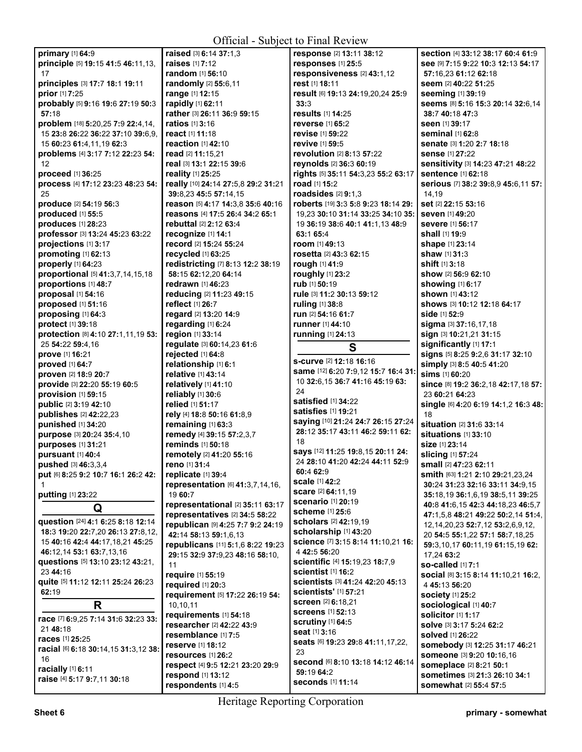| Official - Subject to Final Review                                     |                                                     |                                                    |                                                    |
|------------------------------------------------------------------------|-----------------------------------------------------|----------------------------------------------------|----------------------------------------------------|
| primary [1] 64:9                                                       | raised [3] 6:14 37:1.3                              | response [2] 13:11 38:12                           | section [4] 33:12 38:17 60:4 61:9                  |
| principle [5] 19:15 41:5 46:11,13,                                     | <b>raises</b> [1] 7:12                              | responses [1] 25:5                                 | See [9] 7:15 9:22 10:3 12:13 54:17                 |
| 17                                                                     | <b>random</b> [1] <b>56:10</b>                      | responsiveness [2] 43:1,12                         | 57:16,23 61:12 62:18                               |
| principles [3] 17:7 18:1 19:11                                         | randomly [2] 55:6,11                                | rest [1] 18:11                                     | seem [2] 40:22 51:25                               |
| prior [1] 7:25                                                         | range [1] 12:15                                     | result [6] 19:13 24:19,20,24 25:9                  | seeming [1] 39:19                                  |
| probably [5] 9:16 19:6 27:19 50:3                                      | rapidly [1] 62:11                                   | 33:3                                               | Seems [8] 5:16 15:3 20:14 32:6,14                  |
| 57:18                                                                  | rather [3] 26:11 36:9 59:15                         | results [1] 14:25                                  | 38:7 40:18 47:3                                    |
| problem [18] 5:20,25 7:9 22:4,14,                                      | <b>ratios</b> [1] <b>3:16</b>                       | <b>reverse</b> [1] 65:2                            | seen [1] 39:17                                     |
| 15 23:8 26:22 36:22 37:10 39:6,9,                                      | react [1] 11:18                                     | revise [1] 59:22                                   | <b>seminal</b> [1] 62:8                            |
| 15 60:23 61:4,11,19 62:3                                               | reaction $[1]$ 42:10                                | <b>revive</b> [1] <b>59</b> :5                     | senate [3] 1:20 2:7 18:18                          |
| problems [4] 3:17 7:12 22:23 54:                                       | read [2] 11:15,21                                   | revolution [2] 8:13 57:22                          | sense [1] 27:22                                    |
| 12                                                                     | real [3] 13:1 22:15 39:6                            | reynolds [2] 36:3 60:19                            | sensitivity [3] 14:23 47:21 48:22                  |
| proceed [1] 36:25                                                      | <b>reality</b> [1] 25:25                            | rights [5] 35:11 54:3,23 55:2 63:17                | <b>sentence</b> [1] 62:18                          |
| process [4] 17:12 23:23 48:23 54:                                      | really [10] 24:14 27:5,8 29:2 31:21                 | road [1] 15:2                                      | serious [7] 38:2 39:8,9 45:6,11 57:                |
| 25                                                                     | 39:8.23 45:5 57:14.15                               | roadsides $[2]$ 9:1,3                              | 14,19                                              |
| <b>produce</b> [2] 54:19 56:3                                          | reason [5] 4:17 14:3,8 35:6 40:16                   | roberts [19] 3:3 5:8 9:23 18:14 29:                | set [2] 22:15 53:16                                |
| produced [1] 55:5                                                      | reasons [4] 17:5 26:4 34:2 65:1                     | 19,23 30:10 31:14 33:25 34:10 35:                  | <b>seven</b> [1] 49:20                             |
| produces [1] 28:23                                                     | <b>rebuttal</b> [2] 2:12 63:4                       | 19 36:19 38:6 40:1 41:1,13 48:9                    | <b>severe</b> [1] 56:17                            |
| professor [3] 13:24 45:23 63:22                                        | recognize [1] 14:1                                  | 63:1 65:4                                          | shall [1] 19:9                                     |
| projections [1] 3:17                                                   | record [2] 15:24 55:24                              | room $[1]$ 49:13                                   | <b>shape</b> [1] <b>23:14</b>                      |
| promoting [1] 62:13                                                    | recycled [1] 63:25                                  | rosetta [2] 43:3 62:15                             | shaw [1] 31:3                                      |
| properly [1] 64:23                                                     | redistricting [7] 8:13 12:2 38:19                   | rough [1] 41:9                                     | shift [1] 3:18                                     |
| proportional [5] 41:3,7,14,15,18                                       | 58:15 62:12,20 64:14                                | roughly [1] 23:2                                   | <b>show</b> [2] <b>56:9 62:</b> 10                 |
| proportions [1] 48:7                                                   | <b>redrawn</b> [1] 46:23                            | rub [1] 50:19                                      | showing [1] 6:17                                   |
| proposal [1] 54:16                                                     | reducing [2] 11:23 49:15                            | rule [3] 11:2 30:13 59:12                          | <b>shown</b> [1] <b>43:</b> 12                     |
| proposed [1] 51:16                                                     | reflect [1] 26:7                                    | ruling [1] 38:8                                    | shows [3] 10:12 12:18 64:17                        |
| proposing [1] 64:3                                                     | regard [2] 13:20 14:9                               | run [2] 54:16 61:7                                 | <b>side</b> [1] <b>52:</b> 9                       |
| protect [1] 39:18                                                      | regarding [1] 6:24                                  | runner [1] 44:10                                   | sigma [3] 37:16,17,18                              |
| protection [8] 4:10 27:1,11,19 53:                                     | region [1] 33:14                                    | running [1] 24:13                                  | sign [3] 10:21,21 31:15                            |
| 25 54:22 59:4,16                                                       | regulate [3] 60:14,23 61:6                          | S                                                  | significantly [1] 17:1                             |
| prove [1] 16:21                                                        | rejected [1] 64:8                                   | s-curve [2] 12:18 16:16                            | signs [5] 8:25 9:2,6 31:17 32:10                   |
| proved [1] 64:7                                                        | relationship [1] 6:1<br>relative [1] 43:14          | same [12] 6:20 7:9,12 15:7 16:4 31:                | simply [3] 8:5 40:5 41:20<br><b>sims</b> [1] 60:20 |
| proven [2] 18:9 20:7<br>provide [3] 22:20 55:19 60:5                   | relatively [1] 41:10                                | 10 32:6, 15 36:7 41:16 45:19 63:                   | since [8] 19:2 36:2,18 42:17,18 57:                |
| provision [1] 59:15                                                    | reliably [1] 30:6                                   | 24                                                 | 23 60:21 64:23                                     |
| public [2] 3:19 42:10                                                  | relied [1] 51:17                                    | satisfied [1] 34:22                                | single [6] 4:20 6:19 14:1,2 16:3 48:               |
| <b>publishes</b> [2] 42:22,23                                          | rely [4] 18:8 50:16 61:8,9                          | satisfies [1] 19:21                                | 18                                                 |
| punished [1] 34:20                                                     | remaining [1] 63:3                                  | saying [10] 21:24 24:7 26:15 27:24                 | situation [2] 31:6 33:14                           |
| purpose [3] 20:24 35:4,10                                              | remedy [4] 39:15 57:2,3,7                           | 28:12 35:17 43:11 46:2 59:11 62:                   | <b>situations</b> [1] 33:10                        |
| purposes [1] 31:21                                                     | reminds [1] 50:18                                   | 18                                                 | <b>size</b> [1] 23:14                              |
| pursuant [1] 40:4                                                      | remotely [2] 41:20 55:16                            | says [12] 11:25 19:8,15 20:11 24:                  | <b>slicing</b> [1] 57:24                           |
| <b>pushed</b> [3] $46:3,3,4$                                           | reno [1] 31:4                                       | 24 28:10 41:20 42:24 44:11 52:9                    | <b>small</b> [2] 47:23 <b>62:</b> 11               |
| put [6] 8:25 9:2 10:7 16:1 26:2 42:                                    | replicate [1] 39:4                                  | 60:4 62:9                                          | <b>smith</b> [63] <b>1:21 2:10 29:21,23,24</b>     |
|                                                                        | representation [6] 41:3,7,14,16,                    | scale [1] 42:2                                     | 30:24 31:23 32:16 33:11 34:9,15                    |
| putting [1] 23:22                                                      | 19 60:7                                             | scare [2] 64:11,19                                 | 35:18,19 36:1,6,19 38:5,11 39:25                   |
| Q                                                                      | representational [2] 35:11 63:17                    | <b>scenario</b> [1] 20:19                          | 40:8 41:6,15 42:3 44:18,23 46:5,7                  |
|                                                                        | representatives [2] 34:5 58:22                      | scheme [1] 25:6                                    | 47:1,5,8 48:21 49:22 50:2,14 51:4,                 |
| question [24] 4:1 6:25 8:18 12:14<br>18:3 19:20 22:7,20 26:13 27:8,12, | republican [9] 4:25 7:7 9:2 24:19                   | scholars [2] 42:19,19<br>scholarship [1] 43:20     | 12, 14, 20, 23 52: 7, 12 53: 2, 6, 9, 12,          |
|                                                                        | 42:14 58:13 59:1,6,13                               |                                                    | 20 54:5 55:1,22 57:1 58:7,18,25                    |
| 15 40:16 42:4 44:17,18,21 45:25<br>46:12.14 53:1 63:7.13.16            | republicans [11] 5:1,6 8:22 19:23                   | science [7] 3:15 8:14 11:10,21 16:<br>4 42:5 56:20 | 59:3,10,17 60:11,19 61:15,19 62:                   |
| questions [5] 13:10 23:12 43:21,                                       | 29:15 32:9 37:9,23 48:16 58:10,                     | scientific [4] 15:19,23 18:7,9                     | 17,24 63:2                                         |
| 23 44:16                                                               | 11                                                  | scientist [1] 16:2                                 | <b>so-called</b> [1] 7:1                           |
| quite [5] 11:12 12:11 25:24 26:23                                      | require [1] 55:19                                   | scientists [3] 41:24 42:20 45:13                   | social [8] 3:15 8:14 11:10,21 16:2,                |
| 62:19                                                                  | required [1] 20:3                                   | <b>scientists'</b> [1] <b>57:21</b>                | 4 45:13 56:20                                      |
| R                                                                      | requirement [5] 17:22 26:19 54:                     | screen [2] 6:18,21                                 | <b>society</b> [1] 25:2                            |
|                                                                        | 10,10,11                                            | <b>screens</b> [1] 52:13                           | sociological [1] 40:7                              |
| race [7] 6:9,25 7:14 31:6 32:23 33:                                    | requirements [1] 54:18<br>researcher [2] 42:22 43:9 | <b>scrutiny</b> [1] 64:5                           | solicitor [1] 1:17<br>solve [3] 3:17 5:24 62:2     |
| 21 48:18                                                               | resemblance [1] 7:5                                 | seat [1] 3:16                                      | solved [1] 26:22                                   |
| races [1] 25:25                                                        | reserve [1] 18:12                                   | seats [6] 19:23 29:8 41:11,17,22,                  | somebody [3] 12:25 31:17 46:21                     |
| racial [6] 6:18 30:14,15 31:3,12 38:                                   | resources [1] 26:2                                  | 23                                                 | someone [3] 9:20 10:16,16                          |
| 16                                                                     | respect [4] 9:5 12:21 23:20 29:9                    | Second [6] 8:10 13:18 14:12 46:14                  | someplace [2] 8:21 50:1                            |
| racially [1] 6:11                                                      | respond [1] 13:12                                   | 59:19 64:2                                         | sometimes [3] 21:3 26:10 34:1                      |
| raise [4] 5:17 9:7,11 30:18                                            | respondents [1] 4:5                                 | seconds [1] 11:14                                  | somewhat [2] 55:4 57:5                             |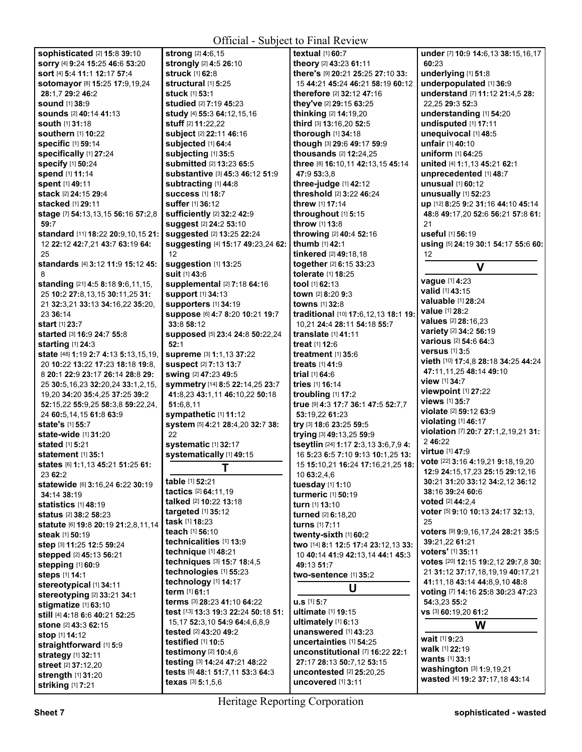## Official - Subject to Final Review

| Official - Subject to Final Review                               |                                            |                                                                  |                                                                      |
|------------------------------------------------------------------|--------------------------------------------|------------------------------------------------------------------|----------------------------------------------------------------------|
| <b>sophisticated [2] 15:8 39:10</b>                              | strong [2] 4:6,15                          | textual [1] 60:7                                                 | under [7] 10:9 14:6,13 38:15,16,17                                   |
| sorry [4] 9:24 15:25 46:6 53:20                                  | strongly [2] 4:5 26:10                     | theory [2] 43:23 61:11                                           | 60:23                                                                |
| sort [4] 5:4 11:1 12:17 57:4                                     | struck [1] 62:8                            | there's [9] 20:21 25:25 27:10 33:                                | underlying [1] 51:8                                                  |
| sotomayor [8] 15:25 17:9,19,24                                   | structural [1] 5:25                        | 15 44:21 45:24 46:21 58:19 60:12                                 | underpopulated [1] 36:9                                              |
| 28:1,7 29:2 46:2                                                 | <b>stuck</b> [1] 53:1                      | therefore [2] 32:12 47:16                                        | understand [7] 11:12 21:4.5 28:                                      |
| <b>sound</b> [1] 38:9                                            | studied [2] 7:19 45:23                     | they've [2] 29:15 63:25                                          | 22,25 29:3 52:3                                                      |
| <b>sounds</b> [2] 40:14 41:13                                    | study [4] 55:3 64:12,15,16                 | thinking [2] 14:19,20                                            | understanding [1] 54:20                                              |
| <b>south [1] 31:18</b>                                           | stuff [2] 11:22,22                         | third [3] 13:16,20 52:5                                          | undisputed [1] 17:11                                                 |
| <b>southern</b> [1] 10:22                                        | subject [2] 22:11 46:16                    | thorough [1] 34:18                                               | unequivocal [1] 48:5                                                 |
| <b>specific [1] 59:14</b><br>specifically [1] 27:24              | subjected [1] 64:4<br>subjecting [1] 35:5  | though [3] 29:6 49:17 59:9<br>thousands [2] 12:24,25             | unfair [1] 40:10<br><b>uniform</b> [1] <b>64:</b> 25                 |
| <b>specify [1] 50:24</b>                                         | submitted [2] 13:23 65:5                   | three [8] 16:10,11 42:13,15 45:14                                | united [4] 1:1,13 45:21 62:1                                         |
| <b>spend</b> [1] 11:14                                           | substantive [3] 45:3 46:12 51:9            | 47:9 53:3,8                                                      | unprecedented [1] 48:7                                               |
| spent [1] 49:11                                                  | subtracting [1] 44:8                       | three-judge [1] 42:12                                            | <b>unusual</b> [1] <b>60:12</b>                                      |
| stack [2] 24:15 29:4                                             | <b>success</b> [1] 18:7                    | threshold [2] 3:22 46:24                                         | unusually $[1]$ 52:23                                                |
| <b>stacked</b> [1] <b>29:11</b>                                  | suffer [1] 36:12                           | <b>threw</b> [1] <b>17:14</b>                                    | up [12] 8:25 9:2 31:16 44:10 45:14                                   |
| stage [7] 54:13,13,15 56:16 57:2,8                               | sufficiently [2] 32:2 42:9                 | throughout [1] 5:15                                              | 48:8 49:17,20 52:6 56:21 57:8 61:                                    |
| 59:7                                                             | suggest [2] 24:2 53:10                     | throw [1] 13:8                                                   | 21                                                                   |
| standard [11] 18:22 20:9,10,15 21:                               | suggested [2] 13:25 22:24                  | throwing [2] 40:4 52:16                                          | useful [1] 56:19                                                     |
| 12 22:12 42:7,21 43:7 63:19 64:                                  | suggesting [4] 15:17 49:23,24 62:          | <b>thumb</b> [1] <b>42:1</b>                                     | using [5] 24:19 30:1 54:17 55:6 60:                                  |
| 25                                                               | 12                                         | tinkered [2] 49:18,18                                            | 12                                                                   |
| standards [4] 3:12 11:9 15:12 45:                                | suggestion [1] 13:25                       | together [2] 6:15 33:23                                          | V                                                                    |
| 8                                                                | <b>suit</b> [1] 43:6                       | tolerate [1] 18:25                                               |                                                                      |
| standing [21] 4:5 8:18 9:6,11,15,                                | supplemental [2] 7:18 64:16                | <b>tool</b> $[1]$ 62:13                                          | vague [1] 4:23<br>valid [1] 43:15                                    |
| 25 10:2 27:8,13,15 30:11,25 31:                                  | <b>support</b> [1] 34:13                   | town [2] 8:20 9:3                                                | <b>valuable</b> [1] 28:24                                            |
| 21 32:3,21 33:13 34:16,22 35:20,                                 | <b>supporters</b> [1] 34:19                | <b>towns</b> [1] 32:8                                            | <b>value</b> [1] 28:2                                                |
| 23 36:14                                                         | suppose [6] 4:7 8:20 10:21 19:7            | traditional [10] 17:6,12,13 18:1 19:                             | values [2] 28:16,23                                                  |
| <b>start</b> [1] 23:7                                            | 33:8 58:12                                 | 10.21 24:4 28:11 54:18 55:7                                      | variety [2] 34:2 56:19                                               |
| <b>started</b> [3] <b>16:9 24:7 55:8</b>                         | Supposed [5] 23:4 24:8 50:22,24<br>52:1    | translate [1] 41:11                                              | <b>various</b> [2] <b>54:</b> 6 <b>64:</b> 3                         |
| <b>starting</b> [1] 24:3<br>state [48] 1:19 2:7 4:13 5:13,15,19, | Supreme [3] 1:1,13 37:22                   | treat [1] 12:6<br>treatment $[1]$ 35:6                           | <b>versus</b> [1] 3:5                                                |
| 20 10:22 13:22 17:23 18:18 19:8,                                 | <b>suspect</b> [2] 7:13 13:7               | <b>treats</b> [1] <b>41:9</b>                                    | vieth [10] 17:4,8 28:18 34:25 44:24                                  |
| 8 20:1 22:9 23:17 26:14 28:8 29:                                 | <b>swing [2] 47:23 49:5</b>                | trial $[1] 64:6$                                                 | 47:11,11,25 48:14 49:10                                              |
| 25 30:5,16,23 32:20,24 33:1,2,15,                                | symmetry [14] 8:5 22:14,25 23:7            | tries [1] 16:14                                                  | view [1] 34:7                                                        |
| 19,20 34:20 35:4,25 37:25 39:2                                   | 41:8,23 43:1,11 46:10,22 50:18             | troubling $[1]$ 17:2                                             | viewpoint [1] 27:22                                                  |
| 52:15,22 55:9,25 58:3,8 59:22,24,                                | 51:6,8,11                                  | true [9] 4:3 17:7 36:1 47:5 52:7.7                               | views [1] 35:7                                                       |
| 24 60:5,14,15 61:8 63:9                                          | sympathetic [1] 11:12                      | 53:19,22 61:23                                                   | violate [2] 59:12 63:9                                               |
| state's [1] 55:7                                                 | system [5] 4:21 28:4,20 32:7 38:           | try [3] 18:6 23:25 59:5                                          | violating [1] 46:17                                                  |
| <b>state-wide</b> [1] 31:20                                      | 22                                         | trying [3] 49:13,25 59:9                                         | violation [7] 20:7 27:1,2,19,21 31:                                  |
| <b>stated</b> [1] <b>5:21</b>                                    | systematic [1] 32:17                       | tseytlin [24] 1:17 2:3,13 3:6,7,9 4:                             | 2 46:22                                                              |
| <b>statement</b> [1] 35:1                                        | systematically [1] 49:15                   | 16 5:23 6:5 7:10 9:13 10:1,25 13:                                | <b>virtue</b> [1] 47:9                                               |
| states [6] 1:1,13 45:21 51:25 61:                                | Т                                          | 15 <b>15:</b> 10,21 <b>16:</b> 24 <b>17:</b> 16,21,25 <b>18:</b> | vote [22] 3:16 4:19,21 9:18,19,20<br>12:9 24:15.17.23 25:15 29:12.16 |
| 23 62:2                                                          | table [1] 52:21                            | 10 63:2,4,6                                                      | 30:21 31:20 33:12 34:2,12 36:12                                      |
| statewide [6] 3:16,24 6:22 30:19                                 | tactics [2] 64:11,19                       | tuesday [1] 1:10                                                 | 38:16 39:24 60:6                                                     |
| 34:14 38:19                                                      | talked [2] 10:22 13:18                     | turmeric [1] 50:19                                               | <b>voted</b> [2] <b>44:</b> 2,4                                      |
| statistics [1] 48:19<br><b>status</b> [2] <b>38:2 58:23</b>      | targeted [1] 35:12                         | turn [1] 13:10                                                   | voter [5] 9:10 10:13 24:17 32:13,                                    |
| statute [6] 19:8 20:19 21:2,8,11,14                              | <b>task</b> [1] <b>18:23</b>               | turned [2] 6:18,20<br>turns [1] 7:11                             | 25                                                                   |
| <b>steak</b> [1] <b>50:19</b>                                    | teach [1] 56:10                            | twenty-sixth [1] 60:2                                            | voters [9] 9:9,16,17,24 28:21 35:5                                   |
| step [3] 11:25 12:5 59:24                                        | technicalities [1] 13:9                    | two [14] 8:1 12:5 17:4 23:12,13 33:                              | 39:21,22 61:21                                                       |
| stepped [2] 45:13 56:21                                          | technique [1] 48:21                        | 10 40:14 41:9 42:13,14 44:1 45:3                                 | voters' [1] 35:11                                                    |
| stepping [1] 60:9                                                | techniques [3] 15:7 18:4,5                 | 49:13 51:7                                                       | votes [20] 12:15 19:2,12 29:7,8 30:                                  |
| steps [1] 14:1                                                   | technologies [1] 55:23                     | two-sentence [1] 35:2                                            | 21 31:12 37:17,18,19,19 40:17,21                                     |
| stereotypical [1] 34:11                                          | technology [1] 14:17                       | U                                                                | 41:11,18 43:14 44:8,9,10 48:8                                        |
| stereotyping [2] 33:21 34:1                                      | term [1] 61:1                              |                                                                  | voting [7] 14:16 25:8 30:23 47:23                                    |
| stigmatize [1] 63:10                                             | terms [3] 28:23 41:10 64:22                | u.s [1] 5:7                                                      | 54:3,23 55:2                                                         |
| still [4] 4:18 6:6 40:21 52:25                                   | test [13] 13:3 19:3 22:24 50:18 51:        | ultimate [1] 19:15                                               | VS [3] 60:19,20 61:2                                                 |
| stone [2] 43:3 62:15                                             | 15, 17 52: 3, 10 54: 9 64: 4, 6, 8, 9      | ultimately [1] 6:13                                              | W                                                                    |
| stop [1] 14:12                                                   | <b>tested</b> [2] 43:20 49:2               | unanswered [1] 43:23<br>uncertainties [1] 54:25                  | wait [1] 9:23                                                        |
| straightforward [1] 5:9                                          | testified [1] 10:5<br>testimony [2] 10:4,6 | unconstitutional [7] 16:22 22:1                                  | walk [1] 22:19                                                       |
| strategy [1] 32:11                                               | testing [3] 14:24 47:21 48:22              | 27:17 28:13 50:7.12 53:15                                        | wants [1] 33:1                                                       |
| street [2] 37:12,20                                              | tests [5] 48:1 51:7,11 53:3 64:3           | uncontested [2] 25:20,25                                         | washington [3] 1:9,19,21                                             |
| strength [1] 31:20                                               | texas $[3]$ 5:1,5,6                        | uncovered [1] 3:11                                               | wasted [4] 19:2 37:17,18 43:14                                       |
| striking [1] 7:21                                                |                                            |                                                                  |                                                                      |